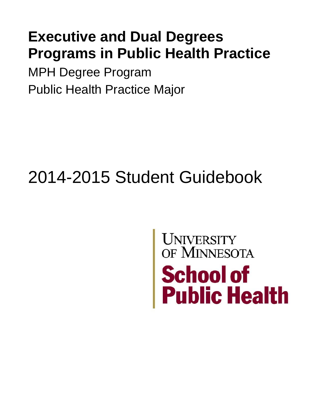# **Executive and Dual Degrees Programs in Public Health Practice**

MPH Degree Program Public Health Practice Major

# 2014-2015 Student Guidebook

# UNIVERSITY<br>OF MINNESOTA **School of<br>Public Health**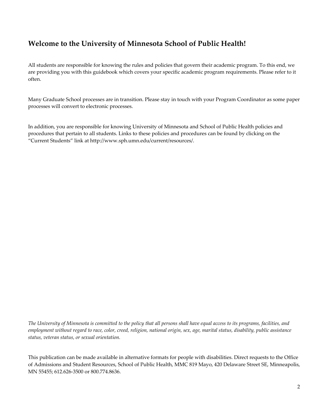### **Welcome to the University of Minnesota School of Public Health!**

All students are responsible for knowing the rules and policies that govern their academic program. To this end, we are providing you with this guidebook which covers your specific academic program requirements. Please refer to it often.

Many Graduate School processes are in transition. Please stay in touch with your Program Coordinator as some paper processes will convert to electronic processes.

In addition, you are responsible for knowing University of Minnesota and School of Public Health policies and procedures that pertain to all students. Links to these policies and procedures can be found by clicking on the "Current Students" link at http://www.sph.umn.edu/current/resources/.

The University of Minnesota is committed to the policy that all persons shall have equal access to its programs, facilities, and employment without regard to race, color, creed, religion, national origin, sex, age, marital status, disability, public assistance *status, veteran status, or sexual orientation.*

This publication can be made available in alternative formats for people with disabilities. Direct requests to the Office of Admissions and Student Resources, School of Public Health, MMC 819 Mayo, 420 Delaware Street SE, Minneapolis, MN 55455; 612.626‐3500 or 800.774.8636.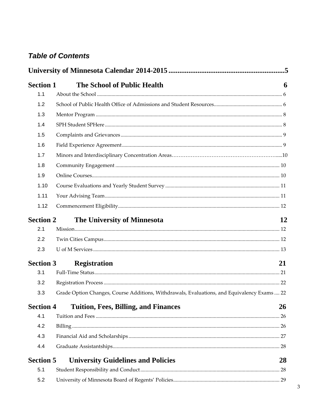### **Table of Contents**

| <b>Section 1</b> | <b>The School of Public Health</b>                                                          | 6  |
|------------------|---------------------------------------------------------------------------------------------|----|
| 1.1              |                                                                                             |    |
| 1.2              |                                                                                             |    |
| 1.3              |                                                                                             |    |
| 1.4              |                                                                                             |    |
| 1.5              |                                                                                             |    |
| 1.6              |                                                                                             |    |
| 1.7              |                                                                                             |    |
| 1.8              |                                                                                             |    |
| 1.9              |                                                                                             |    |
| 1.10             |                                                                                             |    |
| 1.11             |                                                                                             |    |
| 1.12             |                                                                                             |    |
| <b>Section 2</b> | The University of Minnesota                                                                 | 12 |
| 2.1              |                                                                                             |    |
| 2.2              |                                                                                             |    |
| 2.3              |                                                                                             |    |
| <b>Section 3</b> | <b>Registration</b>                                                                         | 21 |
| 3.1              |                                                                                             |    |
| 3.2              |                                                                                             |    |
| 3.3              | Grade Option Changes, Course Additions, Withdrawals, Evaluations, and Equivalency Exams  22 |    |
| <b>Section 4</b> | <b>Tuition, Fees, Billing, and Finances</b>                                                 | 26 |
| 4.1              |                                                                                             |    |
| 4.2              |                                                                                             |    |
| 4.3              |                                                                                             |    |
| 4.4              |                                                                                             |    |
| <b>Section 5</b> | <b>University Guidelines and Policies</b>                                                   | 28 |
| 5.1              |                                                                                             |    |
| 5.2              |                                                                                             |    |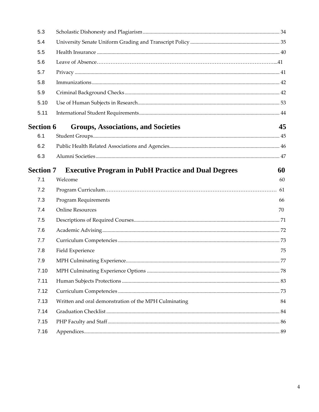| 5.3              |                                                            |    |
|------------------|------------------------------------------------------------|----|
| 5.4              |                                                            |    |
| 5.5              |                                                            |    |
| 5.6              |                                                            |    |
| 5.7              |                                                            |    |
| 5.8              |                                                            |    |
| 5.9              |                                                            |    |
| 5.10             |                                                            |    |
| 5.11             |                                                            |    |
| <b>Section 6</b> | <b>Groups, Associations, and Societies</b>                 | 45 |
| 6.1              |                                                            |    |
| 6.2              |                                                            |    |
| 6.3              |                                                            |    |
| <b>Section 7</b> | <b>Executive Program in PubH Practice and Dual Degrees</b> | 60 |
| 7.1              | Welcome                                                    | 60 |
| 7.2              |                                                            | 61 |
| 7.3              | Program Requirements                                       | 66 |
| 7.4              | <b>Online Resources</b>                                    | 70 |
| 7.5              |                                                            |    |
| 7.6              |                                                            |    |
| 7.7              |                                                            |    |
| 7.8              | Field Experience                                           | 75 |
| 7.9              |                                                            |    |
| 7.10             |                                                            |    |
| 7.11             |                                                            |    |
| 7.12             |                                                            |    |
| 7.13             | Written and oral demonstration of the MPH Culminating      | 84 |
| 7.14             |                                                            |    |
| 7.15             |                                                            |    |
| 7.16             |                                                            |    |
|                  |                                                            |    |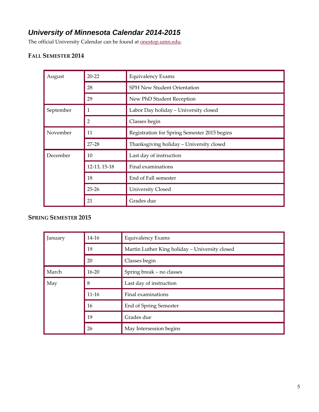### *University of Minnesota Calendar 2014-2015*

The official University Calendar can be found at onestop.umn.edu.

### **FALL SEMESTER 2014**

| August    | $20 - 22$    | <b>Equivalency Exams</b>                     |  |
|-----------|--------------|----------------------------------------------|--|
|           | 28           | SPH New Student Orientation                  |  |
|           | 29           | New PhD Student Reception                    |  |
| September |              | Labor Day holiday - University closed        |  |
|           | 2            | Classes begin                                |  |
| November  | 11           | Registration for Spring Semester 2015 begins |  |
|           | $27 - 28$    | Thanksgiving holiday - University closed     |  |
| December  | 10           | Last day of instruction                      |  |
|           | 12-13, 15-18 | Final examinations                           |  |
|           | 18           | End of Fall semester                         |  |
|           | $25 - 26$    | <b>University Closed</b>                     |  |
|           | 21           | Grades due                                   |  |

### **SPRING SEMESTER 2015**

| January | 14-16     | <b>Equivalency Exams</b>                       |
|---------|-----------|------------------------------------------------|
|         | 19        | Martin Luther King holiday - University closed |
|         | 20        | Classes begin                                  |
| March   | $16 - 20$ | Spring break - no classes                      |
| May     | 8         | Last day of instruction                        |
|         | $11-16$   | Final examinations                             |
|         | 16        | <b>End of Spring Semester</b>                  |
|         | 19        | Grades due                                     |
|         | 26        | May Intersession begins                        |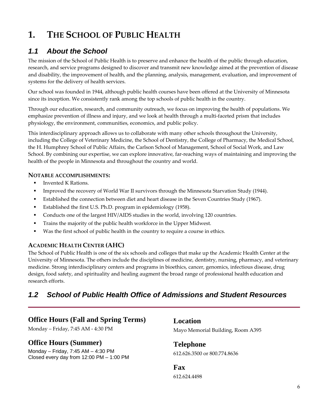### **1. THE SCHOOL OF PUBLIC HEALTH**

### *1.1 About the School*

The mission of the School of Public Health is to preserve and enhance the health of the public through education, research, and service programs designed to discover and transmit new knowledge aimed at the prevention of disease and disability, the improvement of health, and the planning, analysis, management, evaluation, and improvement of systems for the delivery of health services.

Our school was founded in 1944, although public health courses have been offered at the University of Minnesota since its inception. We consistently rank among the top schools of public health in the country.

Through our education, research, and community outreach, we focus on improving the health of populations. We emphasize prevention of illness and injury, and we look at health through a multi-faceted prism that includes physiology, the environment, communities, economics, and public policy.

This interdisciplinary approach allows us to collaborate with many other schools throughout the University, including the College of Veterinary Medicine, the School of Dentistry, the College of Pharmacy, the Medical School, the H. Humphrey School of Public Affairs, the Carlson School of Management, School of Social Work, and Law School. By combining our expertise, we can explore innovative, far-reaching ways of maintaining and improving the health of the people in Minnesota and throughout the country and world.

### **NOTABLE ACCOMPLISHMENTS:**

- **Invented K Rations.**
- **IMPROVED THE RECOVER 1944** IN SURVIVOR THE MINDED MEAN STAR STAR STAR STAR (1944).
- **Established the connection between diet and heart disease in the Seven Countries Study (1967).**
- Established the first U.S. Ph.D. program in epidemiology (1958).
- Conducts one of the largest HIV/AIDS studies in the world, involving 120 countries.
- **Trains the majority of the public health workforce in the Upper Midwest.**
- Was the first school of public health in the country to require a course in ethics.

### **ACADEMIC HEALTH CENTER (AHC)**

The School of Public Health is one of the six schools and colleges that make up the Academic Health Center at the University of Minnesota. The others include the disciplines of medicine, dentistry, nursing, pharmacy, and veterinary medicine. Strong interdisciplinary centers and programs in bioethics, cancer, genomics, infectious disease, drug design, food safety, and spirituality and healing augment the broad range of professional health education and research efforts.

### *1.2 School of Public Health Office of Admissions and Student Resources*

### **Office Hours (Fall and Spring Terms)**

Monday – Friday, 7:45 AM ‐ 4:30 PM

### **Office Hours (Summer)**

Monday – Friday, 7:45 AM – 4:30 PM Closed every day from 12:00 PM – 1:00 PM **Location**  Mayo Memorial Building, Room A395

**Telephone**  612.626.3500 or 800.774.8636

**Fax**  612.624.4498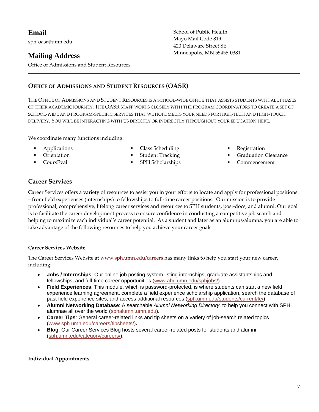### **Email**

sph‐oasr@umn.edu

### **Mailing Address**

Office of Admissions and Student Resources

School of Public Health Mayo Mail Code 819 420 Delaware Street SE Minneapolis, MN 55455‐0381

### **OFFICE OF ADMISSIONS AND STUDENT RESOURCES (OASR)**

THE OFFICE OF ADMISSIONS AND STUDENT RESOURCES IS A SCHOOL‐WIDE OFFICE THAT ASSISTS STUDENTS WITH ALL PHASES OF THEIR ACADEMIC JOURNEY. THE OASR STAFF WORKS CLOSELY WITH THE PROGRAM COORDINATORS TO CREATE A SET OF SCHOOL‐WIDE AND PROGRAM‐SPECIFIC SERVICES THAT WE HOPE MEETS YOUR NEEDS FOR HIGH‐TECH AND HIGH‐TOUCH DELIVERY. YOU WILL BE INTERACTING WITH US DIRECTLY OR INDIRECTLY THROUGHOUT YOUR EDUCATION HERE.

We coordinate many functions including:

- Applications
- Orientation
- CoursEval
- Class Scheduling
- Student Tracking
- SPH Scholarships
- Registration
- Graduation Clearance
- Commencement

### **Career Services**

Career Services offers a variety of resources to assist you in your efforts to locate and apply for professional positions – from field experiences (internships) to fellowships to full‐time career positions. Our mission is to provide professional, comprehensive, lifelong career services and resources to SPH students, post‐docs, and alumni. Our goal is to facilitate the career development process to ensure confidence in conducting a competitive job search and helping to maximize each individual's career potential. As a student and later as an alumnus/alumna, you are able to take advantage of the following resources to help you achieve your career goals.

### **Career Services Website**

The Career Services Website at www.sph.umn.edu/careers has many links to help you start your new career, including:

- **Jobs / Internships**: Our online job posting system listing internships, graduate assistantships and fellowships, and full-time career opportunities (www.ahc.umn.edu/sphjobs/).
- **Field Experiences**: This module, which is password-protected, is where students can start a new field experience learning agreement, complete a field experience scholarship application, search the database of past field experience sites, and access additional resources (sph.umn.edu/students/current/fe/).
- **Alumni Networking Database**: A searchable *Alumni Networking Directory*, to help you connect with SPH alumnae all over the world (sphalumni.umn.edu).
- **Career Tips**: General career-related links and tip sheets on a variety of job-search related topics (www.sph.umn.edu/careers/tipsheets/)**.**
- **Blog**: Our Career Services Blog hosts several career-related posts for students and alumni (sph.umn.edu/category/careers/).

### **Individual Appointments**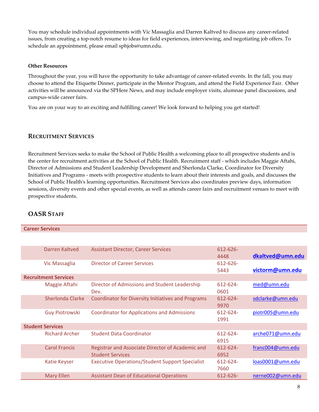You may schedule individual appointments with Vic Massaglia and Darren Kaltved to discuss any career‐related issues, from creating a top‐notch resume to ideas for field experiences, interviewing, and negotiating job offers. To schedule an appointment, please email sphjobs@umn.edu.

### **Other Resources**

Throughout the year, you will have the opportunity to take advantage of career-related events. In the fall, you may choose to attend the Etiquette Dinner, participate in the Mentor Program, and attend the Field Experience Fair. Other activities will be announced via the SPHere News, and may include employer visits, alumnae panel discussions, and campus‐wide career fairs.

You are on your way to an exciting and fulfilling career! We look forward to helping you get started!

### **RECRUITMENT SERVICES**

Recruitment Services seeks to make the School of Public Health a welcoming place to all prospective students and is the center for recruitment activities at the School of Public Health. Recruitment staff ‐ which includes Maggie Aftahi, Director of Admissions and Student Leadership Development and Sherlonda Clarke, Coordinator for Diversity Initiatives and Programs ‐ meets with prospective students to learn about their interests and goals, and discusses the School of Public Health's learning opportunities. Recruitment Services also coordinates preview days, information sessions, diversity events and other special events, as well as attends career fairs and recruitment venues to meet with prospective students.

### **OASR STAFF**

### **Career Services**

| Darren Kaltved              | <b>Assistant Director, Career Services</b>                                  | 612-626-<br>4448      | dkaltved@umn.edu |
|-----------------------------|-----------------------------------------------------------------------------|-----------------------|------------------|
| <b>Vic Massaglia</b>        | <b>Director of Career Services</b>                                          | $612 - 626 -$<br>5443 | victorm@umn.edu  |
| <b>Recruitment Services</b> |                                                                             |                       |                  |
| Maggie Aftahi               | Director of Admissions and Student Leadership<br>Dev.                       | $612 - 624 -$<br>0601 | med@umn.edu      |
| Sherlonda Clarke            | <b>Coordinator for Diversity Initiatives and Programs</b>                   | 612-624-<br>9970      | sdclarke@umn.edu |
| <b>Guy Piotrowski</b>       | <b>Coordinator for Applications and Admissions</b>                          | 612-624-<br>1991      | piotr005@umn.edu |
| <b>Student Services</b>     |                                                                             |                       |                  |
| <b>Richard Archer</b>       | <b>Student Data Coordinator</b>                                             | 612-624-<br>6915      | arche071@umn.edu |
| <b>Carol Francis</b>        | Registrar and Associate Director of Academic and<br><b>Student Services</b> | 612-624-<br>6952      | franc004@umn.edu |
| <b>Katie Keyser</b>         | <b>Executive Operations/Student Support Specialist</b>                      | 612-624-<br>7660      | loas0001@umn.edu |
| <b>Mary Ellen</b>           | <b>Assistant Dean of Educational Operations</b>                             | 612-626-              | nerne002@umn.edu |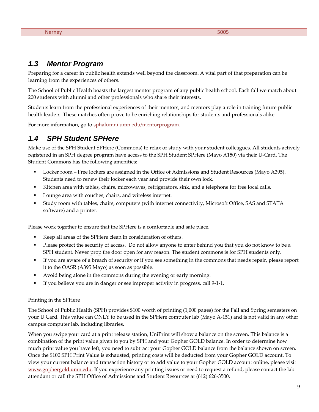### *1.3 Mentor Program*

Preparing for a career in public health extends well beyond the classroom. A vital part of that preparation can be learning from the experiences of others.

The School of Public Health boasts the largest mentor program of any public health school. Each fall we match about 200 students with alumni and other professionals who share their interests.

Students learn from the professional experiences of their mentors, and mentors play a role in training future public health leaders. These matches often prove to be enriching relationships for students and professionals alike.

For more information, go to sphalumni.umn.edu/mentorprogram.

### *1.4 SPH Student SPHere*

Make use of the SPH Student SPHere (Commons) to relax or study with your student colleagues. All students actively registered in an SPH degree program have access to the SPH Student SPHere (Mayo A150) via their U‐Card. The Student Commons has the following amenities:

- Locker room Free lockers are assigned in the Office of Admissions and Student Resources (Mayo A395). Students need to renew their locker each year and provide their own lock.
- Kitchen area with tables, chairs, microwaves, refrigerators, sink, and a telephone for free local calls.
- Lounge area with couches, chairs, and wireless internet.
- Study room with tables, chairs, computers (with internet connectivity, Microsoft Office, SAS and STATA software) and a printer.

Please work together to ensure that the SPHere is a comfortable and safe place.

- Keep all areas of the SPHere clean in consideration of others.
- Please protect the security of access. Do not allow anyone to enter behind you that you do not know to be a SPH student. Never prop the door open for any reason. The student commons is for SPH students only.
- If you are aware of a breach of security or if you see something in the commons that needs repair, please report it to the OASR (A395 Mayo) as soon as possible.
- Avoid being alone in the commons during the evening or early morning.
- If you believe you are in danger or see improper activity in progress, call 9-1-1.

### Printing in the SPHere

The School of Public Health (SPH) provides \$100 worth of printing (1,000 pages) for the Fall and Spring semesters on your U Card. This value can ONLY to be used in the SPHere computer lab (Mayo A‐151) and is not valid in any other campus computer lab, including libraries.

When you swipe your card at a print release station, UniPrint will show a balance on the screen. This balance is a combination of the print value given to you by SPH and your Gopher GOLD balance. In order to determine how much print value you have left, you need to subtract your Gopher GOLD balance from the balance shown on screen. Once the \$100 SPH Print Value is exhausted, printing costs will be deducted from your Gopher GOLD account. To view your current balance and transaction history or to add value to your Gopher GOLD account online, please visit www.gophergold.umn.edu. If you experience any printing issues or need to request a refund, please contact the lab attendant or call the SPH Office of Admissions and Student Resources at (612) 626‐3500.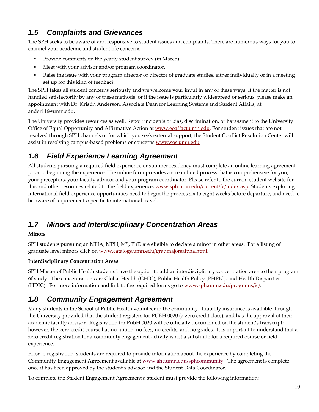### *1.5 Complaints and Grievances*

The SPH seeks to be aware of and responsive to student issues and complaints. There are numerous ways for you to channel your academic and student life concerns:

- **Provide comments on the yearly student survey (in March).**
- Meet with your advisor and/or program coordinator.
- Raise the issue with your program director or director of graduate studies, either individually or in a meeting set up for this kind of feedback.

The SPH takes all student concerns seriously and we welcome your input in any of these ways. If the matter is not handled satisfactorily by any of these methods, or if the issue is particularly widespread or serious, please make an appointment with Dr. Kristin Anderson, Associate Dean for Learning Systems and Student Affairs, at ander116@umn.edu.

The University provides resources as well. Report incidents of bias, discrimination, or harassment to the University Office of Equal Opportunity and Affirmative Action at www.eoaffact.umn.edu. For student issues that are not resolved through SPH channels or for which you seek external support, the Student Conflict Resolution Center will assist in resolving campus‐based problems or concerns www.sos.umn.edu.

### *1.6 Field Experience Learning Agreement*

All students pursuing a required field experience or summer residency must complete an online learning agreement prior to beginning the experience. The online form provides a streamlined process that is comprehensive for you, your preceptors, your faculty advisor and your program coordinator. Please refer to the current student website for this and other resources related to the field experience, www.sph.umn.edu/current/fe/index.asp. Students exploring international field experience opportunities need to begin the process six to eight weeks before departure, and need to be aware of requirements specific to international travel.

### *1.7 Minors and Interdisciplinary Concentration Areas*

### **Minors**

SPH students pursuing an MHA, MPH, MS, PhD are eligible to declare a minor in other areas. For a listing of graduate level minors click on www.catalogs.umn.edu/gradmajorsalpha.html.

### **Interdisciplinary Concentration Areas**

SPH Master of Public Health students have the option to add an interdisciplinary concentration area to their program of study. The concentrations are Global Health (GHIC), Public Health Policy (PHPIC), and Health Disparities (HDIC). For more information and link to the required forms go to www.sph.umn.edu/programs/ic/.

### *1.8 Community Engagement Agreement*

Many students in the School of Public Health volunteer in the community. Liability insurance is available through the University provided that the student registers for PUBH 0020 (a zero credit class), and has the approval of their academic faculty advisor. Registration for PubH 0020 will be officially documented on the student's transcript; however, the zero credit course has no tuition, no fees, no credits, and no grades. It is important to understand that a zero credit registration for a community engagement activity is not a substitute for a required course or field experience.

Prior to registration, students are required to provide information about the experience by completing the Community Engagement Agreement available at www.ahc.umn.edu/sphcommunity. The agreement is complete once it has been approved by the student's advisor and the Student Data Coordinator.

To complete the Student Engagement Agreement a student must provide the following information: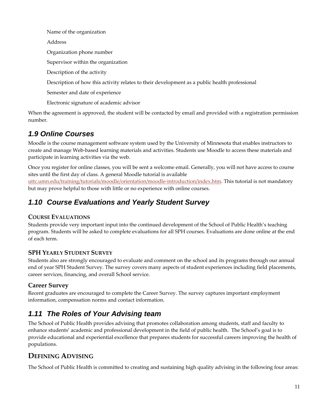Name of the organization

Address

Organization phone number

Supervisor within the organization

Description of the activity

Description of how this activity relates to their development as a public health professional

Semester and date of experience

Electronic signature of academic advisor

When the agreement is approved, the student will be contacted by email and provided with a registration permission number.

### *1.9 Online Courses*

Moodle is the course management software system used by the University of Minnesota that enables instructors to create and manage Web‐based learning materials and activities. Students use Moodle to access these materials and participate in learning activities via the web.

Once you register for online classes, you will be sent a welcome email. Generally, you will not have access to course sites until the first day of class. A general Moodle tutorial is available uttc.umn.edu/training/tutorials/moodle/orientation/moodle‐introduction/index.htm. This tutorial is not mandatory but may prove helpful to those with little or no experience with online courses.

### *1.10 Course Evaluations and Yearly Student Survey*

### **COURSE EVALUATIONS**

Students provide very important input into the continued development of the School of Public Health's teaching program. Students will be asked to complete evaluations for all SPH courses. Evaluations are done online at the end of each term.

### **SPH YEARLY STUDENT SURVEY**

Students also are strongly encouraged to evaluate and comment on the school and its programs through our annual end of year SPH Student Survey. The survey covers many aspects of student experiences including field placements, career services, financing, and overall School service.

### **Career Survey**

Recent graduates are encouraged to complete the Career Survey. The survey captures important employment information, compensation norms and contact information.

### *1.11 The Roles of Your Advising team*

The School of Public Health provides advising that promotes collaboration among students, staff and faculty to enhance students' academic and professional development in the field of public health. The School's goal is to provide educational and experiential excellence that prepares students for successful careers improving the health of populations.

### **DEFINING ADVISING**

The School of Public Health is committed to creating and sustaining high quality advising in the following four areas: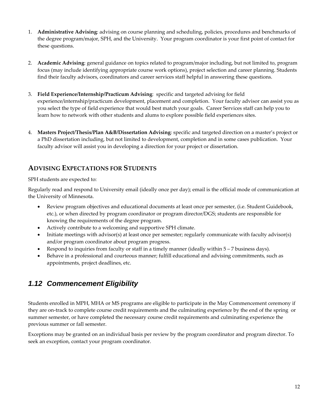- 1. **Administrative Advising**: advising on course planning and scheduling, policies, procedures and benchmarks of the degree program/major, SPH, and the University. Your program coordinator is your first point of contact for these questions.
- 2. **Academic Advising**: general guidance on topics related to program/major including, but not limited to, program focus (may include identifying appropriate course work options), project selection and career planning. Students find their faculty advisors, coordinators and career services staff helpful in answering these questions.
- 3. **Field Experience/Internship/Practicum Advising**: specific and targeted advising for field experience/internship/practicum development, placement and completion. Your faculty advisor can assist you as you select the type of field experience that would best match your goals. Career Services staff can help you to learn how to network with other students and alums to explore possible field experiences sites.
- 4. **Masters Project/Thesis/Plan A&B/Dissertation Advising**: specific and targeted direction on a master's project or a PhD dissertation including, but not limited to development, completion and in some cases publication. Your faculty advisor will assist you in developing a direction for your project or dissertation.

### **ADVISING EXPECTATIONS FOR STUDENTS**

SPH students are expected to:

Regularly read and respond to University email (ideally once per day); email is the official mode of communication at the University of Minnesota.

- Review program objectives and educational documents at least once per semester, (i.e. Student Guidebook, etc.), or when directed by program coordinator or program director/DGS; students are responsible for knowing the requirements of the degree program.
- Actively contribute to a welcoming and supportive SPH climate.
- Initiate meetings with advisor(s) at least once per semester; regularly communicate with faculty advisor(s) and/or program coordinator about program progress.
- Respond to inquiries from faculty or staff in a timely manner (ideally within  $5 7$  business days).
- Behave in a professional and courteous manner; fulfill educational and advising commitments, such as appointments, project deadlines, etc.

### *1.12 Commencement Eligibility*

Students enrolled in MPH, MHA or MS programs are eligible to participate in the May Commencement ceremony if they are on-track to complete course credit requirements and the culminating experience by the end of the spring or summer semester, or have completed the necessary course credit requirements and culminating experience the previous summer or fall semester.

Exceptions may be granted on an individual basis per review by the program coordinator and program director. To seek an exception, contact your program coordinator.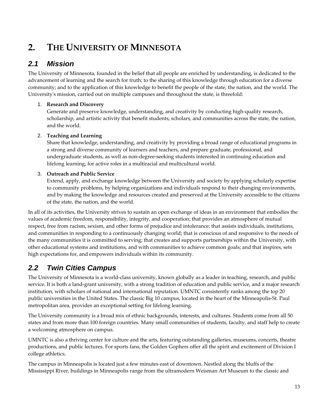### **2. THE UNIVERSITY OF MINNESOTA**

### *2.1 Mission*

The University of Minnesota, founded in the belief that all people are enriched by understanding, is dedicated to the advancement of learning and the search for truth; to the sharing of this knowledge through education for a diverse community; and to the application of this knowledge to benefit the people of the state, the nation, and the world. The University's mission, carried out on multiple campuses and throughout the state, is threefold:

### 1. **Research and Discovery**

Generate and preserve knowledge, understanding, and creativity by conducting high-quality research, scholarship, and artistic activity that benefit students, scholars, and communities across the state, the nation, and the world.

### 2. **Teaching and Learning**

Share that knowledge, understanding, and creativity by providing a broad range of educational programs in a strong and diverse community of learners and teachers, and prepare graduate, professional, and undergraduate students, as well as non‐degree‐seeking students interested in continuing education and lifelong learning, for active roles in a multiracial and multicultural world.

### 3. **Outreach and Public Service**

Extend, apply, and exchange knowledge between the University and society by applying scholarly expertise to community problems, by helping organizations and individuals respond to their changing environments, and by making the knowledge and resources created and preserved at the University accessible to the citizens of the state, the nation, and the world.

In all of its activities, the University strives to sustain an open exchange of ideas in an environment that embodies the values of academic freedom, responsibility, integrity, and cooperation; that provides an atmosphere of mutual respect, free from racism, sexism, and other forms of prejudice and intolerance; that assists individuals, institutions, and communities in responding to a continuously changing world; that is conscious of and responsive to the needs of the many communities it is committed to serving; that creates and supports partnerships within the University, with other educational systems and institutions, and with communities to achieve common goals; and that inspires, sets high expectations for, and empowers individuals within its community.

### *2.2 Twin Cities Campus*

The University of Minnesota is a world‐class university, known globally as a leader in teaching, research, and public service. It is both a land-grant university, with a strong tradition of education and public service, and a major research institution, with scholars of national and international reputation. UMNTC consistently ranks among the top 20 public universities in the United States. The classic Big 10 campus, located in the heart of the Minneapolis‐St. Paul metropolitan area, provides an exceptional setting for lifelong learning.

The University community is a broad mix of ethnic backgrounds, interests, and cultures. Students come from all 50 states and from more than 100 foreign countries. Many small communities of students, faculty, and staff help to create a welcoming atmosphere on campus.

UMNTC is also a thriving center for culture and the arts, featuring outstanding galleries, museums, concerts, theatre productions, and public lectures. For sports fans, the Golden Gophers offer all the spirit and excitement of Division I college athletics.

The campus in Minneapolis is located just a few minutes east of downtown. Nestled along the bluffs of the Mississippi River, buildings in Minneapolis range from the ultramodern Weisman Art Museum to the classic and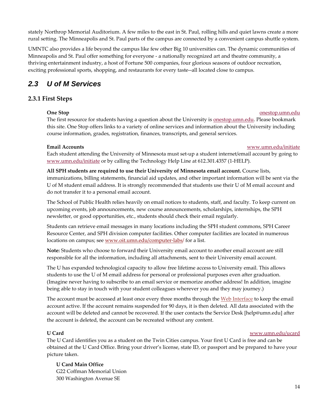stately Northrop Memorial Auditorium. A few miles to the east in St. Paul, rolling hills and quiet lawns create a more rural setting. The Minneapolis and St. Paul parts of the campus are connected by a convenient campus shuttle system.

UMNTC also provides a life beyond the campus like few other Big 10 universities can. The dynamic communities of Minneapolis and St. Paul offer something for everyone ‐ a nationally recognized art and theatre community, a thriving entertainment industry, a host of Fortune 500 companies, four glorious seasons of outdoor recreation, exciting professional sports, shopping, and restaurants for every taste--all located close to campus.

### *2.3 U of M Services*

### **2.3.1 First Steps**

### **One Stop** onestop.umn.edu

The first resource for students having a question about the University is **onestop.umn.edu.** Please bookmark this site. One Stop offers links to a variety of online services and information about the University including course information, grades, registration, finances, transcripts, and general services.

### **Email Accounts** www.umn.edu/initiate

Each student attending the University of Minnesota must set‐up a student internet/email account by going to www.umn.edu/initiate or by calling the Technology Help Line at 612.301.4357 (1‐HELP).

**All SPH students are required to use their University of Minnesota email account.** Course lists, immunizations, billing statements, financial aid updates, and other important information will be sent via the U of M student email address. It is strongly recommended that students use their U of M email account and do not transfer it to a personal email account.

The School of Public Health relies heavily on email notices to students, staff, and faculty. To keep current on upcoming events, job announcements, new course announcements, scholarships, internships, the SPH newsletter, or good opportunities, etc., students should check their email regularly.

Students can retrieve email messages in many locations including the SPH student commons, SPH Career Resource Center, and SPH division computer facilities. Other computer facilities are located in numerous locations on campus; see www.oit.umn.edu/computer-labs/ for a list.

**Note:** Students who choose to forward their University email account to another email account are still responsible for all the information, including all attachments, sent to their University email account.

The U has expanded technological capacity to allow free lifetime access to University email. This allows students to use the U of M email address for personal or professional purposes even after graduation. (Imagine never having to subscribe to an email service or memorize another address! In addition, imagine being able to stay in touch with your student colleagues wherever you and they may journey.)

The account must be accessed at least once every three months through the Web Interface to keep the email account active. If the account remains suspended for 90 days, it is then deleted. All data associated with the account will be deleted and cannot be recovered. If the user contacts the Service Desk [help@umn.edu] after the account is deleted, the account can be recreated without any content.

### **U Card** www.umn.edu/ucard

The U Card identifies you as a student on the Twin Cities campus. Your first U Card is free and can be obtained at the U Card Office. Bring your driver's license, state ID, or passport and be prepared to have your picture taken.

**U Card Main Office** G22 Coffman Memorial Union 300 Washington Avenue SE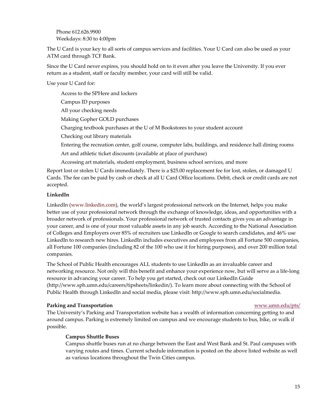Phone 612.626.9900 Weekdays: 8:30 to 4:00pm

The U Card is your key to all sorts of campus services and facilities. Your U Card can also be used as your ATM card through TCF Bank.

Since the U Card never expires, you should hold on to it even after you leave the University. If you ever return as a student, staff or faculty member, your card will still be valid.

Use your U Card for:

Access to the SPHere and lockers

Campus ID purposes

All your checking needs

Making Gopher GOLD purchases

Charging textbook purchases at the U of M Bookstores to your student account

Checking out library materials

Entering the recreation center, golf course, computer labs, buildings, and residence hall dining rooms Art and athletic ticket discounts (available at place of purchase)

Accessing art materials, student employment, business school services, and more

Report lost or stolen U Cards immediately. There is a \$25.00 replacement fee for lost, stolen, or damaged U Cards. The fee can be paid by cash or check at all U Card Office locations. Debit, check or credit cards are not accepted.

### **LinkedIn**

LinkedIn (www.linkedin.com), the world's largest professional network on the Internet, helps you make better use of your professional network through the exchange of knowledge, ideas, and opportunities with a broader network of professionals. Your professional network of trusted contacts gives you an advantage in your career, and is one of your most valuable assets in any job search. According to the National Association of Colleges and Employers over 85% of recruiters use LinkedIn or Google to search candidates, and 46% use LinkedIn to research new hires. LinkedIn includes executives and employees from all Fortune 500 companies, all Fortune 100 companies (including 82 of the 100 who use it for hiring purposes), and over 200 million total companies.

The School of Public Health encourages ALL students to use LinkedIn as an invaluable career and networking resource. Not only will this benefit and enhance your experience now, but will serve as a life‐long resource in advancing your career. To help you get started, check out our LinkedIn Guide (http://www.sph.umn.edu/careers/tipsheets/linkedin/). To learn more about connecting with the School of Public Health through LinkedIn and social media, please visit: http://www.sph.umn.edu/socialmedia.

### **Parking and Transportation** www.umn.edu/pts/

The University's Parking and Transportation website has a wealth of information concerning getting to and around campus. Parking is extremely limited on campus and we encourage students to bus, bike, or walk if possible.

### **Campus Shuttle Buses**

Campus shuttle buses run at no charge between the East and West Bank and St. Paul campuses with varying routes and times. Current schedule information is posted on the above listed website as well as various locations throughout the Twin Cities campus.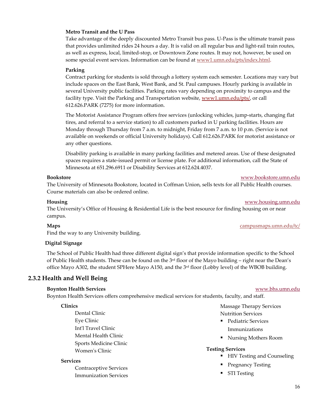### **Metro Transit and the U Pass**

Take advantage of the deeply discounted Metro Transit bus pass. U‐Pass is the ultimate transit pass that provides unlimited rides 24 hours a day. It is valid on all regular bus and light‐rail train routes, as well as express, local, limited‐stop, or Downtown Zone routes. It may not, however, be used on some special event services. Information can be found at www1.umn.edu/pts/index.html.

### **Parking**

Contract parking for students is sold through a lottery system each semester. Locations may vary but include spaces on the East Bank, West Bank, and St. Paul campuses. Hourly parking is available in several University public facilities. Parking rates vary depending on proximity to campus and the facility type. Visit the Parking and Transportation website, www1.umn.edu/pts/, or call 612.626.PARK (7275) for more information.

The Motorist Assistance Program offers free services (unlocking vehicles, jump-starts, changing flat tires, and referral to a service station) to all customers parked in U parking facilities. Hours are Monday through Thursday from 7 a.m. to midnight, Friday from 7 a.m. to 10 p.m. (Service is not available on weekends or official University holidays). Call 612.626.PARK for motorist assistance or any other questions.

Disability parking is available in many parking facilities and metered areas. Use of these designated spaces requires a state‐issued permit or license plate. For additional information, call the State of Minnesota at 651.296.6911 or Disability Services at 612.624.4037.

### **Bookstore** www.bookstore.umn.edu

The University of Minnesota Bookstore, located in Coffman Union, sells texts for all Public Health courses. Course materials can also be ordered online.

### **Housing** www.housing.umn.edu

The University's Office of Housing & Residential Life is the best resource for finding housing on or near campus.

Find the way to any University building.

### **Digital Signage**

The School of Public Health had three different digital sign's that provide information specific to the School of Public Health students. These can be found on the 3rd floor of the Mayo building – right near the Dean's office Mayo A302, the student SPHere Mayo A150, and the 3rd floor (Lobby level) of the WBOB building.

### **2.3.2 Health and Well Being**

### **Boynton Health Services** www.bhs.umn.edu

Boynton Health Services offers comprehensive medical services for students, faculty, and staff.

### **Clinics**

Dental Clinic Eye Clinic Intʹl Travel Clinic Mental Health Clinic Sports Medicine Clinic Womenʹs Clinic

### **Services**

Contraceptive Services Immunization Services Massage Therapy Services Nutrition Services

- Pediatric Services Immunizations
- Nursing Mothers Room

### **Testing Services**

- HIV Testing and Counseling
- **Pregnancy Testing**
- **STI Testing**

### **Maps** campusmaps.umn.edu/tc/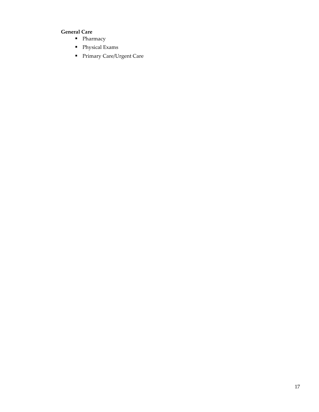### **General Care**

- Pharmacy
- $\textcolor{red}{\blacksquare}$  Physical Exams
- Primary Care/Urgent Care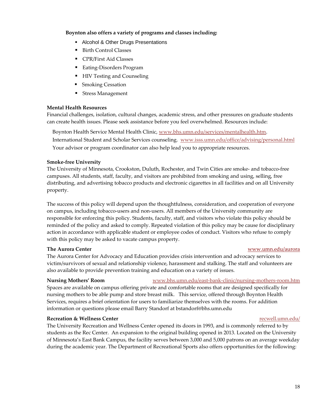### **Boynton also offers a variety of programs and classes including:**

- Alcohol & Other Drugs Presentations
- Birth Control Classes
- CPR/First Aid Classes
- Eating-Disorders Program
- HIV Testing and Counseling
- Smoking Cessation
- Stress Management

### **Mental Health Resources**

Financial challenges, isolation, cultural changes, academic stress, and other pressures on graduate students can create health issues. Please seek assistance before you feel overwhelmed. Resources include:

Boynton Health Service Mental Health Clinic, www.bhs.umn.edu/services/mentalhealth.htm. International Student and Scholar Services counseling. www.isss.umn.edu/office/advising/personal.html Your advisor or program coordinator can also help lead you to appropriate resources.

### **Smoke‐free University**

The University of Minnesota, Crookston, Duluth, Rochester, and Twin Cities are smoke‐ and tobacco‐free campuses. All students, staff, faculty, and visitors are prohibited from smoking and using, selling, free distributing, and advertising tobacco products and electronic cigarettes in all facilities and on all University property.

The success of this policy will depend upon the thoughtfulness, consideration, and cooperation of everyone on campus, including tobacco‐users and non‐users. All members of the University community are responsible for enforcing this policy. Students, faculty, staff, and visitors who violate this policy should be reminded of the policy and asked to comply. Repeated violation of this policy may be cause for disciplinary action in accordance with applicable student or employee codes of conduct. Visitors who refuse to comply with this policy may be asked to vacate campus property.

### **The Aurora Center Center Center Center Center Center Center Center Center Center Center Center Center Center Center Center Center Center Center Center Center Center Center Cen**

The Aurora Center for Advocacy and Education provides crisis intervention and advocacy services to victim/survivors of sexual and relationship violence, harassment and stalking. The staff and volunteers are also available to provide prevention training and education on a variety of issues.

**Nursing Mothers' Room** www.bhs.umn.edu/east‐bank‐clinic/nursing‐mothers‐room.htm

Spaces are available on campus offering private and comfortable rooms that are designed specifically for nursing mothers to be able pump and store breast milk. This service, offered through Boynton Health Services, requires a brief orientation for users to familiarize themselves with the rooms. For addition information or questions please email Barry Standorf at bstandorf@bhs.umn.edu

### **Recreation & Wellness Center** recwell.umn.edu/

The University Recreation and Wellness Center opened its doors in 1993, and is commonly referred to by students as the Rec Center. An expansion to the original building opened in 2013. Located on the University of Minnesota's East Bank Campus, the facility serves between 3,000 and 5,000 patrons on an average weekday during the academic year. The Department of Recreational Sports also offers opportunities for the following: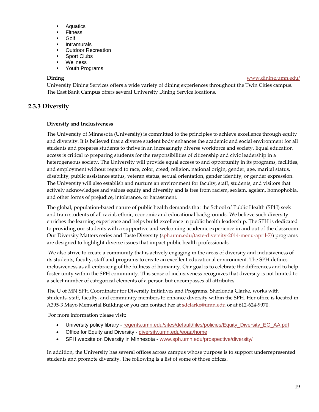- Aquatics
- Fitness
- Golf
- Intramurals
- **•** Outdoor Recreation
- **Sport Clubs**
- Wellness
- **•** Youth Programs

University Dining Services offers a wide variety of dining experiences throughout the Twin Cities campus. The East Bank Campus offers several University Dining Service locations.

### **2.3.3 Diversity**

### **Diversity and Inclusiveness**

The University of Minnesota (University) is committed to the principles to achieve excellence through equity and diversity. It is believed that a diverse student body enhances the academic and social environment for all students and prepares students to thrive in an increasingly diverse workforce and society. Equal education access is critical to preparing students for the responsibilities of citizenship and civic leadership in a heterogeneous society. The University will provide equal access to and opportunity in its programs, facilities, and employment without regard to race, color, creed, religion, national origin, gender, age, marital status, disability, public assistance status, veteran status, sexual orientation, gender identity, or gender expression. The University will also establish and nurture an environment for faculty, staff, students, and visitors that actively acknowledges and values equity and diversity and is free from racism, sexism, ageism, homophobia, and other forms of prejudice, intolerance, or harassment.

The global, population‐based nature of public health demands that the School of Public Health (SPH) seek and train students of all racial, ethnic, economic and educational backgrounds. We believe such diversity enriches the learning experience and helps build excellence in public health leadership. The SPH is dedicated to providing our students with a supportive and welcoming academic experience in and out of the classroom. Our Diversity Matters series and Taste Diversity (sph.umn.edu/taste-diversity-2014-menu-april-7/) programs are designed to highlight diverse issues that impact public health professionals.

We also strive to create a community that is actively engaging in the areas of diversity and inclusiveness of its students, faculty, staff and programs to create an excellent educational environment. The SPH defines inclusiveness as all‐embracing of the fullness of humanity. Our goal is to celebrate the differences and to help foster unity within the SPH community. This sense of inclusiveness recognizes that diversity is not limited to a select number of categorical elements of a person but encompasses all attributes.

The U of MN SPH Coordinator for Diversity Initiatives and Programs, Sherlonda Clarke, works with students, staff, faculty, and community members to enhance diversity within the SPH. Her office is located in A395-3 Mayo Memorial Building or you can contact her at sdclarke@umn.edu or at 612-624-9970.

For more information please visit:

- University policy library regents.umn.edu/sites/default/files/policies/Equity\_Diversity\_EO\_AA.pdf
- Office for Equity and Diversity diversity.umn.edu/eoaa/home
- SPH website on Diversity in Minnesota www.sph.umn.edu/prospective/diversity/

In addition, the University has several offices across campus whose purpose is to support underrepresented students and promote diversity. The following is a list of some of those offices.

### **Dining** www.dining.umn.edu/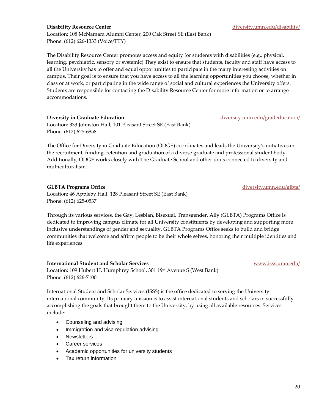Location: 108 McNamara Alumni Center, 200 Oak Street SE (East Bank) Phone: (612) 626‐1333 (Voice/TTY)

The Disability Resource Center promotes access and equity for students with disabilities (e.g., physical, learning, psychiatric, sensory or systemic) They exist to ensure that students, faculty and staff have access to all the University has to offer and equal opportunities to participate in the many interesting activities on campus. Their goal is to ensure that you have access to all the learning opportunities you choose, whether in class or at work, or participating in the wide range of social and cultural experiences the University offers. Students are responsible for contacting the Disability Resource Center for more information or to arrange accommodations.

Location: 333 Johnston Hall, 101 Pleasant Street SE (East Bank) Phone: (612) 625‐6858

The Office for Diversity in Graduate Education (ODGE) coordinates and leads the University's initiatives in the recruitment, funding, retention and graduation of a diverse graduate and professional student body. Additionally, ODGE works closely with The Graduate School and other units connected to diversity and multiculturalism.

Location: 46 Appleby Hall, 128 Pleasant Street SE (East Bank) Phone: (612) 625‐0537

Through its various services, the Gay, Lesbian, Bisexual, Transgender, Ally (GLBTA) Programs Office is dedicated to improving campus climate for all University constituents by developing and supporting more inclusive understandings of gender and sexuality. GLBTA Programs Office seeks to build and bridge communities that welcome and affirm people to be their whole selves, honoring their multiple identities and life experiences.

### **International Student and Scholar Services** www.isss.umn.edu/

Location: 109 Hubert H. Humphrey School, 301 19th Avenue S (West Bank) Phone: (612) 626‐7100

International Student and Scholar Services (ISSS) is the office dedicated to serving the University international community. Its primary mission is to assist international students and scholars in successfully accomplishing the goals that brought them to the University, by using all available resources. Services include:

- Counseling and advising
- Immigration and visa regulation advising
- Newsletters
- Career services
- Academic opportunities for university students
- Tax return information

**Diversity** in Graduate Education diversity.umn.edu/gradeducation/

**GLBTA Programs Office**  $\frac{diversity.umm.edu/glbta}{dx}$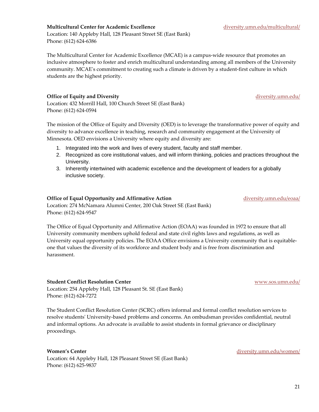**Multicultural Center for Academic Excellence** diversity.umn.edu/multicultural/ Location: 140 Appleby Hall, 128 Pleasant Street SE (East Bank) Phone: (612) 624‐6386

The Multicultural Center for Academic Excellence (MCAE) is a campus-wide resource that promotes an inclusive atmosphere to foster and enrich multicultural understanding among all members of the University community. MCAEʹs commitment to creating such a climate is driven by a student‐first culture in which students are the highest priority.

### **Office of Equity and Diversity** diversity diversity.umn.edu/

Location: 432 Morrill Hall, 100 Church Street SE (East Bank) Phone: (612) 624‐0594

The mission of the Office of Equity and Diversity (OED) is to leverage the transformative power of equity and diversity to advance excellence in teaching, research and community engagement at the University of Minnesota. OED envisions a University where equity and diversity are:

- 1. Integrated into the work and lives of every student, faculty and staff member.
- 2. Recognized as core institutional values, and will inform thinking, policies and practices throughout the University.
- 3. Inherently intertwined with academic excellence and the development of leaders for a globally inclusive society.

### **Office of Equal Opportunity and Affirmative Action**  diversity.umn.edu/eoaa/

Location: 274 McNamara Alumni Center, 200 Oak Street SE (East Bank) Phone: (612) 624‐9547

The Office of Equal Opportunity and Affirmative Action (EOAA) was founded in 1972 to ensure that all University community members uphold federal and state civil rights laws and regulations, as well as University equal opportunity policies. The EOAA Office envisions a University community that is equitable‐ one that values the diversity of its workforce and student body and is free from discrimination and harassment.

### **Student Conflict Resolution Center**  www.sos.umn.edu/

Location: 254 Appleby Hall, 128 Pleasant St. SE (East Bank) Phone: (612) 624‐7272

The Student Conflict Resolution Center (SCRC) offers informal and formal conflict resolution services to resolve studentsʹ University‐based problems and concerns. An ombudsman provides confidential, neutral and informal options. An advocate is available to assist students in formal grievance or disciplinary proceedings.

**Women's Center** diversity.umn.edu/women/ Location: 64 Appleby Hall, 128 Pleasant Street SE (East Bank) Phone: (612) 625‐9837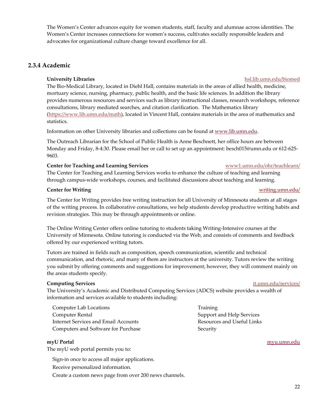The Women's Center advances equity for women students, staff, faculty and alumnae across identities. The Women's Center increases connections for women's success, cultivates socially responsible leaders and advocates for organizational culture change toward excellence for all.

### **2.3.4 Academic**

### **University Libraries** hsl.lib.umn.edu/biomed

The Bio‐Medical Library, located in Diehl Hall, contains materials in the areas of allied health, medicine, mortuary science, nursing, pharmacy, public health, and the basic life sciences. In addition the library provides numerous resources and services such as library instructional classes, research workshops, reference consultations, library mediated searches, and citation clarification. The Mathematics library (https://www.lib.umn.edu/math), located in Vincent Hall, contains materials in the area of mathematics and statistics.

Information on other University libraries and collections can be found at www.lib.umn.edu.

The Outreach Librarian for the School of Public Health is Anne Beschnett, her office hours are between Monday and Friday, 8‐4:30. Please email her or call to set up an appointment: besch015@umn.edu or 612‐625‐ 9603.

### **Center for Teaching and Learning Services** www1.umn.edu/ohr/teachlearn/

The Center for Teaching and Learning Services works to enhance the culture of teaching and learning through campus‐wide workshops, courses, and facilitated discussions about teaching and learning.

### **Center for Writing** writing.umn.edu/

The Center for Writing provides free writing instruction for all University of Minnesota students at all stages of the writing process. In collaborative consultations, we help students develop productive writing habits and revision strategies. This may be through appointments or online.

The Online Writing Center offers online tutoring to students taking Writing‐Intensive courses at the University of Minnesota. Online tutoring is conducted via the Web, and consists of comments and feedback offered by our experienced writing tutors.

Tutors are trained in fields such as composition, speech communication, scientific and technical communication, and rhetoric, and many of them are instructors at the university. Tutors review the writing you submit by offering comments and suggestions for improvement; however, they will comment mainly on the areas students specify.

### **Computing Services** it.umn.edu/services/

The University's Academic and Distributed Computing Services (ADCS) website provides a wealth of information and services available to students including:

Computer Lab Locations Computer Rental Internet Services and Email Accounts Computers and Software for Purchase

The myU web portal permits you to:

Sign-in once to access all major applications.

Receive personalized information.

Create a custom news page from over 200 news channels.

Training Support and Help Services Resources and Useful Links Security

**myU Portal** myu.umn.edu

### 22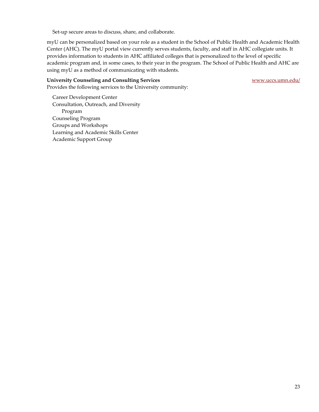Set-up secure areas to discuss, share, and collaborate.

myU can be personalized based on your role as a student in the School of Public Health and Academic Health Center (AHC). The myU portal view currently serves students, faculty, and staff in AHC collegiate units. It provides information to students in AHC affiliated colleges that is personalized to the level of specific academic program and, in some cases, to their year in the program. The School of Public Health and AHC are using myU as a method of communicating with students.

### **University Counseling and Consulting Services** www.uccs.umn.edu/

Provides the following services to the University community:

Career Development Center Consultation, Outreach, and Diversity Program Counseling Program Groups and Workshops Learning and Academic Skills Center Academic Support Group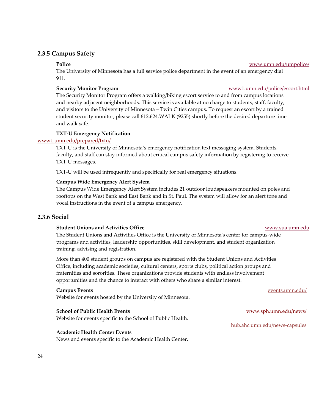### **2.3.5 Campus Safety**

### **Police** www.umn.edu/umpolice/

The University of Minnesota has a full service police department in the event of an emergency dial 911.

### **Security Monitor Program** www1.umn.edu/police/escort.html

The Security Monitor Program offers a walking/biking escort service to and from campus locations and nearby adjacent neighborhoods. This service is available at no charge to students, staff, faculty, and visitors to the University of Minnesota – Twin Cities campus. To request an escort by a trained student security monitor, please call 612.624.WALK (9255) shortly before the desired departure time and walk safe.

### **TXT‐U Emergency Notification**

### www1.umn.edu/prepared/txtu/

TXT-U is the University of Minnesota's emergency notification text messaging system. Students, faculty, and staff can stay informed about critical campus safety information by registering to receive TXT‐U messages.

TXT-U will be used infrequently and specifically for real emergency situations.

### **Campus Wide Emergency Alert System**

The Campus Wide Emergency Alert System includes 21 outdoor loudspeakers mounted on poles and rooftops on the West Bank and East Bank and in St. Paul. The system will allow for an alert tone and vocal instructions in the event of a campus emergency.

### **2.3.6 Social**

### **Student Unions and Activities Office** www.sua.umn.edu

The Student Unions and Activities Office is the University of Minnesotaʹs center for campus‐wide programs and activities, leadership opportunities, skill development, and student organization training, advising and registration.

More than 400 student groups on campus are registered with the Student Unions and Activities Office, including academic societies, cultural centers, sports clubs, political action groups and fraternities and sororities. These organizations provide students with endless involvement opportunities and the chance to interact with others who share a similar interest.

### **Campus Events**

Website for events hosted by the University of Minnesota.

### **School of Public Health Events** Website for events specific to the School of Public Health.

**Academic Health Center Events**

News and events specific to the Academic Health Center.

### events.umn.edu/

### www.sph.umn.edu/news/

hub.ahc.umn.edu/news‐capsules

### 24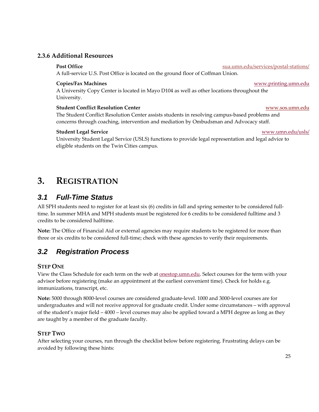### **2.3.6 Additional Resources**

### **Post Office**  sua.umn.edu/services/postal‐stations/

A full‐service U.S. Post Office is located on the ground floor of Coffman Union.

### **Copies/Fax Machines** www.printing.umn.edu

A University Copy Center is located in Mayo D104 as well as other locations throughout the University.

### **Student Conflict Resolution Center** www.sos.umn.edu

The Student Conflict Resolution Center assists students in resolving campus‐based problems and concerns through coaching, intervention and mediation by Ombudsman and Advocacy staff.

### **Student Legal Service** www.umn.edu/usls/

University Student Legal Service (USLS) functions to provide legal representation and legal advice to eligible students on the Twin Cities campus.

### **3. REGISTRATION**

### *3.1 Full-Time Status*

All SPH students need to register for at least six (6) credits in fall and spring semester to be considered fulltime. In summer MHA and MPH students must be registered for 6 credits to be considered fulltime and 3 credits to be considered halftime.

**Note:** The Office of Financial Aid or external agencies may require students to be registered for more than three or six credits to be considered full-time; check with these agencies to verify their requirements.

### *3.2 Registration Process*

### **STEP ONE**

View the Class Schedule for each term on the web at onestop.umn.edu. Select courses for the term with your advisor before registering (make an appointment at the earliest convenient time). Check for holds e.g. immunizations, transcript, etc.

**Note:** 5000 through 8000‐level courses are considered graduate‐level. 1000 and 3000‐level courses are for undergraduates and will not receive approval for graduate credit. Under some circumstances – with approval of the student's major field – 4000 – level courses may also be applied toward a MPH degree as long as they are taught by a member of the graduate faculty.

### **STEP TWO**

After selecting your courses, run through the checklist below before registering. Frustrating delays can be avoided by following these hints:

25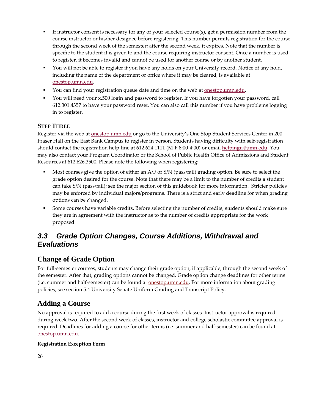- If instructor consent is necessary for any of your selected course(s), get a permission number from the course instructor or his/her designee before registering. This number permits registration for the course through the second week of the semester; after the second week, it expires. Note that the number is specific to the student it is given to and the course requiring instructor consent. Once a number is used to register, it becomes invalid and cannot be used for another course or by another student.
- You will not be able to register if you have any holds on your University record. Notice of any hold, including the name of the department or office where it may be cleared, is available at onestop.umn.edu.
- You can find your registration queue date and time on the web at <u>onestop.umn.edu</u>.
- You will need your x.500 login and password to register. If you have forgotten your password, call 612.301.4357 to have your password reset. You can also call this number if you have problems logging in to register.

### **STEP THREE**

Register via the web at onestop.umn.edu or go to the University's One Stop Student Services Center in 200 Fraser Hall on the East Bank Campus to register in person. Students having difficulty with self‐registration should contact the registration help-line at 612.624.1111 (M-F 8:00-4:00) or email helpingu@umn.edu. You may also contact your Program Coordinator or the School of Public Health Office of Admissions and Student Resources at 612.626.3500. Please note the following when registering:

- Most courses give the option of either an A/F or S/N (pass/fail) grading option. Be sure to select the grade option desired for the course. Note that there may be a limit to the number of credits a student can take S/N (pass/fail); see the major section of this guidebook for more information. Stricter policies may be enforced by individual majors/programs. There is a strict and early deadline for when grading options can be changed.
- Some courses have variable credits. Before selecting the number of credits, students should make sure they are in agreement with the instructor as to the number of credits appropriate for the work proposed.

### *3.3 Grade Option Changes, Course Additions, Withdrawal and Evaluations*

### **Change of Grade Option**

For full-semester courses, students may change their grade option, if applicable, through the second week of the semester. After that, grading options cannot be changed. Grade option change deadlines for other terms (i.e. summer and half-semester) can be found at <u>onestop.umn.edu</u>. For more information about grading policies, see section 5.4 University Senate Uniform Grading and Transcript Policy.

### **Adding a Course**

No approval is required to add a course during the first week of classes. Instructor approval is required during week two. After the second week of classes, instructor and college scholastic committee approval is required. Deadlines for adding a course for other terms (i.e. summer and half‐semester) can be found at onestop.umn.edu.

### **Registration Exception Form**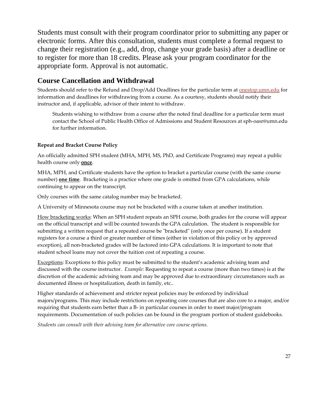Students must consult with their program coordinator prior to submitting any paper or electronic forms. After this consultation, students must complete a formal request to change their registration (e.g., add, drop, change your grade basis) after a deadline or to register for more than 18 credits. Please ask your program coordinator for the appropriate form. Approval is not automatic.

### **Course Cancellation and Withdrawal**

Students should refer to the Refund and Drop/Add Deadlines for the particular term at onestop.umn.edu for information and deadlines for withdrawing from a course. As a courtesy, students should notify their instructor and, if applicable, advisor of their intent to withdraw.

Students wishing to withdraw from a course after the noted final deadline for a particular term must contact the School of Public Health Office of Admissions and Student Resources at sph-oasr@umn.edu for further information.

### **Repeat and Bracket Course Policy**

An officially admitted SPH student (MHA, MPH, MS, PhD, and Certificate Programs) may repeat a public health course only **once**.

MHA, MPH, and Certificate students have the option to bracket a particular course (with the same course number) **one time**. Bracketing is a practice where one grade is omitted from GPA calculations, while continuing to appear on the transcript.

Only courses with the same catalog number may be bracketed.

A University of Minnesota course may not be bracketed with a course taken at another institution.

How bracketing works: When an SPH student repeats an SPH course, both grades for the course will appear on the official transcript and will be counted towards the GPA calculation. The student is responsible for submitting a written request that a repeated course be "bracketed" (only once per course). If a student registers for a course a third or greater number of times (either in violation of this policy or by approved exception), all non-bracketed grades will be factored into GPA calculations. It is important to note that student school loans may not cover the tuition cost of repeating a course.

Exceptions: Exceptions to this policy must be submitted to the student's academic advising team and discussed with the course instructor. *Example:* Requesting to repeat a course (more than two times) is at the discretion of the academic advising team and may be approved due to extraordinary circumstances such as documented illness or hospitalization, death in family, etc..

Higher standards of achievement and stricter repeat policies may be enforced by individual majors/programs. This may include restrictions on repeating core courses that are also core to a major, and/or requiring that students earn better than a B‐ in particular courses in order to meet major/program requirements. Documentation of such policies can be found in the program portion of student guidebooks.

*Students can consult with their advising team for alternative core course options.*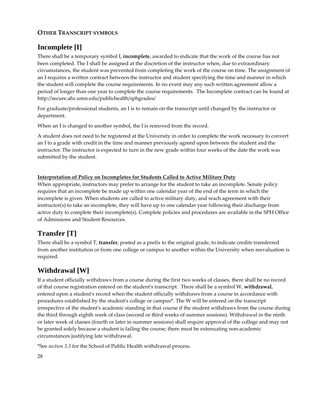### **OTHER TRANSCRIPT SYMBOLS**

### **Incomplete [I]**

There shall be a temporary symbol I, **incomplete**, awarded to indicate that the work of the course has not been completed. The I shall be assigned at the discretion of the instructor when, due to extraordinary circumstances, the student was prevented from completing the work of the course on time. The assignment of an I requires a written contract between the instructor and student specifying the time and manner in which the student will complete the course requirements. In no event may any such written agreement allow a period of longer than one year to complete the course requirements. The Incomplete contract can be found at http://secure.ahc.umn.edu/publichealth/sphgrades/

For graduate/professional students, an I is to remain on the transcript until changed by the instructor or department.

When an I is changed to another symbol, the I is removed from the record.

A student does not need to be registered at the University in order to complete the work necessary to convert an I to a grade with credit in the time and manner previously agreed upon between the student and the instructor.The instructor is expected to turn in the new grade within four weeks of the date the work was submitted by the student.

### **Interpretation of Policy on Incompletes for Students Called to Active Military Duty**

When appropriate, instructors may prefer to arrange for the student to take an incomplete. Senate policy requires that an incomplete be made up within one calendar year of the end of the term in which the incomplete is given. When students are called to active military duty, and reach agreement with their instructor(s) to take an incomplete, they will have up to one calendar year following their discharge from active duty to complete their incomplete(s). Complete policies and procedures are available in the SPH Office of Admissions and Student Resources.

### **Transfer [T]**

There shall be a symbol T, **transfer**, posted as a prefix to the original grade, to indicate credits transferred from another institution or from one college or campus to another within the University when reevaluation is required.

### **Withdrawal [W]**

If a student officially withdraws from a course during the first two weeks of classes, there shall be no record of that course registration entered on the studentʹs transcript. There shall be a symbol W, **withdrawal**, entered upon a studentʹs record when the student officially withdraws from a course in accordance with procedures established by the studentʹs college or campus\*. The W will be entered on the transcript irrespective of the studentʹs academic standing in that course if the student withdraws from the course during the third through eighth week of class (second or third weeks of summer sessions). Withdrawal in the ninth or later week of classes (fourth or later in summer sessions) shall require approval of the college and may not be granted solely because a student is failing the course; there must be extenuating non-academic circumstances justifying late withdrawal.

\*See *section 3.3* for the School of Public Health withdrawal process.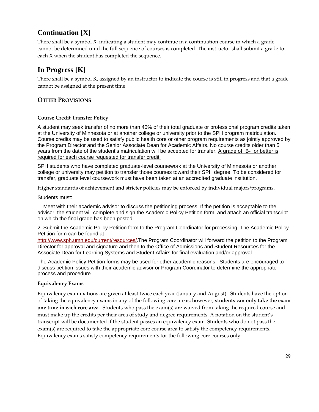### **Continuation [X]**

There shall be a symbol X, indicating a student may continue in a continuation course in which a grade cannot be determined until the full sequence of courses is completed. The instructor shall submit a grade for each X when the student has completed the sequence.

### **In Progress [K]**

There shall be a symbol K, assigned by an instructor to indicate the course is still in progress and that a grade cannot be assigned at the present time.

### **OTHER PROVISIONS**

### **Course Credit Transfer Policy**

A student may seek transfer of no more than 40% of their total graduate or professional program credits taken at the University of Minnesota or at another college or university prior to the SPH program matriculation. Course credits may be used to satisfy public health core or other program requirements as jointly approved by the Program Director and the Senior Associate Dean for Academic Affairs. No course credits older than 5 years from the date of the student's matriculation will be accepted for transfer. A grade of "B-" or better is required for each course requested for transfer credit.

SPH students who have completed graduate-level coursework at the University of Minnesota or another college or university may petition to transfer those courses toward their SPH degree. To be considered for transfer, graduate level coursework must have been taken at an accredited graduate institution.

Higher standards of achievement and stricter policies may be enforced by individual majors/programs.

Students must:

1. Meet with their academic advisor to discuss the petitioning process. If the petition is acceptable to the advisor, the student will complete and sign the Academic Policy Petition form, and attach an official transcript on which the final grade has been posted.

2. Submit the Academic Policy Petition form to the Program Coordinator for processing. The Academic Policy Petition form can be found at

http://www.sph.umn.edu/current/resources/.The Program Coordinator will forward the petition to the Program Director for approval and signature and then to the Office of Admissions and Student Resources for the Associate Dean for Learning Systems and Student Affairs for final evaluation and/or approval.

The Academic Policy Petition forms may be used for other academic reasons. Students are encouraged to discuss petition issues with their academic advisor or Program Coordinator to determine the appropriate process and procedure.

### **Equivalency Exams**

Equivalency examinations are given at least twice each year (January and August). Students have the option of taking the equivalency exams in any of the following core areas; however, **students can only take the exam one time in each core area**. Students who pass the exam(s) are waived from taking the required course and must make up the credits per their area of study and degree requirements. A notation on the student's transcript will be documented if the student passes an equivalency exam. Students who do not pass the exam(s) are required to take the appropriate core course area to satisfy the competency requirements. Equivalency exams satisfy competency requirements for the following core courses only: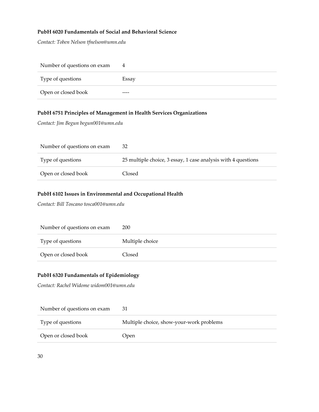### **PubH 6020 Fundamentals of Social and Behavioral Science**

*Contact: Toben Nelson tfnelson@umn.edu* 

| Number of questions on exam | $\overline{4}$ |
|-----------------------------|----------------|
| Type of questions           | Essay          |
| Open or closed book         |                |

### **PubH 6751 Principles of Management in Health Services Organizations**

*Contact: Jim Begun begun001@umn.edu* 

| Number of questions on exam | 32                                                            |
|-----------------------------|---------------------------------------------------------------|
| Type of questions           | 25 multiple choice, 3 essay, 1 case analysis with 4 questions |
| Open or closed book         | <b>Closed</b>                                                 |

### **PubH 6102 Issues in Environmental and Occupational Health**

*Contact: Bill Toscano tosca001@umn.edu* 

| Number of questions on exam | <b>200</b>      |
|-----------------------------|-----------------|
| Type of questions           | Multiple choice |
| Open or closed book         | Closed          |

### **PubH 6320 Fundamentals of Epidemiology**

*Contact: Rachel Widome widom001@umn.edu*

| Number of questions on exam | 31                                       |
|-----------------------------|------------------------------------------|
| Type of questions           | Multiple choice, show-your-work problems |
| Open or closed book         | Open                                     |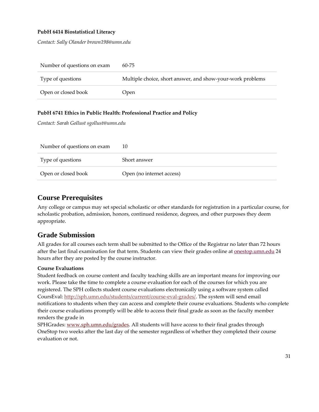### **PubH 6414 Biostatistical Literacy**

*Contact: Sally Olander brown198@umn.edu* 

| Number of questions on exam | $60 - 75$                                                  |
|-----------------------------|------------------------------------------------------------|
| Type of questions           | Multiple choice, short answer, and show-your-work problems |
| Open or closed book         | Open                                                       |

### **PubH 6741 Ethics in Public Health: Professional Practice and Policy**

*Contact: Sarah Gollust sgollust@umn.edu* 

| Number of questions on exam | 10                        |
|-----------------------------|---------------------------|
| Type of questions           | Short answer              |
| Open or closed book         | Open (no internet access) |

### **Course Prerequisites**

Any college or campus may set special scholastic or other standards for registration in a particular course, for scholastic probation, admission, honors, continued residence, degrees, and other purposes they deem appropriate.

### **Grade Submission**

All grades for all courses each term shall be submitted to the Office of the Registrar no later than 72 hours after the last final examination for that term. Students can view their grades online at **onestop**.umn.edu 24 hours after they are posted by the course instructor.

### **Course Evaluations**

Student feedback on course content and faculty teaching skills are an important means for improving our work. Please take the time to complete a course evaluation for each of the courses for which you are registered. The SPH collects student course evaluations electronically using a software system called CoursEval: http://sph.umn.edu/students/current/course-eval-grades/. The system will send email notifications to students when they can access and complete their course evaluations. Students who complete their course evaluations promptly will be able to access their final grade as soon as the faculty member renders the grade in

SPHGrades: www.sph.umn.edu/grades. All students will have access to their final grades through OneStop two weeks after the last day of the semester regardless of whether they completed their course evaluation or not.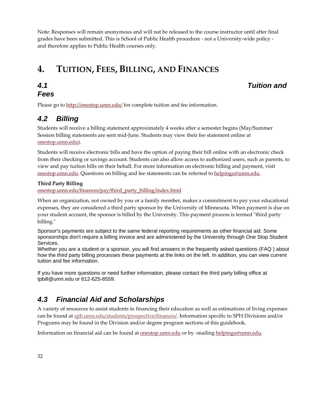Note: Responses will remain anonymous and will not be released to the course instructor until after final grades have been submitted. This is School of Public Health procedure - not a University-wide policy and therefore applies to Public Health courses only.

### **4. TUITION, FEES, BILLING, AND FINANCES**

## *Fees*

### *4.1 Tuition and*

Please go to http://onestop.umn.edu/ for complete tuition and fee information.

### *4.2 Billing*

Students will receive a billing statement approximately 4 weeks after a semester begins (May/Summer Session billing statements are sent mid‐June. Students may view their fee statement online at onestop.umn.edu).

Students will receive electronic bills and have the option of paying their bill online with an electronic check from their checking or savings account. Students can also allow access to authorized users, such as parents, to view and pay tuition bills on their behalf. For more information on electronic billing and payment, visit onestop.umn.edu. Questions on billing and fee statements can be referred to helpingu@umn.edu.

### **Third Party Billing**

onestop.umn.edu/finances/pay/third\_party\_billing/index.html

When an organization, not owned by you or a family member, makes a commitment to pay your educational expenses, they are considered a third party sponsor by the University of Minnesota. When payment is due on your student account, the sponsor is billed by the University. This payment process is termed "third party billing."

Sponsor's payments are subject to the same federal reporting requirements as other financial aid. Some sponsorships don't require a billing invoice and are administered by the University through One Stop Student Services.

Whether you are a student or a sponsor, you will find answers in the frequently asked questions (FAQ ) about how the third party billing processes these payments at the links on the left. In addition, you can view current tuition and fee information.

If you have more questions or need further information, please contact the third party billing office at tpbill@umn.edu or 612-625-8559.

### *4.3 Financial Aid and Scholarships*

A variety of resources to assist students in financing their education as well as estimations of living expenses can be found at sph.umn.edu/students/prospective/finances/. Information specific to SPH Divisions and/or Programs may be found in the Division and/or degree program sections of this guidebook.

Information on financial aid can be found at <u>onestop.umn.edu</u> or by -mailing helpingu@umn.edu.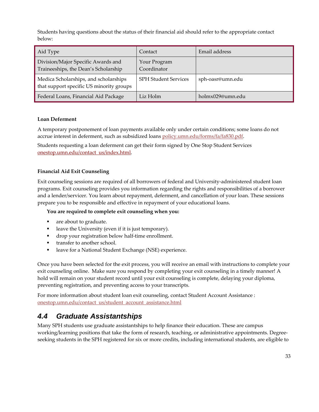Students having questions about the status of their financial aid should refer to the appropriate contact below:

| Aid Type                                                                          | Contact                     | Email address    |
|-----------------------------------------------------------------------------------|-----------------------------|------------------|
| Division/Major Specific Awards and<br>Traineeships, the Dean's Scholarship        | Your Program<br>Coordinator |                  |
| Medica Scholarships, and scholarships<br>that support specific US minority groups | <b>SPH Student Services</b> | sph-oasr@umn.edu |
| Federal Loans, Financial Aid Package                                              | Liz Holm                    | holmx029@umn.edu |

### **Loan Deferment**

A temporary postponement of loan payments available only under certain conditions; some loans do not accrue interest in deferment, such as subsidized loans policy.umn.edu/forms/fa/fa830.pdf.

Students requesting a loan deferment can get their form signed by One Stop Student Services onestop.umn.edu/contact\_us/index.html.

### **Financial Aid Exit Counseling**

Exit counseling sessions are required of all borrowers of federal and University‐administered student loan programs. Exit counseling provides you information regarding the rights and responsibilities of a borrower and a lender/servicer. You learn about repayment, deferment, and cancellation of your loan. These sessions prepare you to be responsible and effective in repayment of your educational loans.

### **You are required to complete exit counseling when you:**

- **are about to graduate.**
- leave the University (even if it is just temporary).
- drop your registration below half-time enrollment.
- **transfer to another school.**
- **-** leave for a National Student Exchange (NSE) experience.

Once you have been selected for the exit process, you will receive an email with instructions to complete your exit counseling online. Make sure you respond by completing your exit counseling in a timely manner! A hold will remain on your student record until your exit counseling is complete, delaying your diploma, preventing registration, and preventing access to your transcripts.

For more information about student loan exit counseling, contact Student Account Assistance : onestop.umn.edu/contact\_us/student\_account\_assistance.html

### *4.4 Graduate Assistantships*

Many SPH students use graduate assistantships to help finance their education. These are campus working/learning positions that take the form of research, teaching, or administrative appointments. Degreeseeking students in the SPH registered for six or more credits, including international students, are eligible to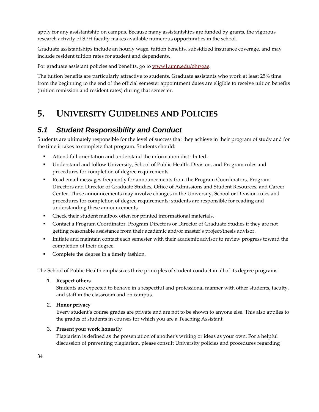apply for any assistantship on campus. Because many assistantships are funded by grants, the vigorous research activity of SPH faculty makes available numerous opportunities in the school.

Graduate assistantships include an hourly wage, tuition benefits, subsidized insurance coverage, and may include resident tuition rates for student and dependents.

For graduate assistant policies and benefits, go to www1.umn.edu/ohr/gae.

The tuition benefits are particularly attractive to students. Graduate assistants who work at least 25% time from the beginning to the end of the official semester appointment dates are eligible to receive tuition benefits (tuition remission and resident rates) during that semester.

### **5. UNIVERSITY GUIDELINES AND POLICIES**

### *5.1 Student Responsibility and Conduct*

Students are ultimately responsible for the level of success that they achieve in their program of study and for the time it takes to complete that program. Students should:

- Attend fall orientation and understand the information distributed.
- Understand and follow University, School of Public Health, Division, and Program rules and procedures for completion of degree requirements.
- Read email messages frequently for announcements from the Program Coordinators, Program Directors and Director of Graduate Studies, Office of Admissions and Student Resources, and Career Center. These announcements may involve changes in the University, School or Division rules and procedures for completion of degree requirements; students are responsible for reading and understanding these announcements.
- Check their student mailbox often for printed informational materials.
- Contact a Program Coordinator, Program Directors or Director of Graduate Studies if they are not getting reasonable assistance from their academic and/or master's project/thesis advisor.
- Initiate and maintain contact each semester with their academic advisor to review progress toward the completion of their degree.
- Complete the degree in a timely fashion.

The School of Public Health emphasizes three principles of student conduct in all of its degree programs:

### 1. **Respect others**

Students are expected to behave in a respectful and professional manner with other students, faculty, and staff in the classroom and on campus.

### 2. **Honor privacy**

Every student's course grades are private and are not to be shown to anyone else. This also applies to the grades of students in courses for which you are a Teaching Assistant.

### 3. **Present your work honestly**

Plagiarism is defined as the presentation of anotherʹs writing or ideas as your own. For a helpful discussion of preventing plagiarism, please consult University policies and procedures regarding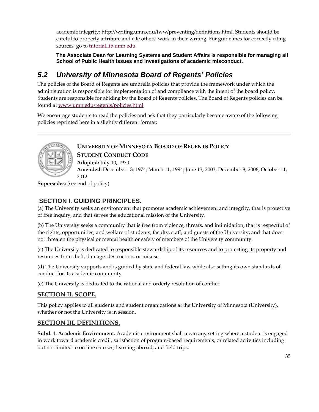academic integrity: http://writing.umn.edu/tww/preventing/definitions.html. Students should be careful to properly attribute and cite othersʹ work in their writing. For guidelines for correctly citing sources, go to **tutorial.lib.umn.edu.** 

**The Associate Dean for Learning Systems and Student Affairs is responsible for managing all School of Public Health issues and investigations of academic misconduct.** 

### *5.2 University of Minnesota Board of Regents' Policies*

The policies of the Board of Regents are umbrella policies that provide the framework under which the administration is responsible for implementation of and compliance with the intent of the board policy. Students are responsible for abiding by the Board of Regents policies. The Board of Regents policies can be found at www.umn.edu/regents/policies.html.

We encourage students to read the policies and ask that they particularly become aware of the following policies reprinted here in a slightly different format:



### **UNIVERSITY OF MINNESOTA BOARD OF REGENTS POLICY STUDENT CONDUCT CODE**

**Adopted:** July 10, 1970 **Amended:** December 13, 1974; March 11, 1994; June 13, 2003; December 8, 2006; October 11, 2012

**Supersedes:** (see end of policy)

### **SECTION I. GUIDING PRINCIPLES.**

(a) The University seeks an environment that promotes academic achievement and integrity, that is protective of free inquiry, and that serves the educational mission of the University.

(b) The University seeks a community that is free from violence, threats, and intimidation; that is respectful of the rights, opportunities, and welfare of students, faculty, staff, and guests of the University; and that does not threaten the physical or mental health or safety of members of the University community.

(c) The University is dedicated to responsible stewardship of its resources and to protecting its property and resources from theft, damage, destruction, or misuse.

(d) The University supports and is guided by state and federal law while also setting its own standards of conduct for its academic community.

(e) The University is dedicated to the rational and orderly resolution of conflict.

### **SECTION II. SCOPE.**

This policy applies to all students and student organizations at the University of Minnesota (University), whether or not the University is in session.

### **SECTION III. DEFINITIONS.**

**Subd. 1. Academic Environment.** Academic environment shall mean any setting where a student is engaged in work toward academic credit, satisfaction of program‐based requirements, or related activities including but not limited to on line courses, learning abroad, and field trips.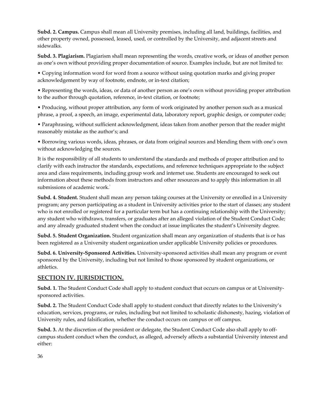**Subd. 2. Campus.** Campus shall mean all University premises, including all land, buildings, facilities, and other property owned, possessed, leased, used, or controlled by the University, and adjacent streets and sidewalks.

**Subd. 3. Plagiarism.** Plagiarism shall mean representing the words, creative work, or ideas of another person as one's own without providing proper documentation of source. Examples include, but are not limited to:

• Copying information word for word from a source without using quotation marks and giving proper acknowledgement by way of footnote, endnote, or in‐text citation;

• Representing the words, ideas, or data of another person as one's own without providing proper attribution to the author through quotation, reference, in‐text citation, or footnote;

• Producing, without proper attribution, any form of work originated by another person such as a musical phrase, a proof, a speech, an image, experimental data, laboratory report, graphic design, or computer code;

• Paraphrasing, without sufficient acknowledgment, ideas taken from another person that the reader might reasonably mistake as the author's; and

• Borrowing various words, ideas, phrases, or data from original sources and blending them with one's own without acknowledging the sources.

It is the responsibility of all students to understand the standards and methods of proper attribution and to clarify with each instructor the standards, expectations, and reference techniques appropriate to the subject area and class requirements, including group work and internet use. Students are encouraged to seek out information about these methods from instructors and other resources and to apply this information in all submissions of academic work.<sup>1</sup>

**Subd. 4. Student.** Student shall mean any person taking courses at the University or enrolled in a University program; any person participating as a student in University activities prior to the start of classes; any student who is not enrolled or registered for a particular term but has a continuing relationship with the University; any student who withdraws, transfers, or graduates after an alleged violation of the Student Conduct Code; and any already graduated student when the conduct at issue implicates the student's University degree.

**Subd. 5. Student Organization.** Student organization shall mean any organization of students that is or has been registered as a University student organization under applicable University policies or procedures.

**Subd. 6. University‐Sponsored Activities.** University‐sponsored activities shall mean any program or event sponsored by the University, including but not limited to those sponsored by student organizations, or athletics.

### **SECTION IV. JURISDICTION.**

**Subd. 1.** The Student Conduct Code shall apply to student conduct that occurs on campus or at University‐ sponsored activities.

**Subd. 2.** The Student Conduct Code shall apply to student conduct that directly relates to the University's education, services, programs, or rules, including but not limited to scholastic dishonesty, hazing, violation of University rules, and falsification, whether the conduct occurs on campus or off campus.

**Subd. 3.** At the discretion of the president or delegate, the Student Conduct Code also shall apply to off‐ campus student conduct when the conduct, as alleged, adversely affects a substantial University interest and either: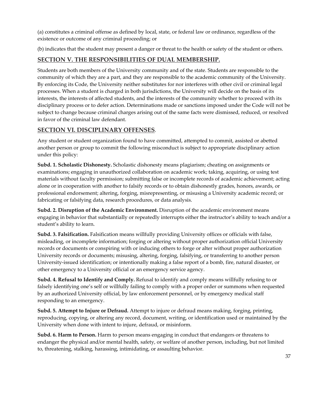(a) constitutes a criminal offense as defined by local, state, or federal law or ordinance, regardless of the existence or outcome of any criminal proceeding; or

(b) indicates that the student may present a danger or threat to the health or safety of the student or others.

## **SECTION V. THE RESPONSIBILITIES OF DUAL MEMBERSHIP.**

Students are both members of the University community and of the state. Students are responsible to the community of which they are a part, and they are responsible to the academic community of the University. By enforcing its Code, the University neither substitutes for nor interferes with other civil or criminal legal processes. When a student is charged in both jurisdictions, the University will decide on the basis of its interests, the interests of affected students, and the interests of the community whether to proceed with its disciplinary process or to defer action. Determinations made or sanctions imposed under the Code will not be subject to change because criminal charges arising out of the same facts were dismissed, reduced, or resolved in favor of the criminal law defendant.

### **SECTION VI. DISCIPLINARY OFFENSES**.

Any student or student organization found to have committed, attempted to commit, assisted or abetted another person or group to commit the following misconduct is subject to appropriate disciplinary action under this policy:

**Subd. 1. Scholastic Dishonesty.** Scholastic dishonesty means plagiarism; cheating on assignments or examinations; engaging in unauthorized collaboration on academic work; taking, acquiring, or using test materials without faculty permission; submitting false or incomplete records of academic achievement; acting alone or in cooperation with another to falsify records or to obtain dishonestly grades, honors, awards, or professional endorsement; altering, forging, misrepresenting, or misusing a University academic record; or fabricating or falsifying data, research procedures, or data analysis.

**Subd. 2. Disruption of the Academic Environment.** Disruption of the academic environment means engaging in behavior that substantially or repeatedly interrupts either the instructor's ability to teach and/or a student's ability to learn.

**Subd. 3. Falsification.** Falsification means willfully providing University offices or officials with false, misleading, or incomplete information; forging or altering without proper authorization official University records or documents or conspiring with or inducing others to forge or alter without proper authorization University records or documents; misusing, altering, forging, falsifying, or transferring to another person University‐issued identification; or intentionally making a false report of a bomb, fire, natural disaster, or other emergency to a University official or an emergency service agency.

**Subd. 4. Refusal to Identify and Comply.** Refusal to identify and comply means willfully refusing to or falsely identifying one's self or willfully failing to comply with a proper order or summons when requested by an authorized University official, by law enforcement personnel, or by emergency medical staff responding to an emergency.

**Subd. 5. Attempt to Injure or Defraud.** Attempt to injure or defraud means making, forging, printing, reproducing, copying, or altering any record, document, writing, or identification used or maintained by the University when done with intent to injure, defraud, or misinform.

**Subd. 6. Harm to Person.** Harm to person means engaging in conduct that endangers or threatens to endanger the physical and/or mental health, safety, or welfare of another person, including, but not limited to, threatening, stalking, harassing, intimidating, or assaulting behavior.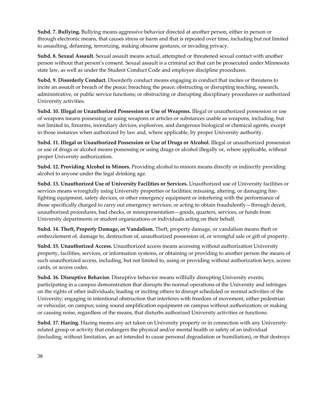**Subd. 7. Bullying.** Bullying means aggressive behavior directed at another person, either in person or through electronic means, that causes stress or harm and that is repeated over time, including but not limited to assaulting, defaming, terrorizing, making obscene gestures, or invading privacy.

**Subd. 8. Sexual Assault.** Sexual assault means actual, attempted or threatened sexual contact with another person without that person's consent. Sexual assault is a criminal act that can be prosecuted under Minnesota state law, as well as under the Student Conduct Code and employee discipline procedures.

**Subd. 9. Disorderly Conduct.** Disorderly conduct means engaging in conduct that incites or threatens to incite an assault or breach of the peace; breaching the peace; obstructing or disrupting teaching, research, administrative, or public service functions; or obstructing or disrupting disciplinary procedures or authorized University activities.

**Subd. 10. Illegal or Unauthorized Possession or Use of Weapons.** Illegal or unauthorized possession or use of weapons means possessing or using weapons or articles or substances usable as weapons, including, but not limited to, firearms, incendiary devices, explosives, and dangerous biological or chemical agents, except in those instances when authorized by law and, where applicable, by proper University authority.

**Subd. 11. Illegal or Unauthorized Possession or Use of Drugs or Alcohol.** Illegal or unauthorized possession or use of drugs or alcohol means possessing or using drugs or alcohol illegally or, where applicable, without proper University authorization.

**Subd. 12. Providing Alcohol to Minors.** Providing alcohol to minors means directly or indirectly providing alcohol to anyone under the legal drinking age.

**Subd. 13. Unauthorized Use of University Facilities or Services.** Unauthorized use of University facilities or services means wrongfully using University properties or facilities; misusing, altering, or damaging firefighting equipment, safety devices, or other emergency equipment or interfering with the performance of those specifically charged to carry out emergency services; or acting to obtain fraudulently—through deceit, unauthorized procedures, bad checks, or misrepresentation—goods, quarters, services, or funds from University departments or student organizations or individuals acting on their behalf.

**Subd. 14. Theft, Property Damage, or Vandalism.** Theft, property damage, or vandalism means theft or embezzlement of, damage to, destruction of, unauthorized possession of, or wrongful sale or gift of property.

**Subd. 15. Unauthorized Access.** Unauthorized access means accessing without authorization University property, facilities, services, or information systems, or obtaining or providing to another person the means of such unauthorized access, including, but not limited to, using or providing without authorization keys, access cards, or access codes.

**Subd. 16. Disruptive Behavior.** Disruptive behavior means willfully disrupting University events; participating in a campus demonstration that disrupts the normal operations of the University and infringes on the rights of other individuals; leading or inciting others to disrupt scheduled or normal activities of the University; engaging in intentional obstruction that interferes with freedom of movement, either pedestrian or vehicular, on campus; using sound amplification equipment on campus without authorization; or making or causing noise, regardless of the means, that disturbs authorized University activities or functions.

**Subd. 17. Hazing.** Hazing means any act taken on University property or in connection with any University‐ related group or activity that endangers the physical and/or mental health or safety of an individual (including, without limitation, an act intended to cause personal degradation or humiliation), or that destroys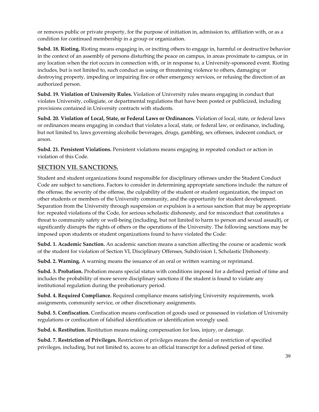or removes public or private property, for the purpose of initiation in, admission to, affiliation with, or as a condition for continued membership in a group or organization.

**Subd. 18. Rioting.** Rioting means engaging in, or inciting others to engage in, harmful or destructive behavior in the context of an assembly of persons disturbing the peace on campus, in areas proximate to campus, or in any location when the riot occurs in connection with, or in response to, a University‐sponsored event. Rioting includes, but is not limited to, such conduct as using or threatening violence to others, damaging or destroying property, impeding or impairing fire or other emergency services, or refusing the direction of an authorized person.

**Subd. 19. Violation of University Rules.** Violation of University rules means engaging in conduct that violates University, collegiate, or departmental regulations that have been posted or publicized, including provisions contained in University contracts with students.

**Subd. 20. Violation of Local, State, or Federal Laws or Ordinances.** Violation of local, state, or federal laws or ordinances means engaging in conduct that violates a local, state, or federal law, or ordinance, including, but not limited to, laws governing alcoholic beverages, drugs, gambling, sex offenses, indecent conduct, or arson.

**Subd. 21. Persistent Violations.** Persistent violations means engaging in repeated conduct or action in violation of this Code.

### **SECTION VII. SANCTIONS.**

Student and student organizations found responsible for disciplinary offenses under the Student Conduct Code are subject to sanctions. Factors to consider in determining appropriate sanctions include: the nature of the offense, the severity of the offense, the culpability of the student or student organization, the impact on other students or members of the University community, and the opportunity for student development. Separation from the University through suspension or expulsion is a serious sanction that may be appropriate for: repeated violations of the Code, for serious scholastic dishonesty, and for misconduct that constitutes a threat to community safety or well-being (including, but not limited to harm to person and sexual assault), or significantly disrupts the rights of others or the operations of the University. The following sanctions may be imposed upon students or student organizations found to have violated the Code:

**Subd. 1. Academic Sanction.** An academic sanction means a sanction affecting the course or academic work of the student for violation of Section VI, Disciplinary Offenses, Subdivision 1, Scholastic Dishonesty.

**Subd. 2. Warning.** A warning means the issuance of an oral or written warning or reprimand.

**Subd. 3. Probation.** Probation means special status with conditions imposed for a defined period of time and includes the probability of more severe disciplinary sanctions if the student is found to violate any institutional regulation during the probationary period.

**Subd. 4. Required Compliance.** Required compliance means satisfying University requirements, work assignments, community service, or other discretionary assignments.

**Subd. 5. Confiscation.** Confiscation means confiscation of goods used or possessed in violation of University regulations or confiscation of falsified identification or identification wrongly used.

**Subd. 6. Restitution.** Restitution means making compensation for loss, injury, or damage.

**Subd. 7. Restriction of Privileges.** Restriction of privileges means the denial or restriction of specified privileges, including, but not limited to, access to an official transcript for a defined period of time.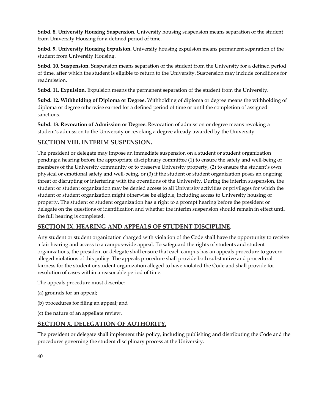**Subd. 8. University Housing Suspension.** University housing suspension means separation of the student from University Housing for a defined period of time.

**Subd. 9. University Housing Expulsion.** University housing expulsion means permanent separation of the student from University Housing.

**Subd. 10. Suspension.** Suspension means separation of the student from the University for a defined period of time, after which the student is eligible to return to the University. Suspension may include conditions for readmission.

**Subd. 11. Expulsion.** Expulsion means the permanent separation of the student from the University.

**Subd. 12. Withholding of Diploma or Degree.** Withholding of diploma or degree means the withholding of diploma or degree otherwise earned for a defined period of time or until the completion of assigned sanctions.

**Subd. 13. Revocation of Admission or Degree.** Revocation of admission or degree means revoking a student's admission to the University or revoking a degree already awarded by the University.

## **SECTION VIII. INTERIM SUSPENSION.**

The president or delegate may impose an immediate suspension on a student or student organization pending a hearing before the appropriate disciplinary committee (1) to ensure the safety and well‐being of members of the University community or to preserve University property, (2) to ensure the student's own physical or emotional safety and well‐being, or (3) if the student or student organization poses an ongoing threat of disrupting or interfering with the operations of the University. During the interim suspension, the student or student organization may be denied access to all University activities or privileges for which the student or student organization might otherwise be eligible, including access to University housing or property. The student or student organization has a right to a prompt hearing before the president or delegate on the questions of identification and whether the interim suspension should remain in effect until the full hearing is completed.

#### **SECTION IX. HEARING AND APPEALS OF STUDENT DISCIPLINE**.

Any student or student organization charged with violation of the Code shall have the opportunity to receive a fair hearing and access to a campus‐wide appeal. To safeguard the rights of students and student organizations, the president or delegate shall ensure that each campus has an appeals procedure to govern alleged violations of this policy. The appeals procedure shall provide both substantive and procedural fairness for the student or student organization alleged to have violated the Code and shall provide for resolution of cases within a reasonable period of time.

The appeals procedure must describe:

- (a) grounds for an appeal;
- (b) procedures for filing an appeal; and
- (c) the nature of an appellate review.

#### **SECTION X. DELEGATION OF AUTHORITY.**

The president or delegate shall implement this policy, including publishing and distributing the Code and the procedures governing the student disciplinary process at the University.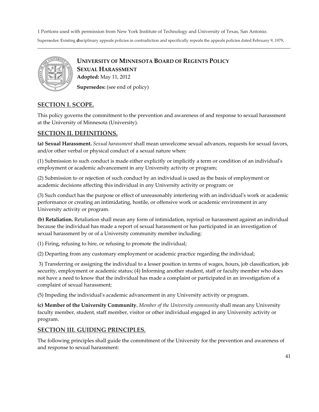1 Portions used with permission from New York Institute of Technology and University of Texas, San Antonio. Supersedes: Existing **d**isciplinary appeals policies in contradiction and specifically repeals the appeals policies dated February 9, 1979**.**



**UNIVERSITY OF MINNESOTA BOARD OF REGENTS POLICY SEXUAL HARASSMENT Adopted:** May 11, 2012 **Supersedes:** (see end of policy)

# **SECTION I. SCOPE.**

This policy governs the commitment to the prevention and awareness of and response to sexual harassment at the University of Minnesota (University).

# **SECTION II. DEFINITIONS.**

**(a) Sexual Harassment.** *Sexual harassment* shall mean unwelcome sexual advances, requests for sexual favors, and/or other verbal or physical conduct of a sexual nature when:

(1) Submission to such conduct is made either explicitly or implicitly a term or condition of an individualʹs employment or academic advancement in any University activity or program;

(2) Submission to or rejection of such conduct by an individual is used as the basis of employment or academic decisions affecting this individual in any University activity or program: or

(3) Such conduct has the purpose or effect of unreasonably interfering with an individual's work or academic performance or creating an intimidating, hostile, or offensive work or academic environment in any University activity or program.

**(b) Retaliation.** Retaliation shall mean any form of intimidation, reprisal or harassment against an individual because the individual has made a report of sexual harassment or has participated in an investigation of sexual harassment by or of a University community member including:

(1) Firing, refusing to hire, or refusing to promote the individual;

(2) Departing from any customary employment or academic practice regarding the individual;

3) Transferring or assigning the individual to a lesser position in terms of wages, hours, job classification, job security, employment or academic status; (4) Informing another student, staff or faculty member who does not have a need to know that the individual has made a complaint or participated in an investigation of a complaint of sexual harassment;

(5) Impeding the individualʹs academic advancement in any University activity or program.

**(c) Member of the University Community.** *Member of the University community* shall mean any University faculty member, student, staff member, visitor or other individual engaged in any University activity or program.

## **SECTION III. GUIDING PRINCIPLES.**

The following principles shall guide the commitment of the University for the prevention and awareness of and response to sexual harassment: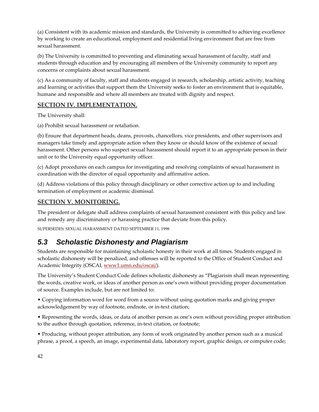(a) Consistent with its academic mission and standards, the University is committed to achieving excellence by working to create an educational, employment and residential living environment that are free from sexual harassment.

(b) The University is committed to preventing and eliminating sexual harassment of faculty, staff and students through education and by encouraging all members of the University community to report any concerns or complaints about sexual harassment.

(c) As a community of faculty, staff and students engaged in research, scholarship, artistic activity, teaching and learning or activities that support them the University seeks to foster an environment that is equitable, humane and responsible and where all members are treated with dignity and respect.

## **SECTION IV. IMPLEMENTATION.**

The University shall:

(a) Prohibit sexual harassment or retaliation.

(b) Ensure that department heads, deans, provosts, chancellors, vice presidents, and other supervisors and managers take timely and appropriate action when they know or should know of the existence of sexual harassment. Other persons who suspect sexual harassment should report it to an appropriate person in their unit or to the University equal opportunity officer.

(c) Adopt procedures on each campus for investigating and resolving complaints of sexual harassment in coordination with the director of equal opportunity and affirmative action.

(d) Address violations of this policy through disciplinary or other corrective action up to and including termination of employment or academic dismissal.

## **SECTION V. MONITORING.**

The president or delegate shall address complaints of sexual harassment consistent with this policy and law and remedy any discriminatory or harassing practice that deviate from this policy.

SUPERSEDES: SEXUAL HARASSMENT DATED SEPTEMBER 11, 1998

# *5.3 Scholastic Dishonesty and Plagiarism*

Students are responsible for maintaining scholastic honesty in their work at all times. Students engaged in scholastic dishonesty will be penalized, and offenses will be reported to the Office of Student Conduct and Academic Integrity (OSCAI, www1.umn.edu/oscai/).

The University's Student Conduct Code defines scholastic dishonesty as "Plagiarism shall mean representing the words, creative work, or ideas of another person as one's own without providing proper documentation of source. Examples include, but are not limited to:

• Copying information word for word from a source without using quotation marks and giving proper acknowledgement by way of footnote, endnote, or in‐text citation;

• Representing the words, ideas, or data of another person as one's own without providing proper attribution to the author through quotation, reference, in-text citation, or footnote;

• Producing, without proper attribution, any form of work originated by another person such as a musical phrase, a proof, a speech, an image, experimental data, laboratory report, graphic design, or computer code;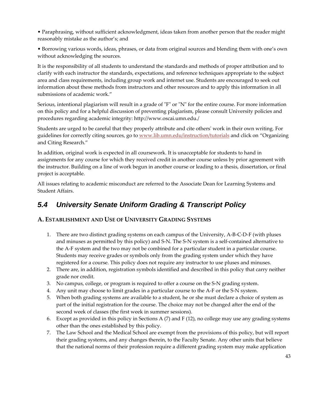• Paraphrasing, without sufficient acknowledgment, ideas taken from another person that the reader might reasonably mistake as the author's; and

• Borrowing various words, ideas, phrases, or data from original sources and blending them with one's own without acknowledging the sources.

It is the responsibility of all students to understand the standards and methods of proper attribution and to clarify with each instructor the standards, expectations, and reference techniques appropriate to the subject area and class requirements, including group work and internet use. Students are encouraged to seek out information about these methods from instructors and other resources and to apply this information in all submissions of academic work."

Serious, intentional plagiarism will result in a grade of "F" or "N" for the entire course. For more information on this policy and for a helpful discussion of preventing plagiarism, please consult University policies and procedures regarding academic integrity: http://www.oscai.umn.edu./

Students are urged to be careful that they properly attribute and cite othersʹ work in their own writing. For guidelines for correctly citing sources, go to www.lib.umn.edu/instruction/tutorials and click on "Organizing and Citing Research."

In addition, original work is expected in all coursework. It is unacceptable for students to hand in assignments for any course for which they received credit in another course unless by prior agreement with the instructor. Building on a line of work begun in another course or leading to a thesis, dissertation, or final project is acceptable.

All issues relating to academic misconduct are referred to the Associate Dean for Learning Systems and Student Affairs.

# *5.4 University Senate Uniform Grading & Transcript Policy*

#### **A. ESTABLISHMENT AND USE OF UNIVERSITY GRADING SYSTEMS**

- 1. There are two distinct grading systems on each campus of the University, A‐B‐C‐D‐F (with pluses and minuses as permitted by this policy) and S‐N. The S‐N system is a self‐contained alternative to the A‐F system and the two may not be combined for a particular student in a particular course. Students may receive grades or symbols only from the grading system under which they have registered for a course. This policy does not require any instructor to use pluses and minuses.
- 2. There are, in addition, registration symbols identified and described in this policy that carry neither grade nor credit.
- 3. No campus, college, or program is required to offer a course on the S‐N grading system.
- 4. Any unit may choose to limit grades in a particular course to the A-F or the S-N system.
- 5. When both grading systems are available to a student, he or she must declare a choice of system as part of the initial registration for the course. The choice may not be changed after the end of the second week of classes (the first week in summer sessions).
- 6. Except as provided in this policy in Sections A (7) and F (12), no college may use any grading systems other than the ones established by this policy.
- 7. The Law School and the Medical School are exempt from the provisions of this policy, but will report their grading systems, and any changes therein, to the Faculty Senate. Any other units that believe that the national norms of their profession require a different grading system may make application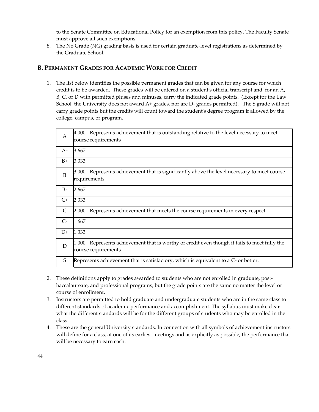to the Senate Committee on Educational Policy for an exemption from this policy. The Faculty Senate must approve all such exemptions.

8. The No Grade (NG) grading basis is used for certain graduate-level registrations as determined by the Graduate School.

#### **B. PERMANENT GRADES FOR ACADEMIC WORK FOR CREDIT**

1. The list below identifies the possible permanent grades that can be given for any course for which credit is to be awarded. These grades will be entered on a studentʹs official transcript and, for an A, B, C, or D with permitted pluses and minuses, carry the indicated grade points. (Except for the Law School, the University does not award A+ grades, nor are D- grades permitted). The S grade will not carry grade points but the credits will count toward the student's degree program if allowed by the college, campus, or program.

| A            | 4.000 - Represents achievement that is outstanding relative to the level necessary to meet<br>course requirements     |
|--------------|-----------------------------------------------------------------------------------------------------------------------|
| A-           | 3.667                                                                                                                 |
| $B+$         | 3.333                                                                                                                 |
| B            | 3.000 - Represents achievement that is significantly above the level necessary to meet course<br>requirements         |
| $B-$         | 2.667                                                                                                                 |
| $C+$         | 2.333                                                                                                                 |
| $\mathsf{C}$ | 2.000 - Represents achievement that meets the course requirements in every respect                                    |
| $C-$         | 1.667                                                                                                                 |
| $D+$         | 1.333                                                                                                                 |
| D            | 1.000 - Represents achievement that is worthy of credit even though it fails to meet fully the<br>course requirements |
| S            | Represents achievement that is satisfactory, which is equivalent to a C- or better.                                   |

- 2. These definitions apply to grades awarded to students who are not enrolled in graduate, postbaccalaureate, and professional programs, but the grade points are the same no matter the level or course of enrollment.
- 3. Instructors are permitted to hold graduate and undergraduate students who are in the same class to different standards of academic performance and accomplishment. The syllabus must make clear what the different standards will be for the different groups of students who may be enrolled in the class.
- 4. These are the general University standards. In connection with all symbols of achievement instructors will define for a class, at one of its earliest meetings and as explicitly as possible, the performance that will be necessary to earn each.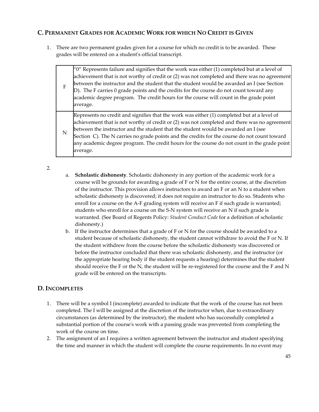### **C. PERMANENT GRADES FOR ACADEMIC WORK FOR WHICH NO CREDIT IS GIVEN**

1. There are two permanent grades given for a course for which no credit is to be awarded. These grades will be entered on a studentʹs official transcript.



#### 2.

- a. **Scholastic dishonesty**. Scholastic dishonesty in any portion of the academic work for a course will be grounds for awarding a grade of F or N for the entire course, at the discretion of the instructor. This provision allows instructors to award an F or an N to a student when scholastic dishonesty is discovered; it does not require an instructor to do so. Students who enroll for a course on the A-F grading system will receive an F if such grade is warranted; students who enroll for a course on the S‐N system will receive an N if such grade is warranted. (See Board of Regents Policy: *Student Conduct Code* for a definition of scholastic dishonesty.)
- b. If the instructor determines that a grade of F or N for the course should be awarded to a student because of scholastic dishonesty, the student cannot withdraw to avoid the F or N. If the student withdrew from the course before the scholastic dishonesty was discovered or before the instructor concluded that there was scholastic dishonesty, and the instructor (or the appropriate hearing body if the student requests a hearing) determines that the student should receive the F or the N, the student will be re-registered for the course and the F and N grade will be entered on the transcripts.

#### **D. INCOMPLETES**

- 1. There will be a symbol I (incomplete) awarded to indicate that the work of the course has not been completed. The I will be assigned at the discretion of the instructor when, due to extraordinary circumstances (as determined by the instructor), the student who has successfully completed a substantial portion of the course's work with a passing grade was prevented from completing the work of the course on time.
- 2. The assignment of an I requires a written agreement between the instructor and student specifying the time and manner in which the student will complete the course requirements. In no event may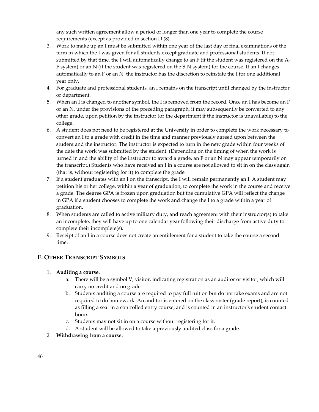any such written agreement allow a period of longer than one year to complete the course requirements (except as provided in section D (8).

- 3. Work to make up an I must be submitted within one year of the last day of final examinations of the term in which the I was given for all students except graduate and professional students. If not submitted by that time, the I will automatically change to an F (if the student was registered on the A‐ F system) or an N (if the student was registered on the S‐N system) for the course. If an I changes automatically to an F or an N, the instructor has the discretion to reinstate the I for one additional year only.
- 4. For graduate and professional students, an I remains on the transcript until changed by the instructor or department.
- 5. When an I is changed to another symbol, the I is removed from the record. Once an I has become an F or an N, under the provisions of the preceding paragraph, it may subsequently be converted to any other grade, upon petition by the instructor (or the department if the instructor is unavailable) to the college.
- 6. A student does not need to be registered at the University in order to complete the work necessary to convert an I to a grade with credit in the time and manner previously agreed upon between the student and the instructor. The instructor is expected to turn in the new grade within four weeks of the date the work was submitted by the student. (Depending on the timing of when the work is turned in and the ability of the instructor to award a grade, an F or an N may appear temporarily on the transcript.) Students who have received an I in a course are not allowed to sit in on the class again (that is, without registering for it) to complete the grade
- 7. If a student graduates with an I on the transcript, the I will remain permanently an I. A student may petition his or her college, within a year of graduation, to complete the work in the course and receive a grade. The degree GPA is frozen upon graduation but the cumulative GPA will reflect the change in GPA if a student chooses to complete the work and change the I to a grade within a year of graduation.
- 8. When students are called to active military duty, and reach agreement with their instructor(s) to take an incomplete, they will have up to one calendar year following their discharge from active duty to complete their incomplete(s).
- 9. Receipt of an I in a course does not create an entitlement for a student to take the course a second time.

## **E. OTHER TRANSCRIPT SYMBOLS**

#### 1. **Auditing a course.**

- a. There will be a symbol V, visitor, indicating registration as an auditor or visitor, which will carry no credit and no grade.
- b. Students auditing a course are required to pay full tuition but do not take exams and are not required to do homework. An auditor is entered on the class roster (grade report), is counted as filling a seat in a controlled entry course, and is counted in an instructorʹs student contact hours.
- c. Students may not sit in on a course without registering for it.
- d. A student will be allowed to take a previously audited class for a grade.
- 2. **Withdrawing from a course.**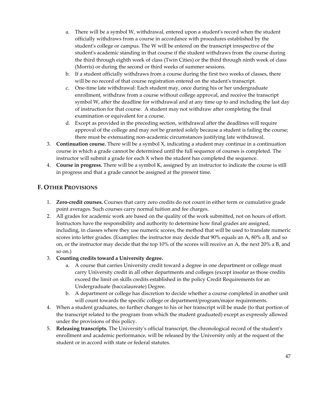- a. There will be a symbol W, withdrawal, entered upon a student's record when the student officially withdraws from a course in accordance with procedures established by the student's college or campus. The W will be entered on the transcript irrespective of the student's academic standing in that course if the student withdraws from the course during the third through eighth week of class (Twin Cities) or the third through ninth week of class (Morris) or during the second or third weeks of summer sessions.
- b. If a student officially withdraws from a course during the first two weeks of classes, there will be no record of that course registration entered on the student's transcript.
- c. One‐time late withdrawal: Each student may, once during his or her undergraduate enrollment, withdraw from a course without college approval, and receive the transcript symbol W, after the deadline for withdrawal and at any time up to and including the last day of instruction for that course. A student may not withdraw after completing the final examination or equivalent for a course.
- d. Except as provided in the preceding section, withdrawal after the deadlines will require approval of the college and may not be granted solely because a student is failing the course; there must be extenuating non‐academic circumstances justifying late withdrawal.
- 3. **Continuation course.** There will be a symbol X, indicating a student may continue in a continuation course in which a grade cannot be determined until the full sequence of courses is completed. The instructor will submit a grade for each X when the student has completed the sequence.
- 4. **Course in progress.** There will be a symbol K, assigned by an instructor to indicate the course is still in progress and that a grade cannot be assigned at the present time.

## **F. OTHER PROVISIONS**

- 1. **Zero‐credit courses.** Courses that carry zero credits do not count in either term or cumulative grade point averages. Such courses carry normal tuition and fee charges.
- 2. All grades for academic work are based on the quality of the work submitted, not on hours of effort. Instructors have the responsibility and authority to determine how final grades are assigned, including, in classes where they use numeric scores, the method that will be used to translate numeric scores into letter grades. (Examples: the instructor may decide that 90% equals an A, 80% a B, and so on, or the instructor may decide that the top 10% of the scores will receive an A, the next 20% a B, and so on.)
- 3. **Counting credits toward a University degree.**
	- a. A course that carries University credit toward a degree in one department or college must carry University credit in all other departments and colleges (except insofar as those credits exceed the limit on skills credits established in the policy Credit Requirements for an Undergraduate (baccalaureate) Degree.
	- b. A department or college has discretion to decide whether a course completed in another unit will count towards the specific college or department/program/major requirements.
- 4. When a student graduates, no further changes to his or her transcript will be made (to that portion of the transcript related to the program from which the student graduated) except as expressly allowed under the provisions of this policy.
- 5. **Releasing transcripts.** The Universityʹs official transcript, the chronological record of the studentʹs enrollment and academic performance, will be released by the University only at the request of the student or in accord with state or federal statutes.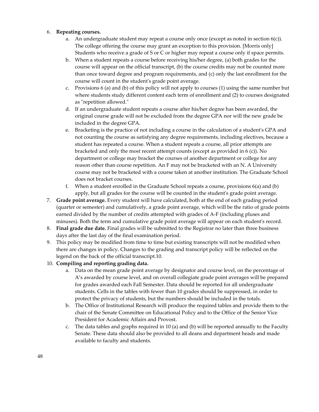#### 6. **Repeating courses.**

- a. An undergraduate student may repeat a course only once (except as noted in section  $6(c)$ ). The college offering the course may grant an exception to this provision. [Morris only] Students who receive a grade of S or C or higher may repeat a course only if space permits.
- b. When a student repeats a course before receiving his/her degree, (a) both grades for the course will appear on the official transcript, (b) the course credits may not be counted more than once toward degree and program requirements, and (c) only the last enrollment for the course will count in the studentʹs grade point average.
- c. Provisions 6 (a) and (b) of this policy will not apply to courses (1) using the same number but where students study different content each term of enrollment and (2) to courses designated as "repetition allowed."
- d. If an undergraduate student repeats a course after his/her degree has been awarded, the original course grade will not be excluded from the degree GPA nor will the new grade be included in the degree GPA.
- e. Bracketing is the practice of not including a course in the calculation of a student's GPA and not counting the course as satisfying any degree requirements, including electives, because a student has repeated a course. When a student repeats a course, all prior attempts are bracketed and only the most recent attempt counts (except as provided in 6 (c)). No department or college may bracket the courses of another department or college for any reason other than course repetition. An F may not be bracketed with an N. A University course may not be bracketed with a course taken at another institution. The Graduate School does not bracket courses.
- f. When a student enrolled in the Graduate School repeats a course, provisions 6(a) and (b) apply, but all grades for the course will be counted in the studentʹs grade point average.
- 7. **Grade point average.** Every student will have calculated, both at the end of each grading period (quarter or semester) and cumulatively, a grade point average, which will be the ratio of grade points earned divided by the number of credits attempted with grades of A‐F (including pluses and minuses). Both the term and cumulative grade point average will appear on each student's record.
- 8. **Final grade due date.** Final grades will be submitted to the Registrar no later than three business days after the last day of the final examination period.
- 9. This policy may be modified from time to time but existing transcripts will not be modified when there are changes in policy. Changes to the grading and transcript policy will be reflected on the legend on the back of the official transcript.10.

#### 10. **Compiling and reporting grading data.**

- a. Data on the mean grade point average by designator and course level, on the percentage of A's awarded by course level, and on overall collegiate grade point averages will be prepared for grades awarded each Fall Semester. Data should be reported for all undergraduate students. Cells in the tables with fewer than 10 grades should be suppressed, in order to protect the privacy of students, but the numbers should be included in the totals.
- b. The Office of Institutional Research will produce the required tables and provide them to the chair of the Senate Committee on Educational Policy and to the Office of the Senior Vice President for Academic Affairs and Provost.
- c. The data tables and graphs required in 10 (a) and (b) will be reported annually to the Faculty Senate. These data should also be provided to all deans and department heads and made available to faculty and students.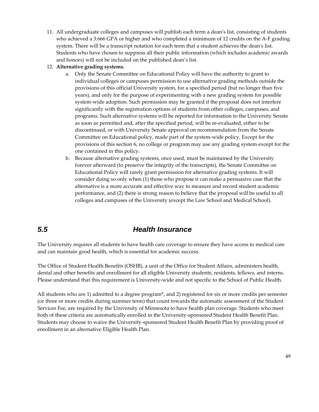11. All undergraduate colleges and campuses will publish each term a deanʹs list, consisting of students who achieved a 3.666 GPA or higher and who completed a minimum of 12 credits on the A-F grading system. There will be a transcript notation for each term that a student achieves the dean's list. Students who have chosen to suppress all their public information (which includes academic awards and honors) will not be included on the published dean's list.

#### 12. **Alternative grading systems.**

- a. Only the Senate Committee on Educational Policy will have the authority to grant to individual colleges or campuses permission to use alternative grading methods outside the provisions of this official University system, for a specified period (but no longer than five years), and only for the purpose of experimenting with a new grading system for possible system-wide adoption. Such permission may be granted if the proposal does not interfere significantly with the registration options of students from other colleges, campuses, and programs. Such alternative systems will be reported for information to the University Senate as soon as permitted and, after the specified period, will be re-evaluated, either to be discontinued, or with University Senate approval on recommendation from the Senate Committee on Educational policy, made part of the system-wide policy. Except for the provisions of this section 6, no college or program may use any grading system except for the one contained in this policy.
- b. Because alternative grading systems, once used, must be maintained by the University forever afterward (to preserve the integrity of the transcripts), the Senate Committee on Educational Policy will rarely grant permission for alternative grading systems. It will consider doing so only when (1) those who propose it can make a persuasive case that the alternative is a more accurate and effective way to measure and record student academic performance, and (2) there is strong reason to believe that the proposal will be useful to all colleges and campuses of the University (except the Law School and Medical School).

# *5.5 Health Insurance*

The University requires all students to have health care coverage to ensure they have access to medical care and can maintain good health, which is essential for academic success.

The Office of Student Health Benefits (OSHB), a unit of the Office for Student Affairs, administers health, dental and other benefits and enrollment for all eligible University students, residents, fellows, and interns. Please understand that this requirement is University‐wide and not specific to the School of Public Health.

All students who are 1) admitted to a degree program\*, and 2) registered for six or more credits per semester (or three or more credits during summer term) that count towards the automatic assessment of the Student Services Fee, are required by the University of Minnesota to have health plan coverage. Students who meet both of these criteria are automatically enrolled in the University-sponsored Student Health Benefit Plan. Students may choose to waive the University‐sponsored Student Health Benefit Plan by providing proof of enrollment in an alternative Eligible Health Plan.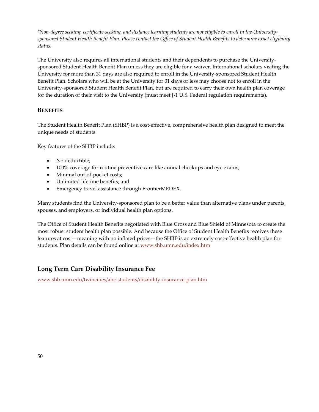\*Non-degree seeking, certificate-seeking, and distance learning students are not eligible to enroll in the Universitysponsored Student Health Benefit Plan. Please contact the Office of Student Health Benefits to determine exact eligibility *status.*

The University also requires all international students and their dependents to purchase the University‐ sponsored Student Health Benefit Plan unless they are eligible for a waiver. International scholars visiting the University for more than 31 days are also required to enroll in the University‐sponsored Student Health Benefit Plan. Scholars who will be at the University for 31 days or less may choose not to enroll in the University‐sponsored Student Health Benefit Plan, but are required to carry their own health plan coverage for the duration of their visit to the University (must meet J-1 U.S. Federal regulation requirements).

#### **BENEFITS**

The Student Health Benefit Plan (SHBP) is a cost-effective, comprehensive health plan designed to meet the unique needs of students.

Key features of the SHBP include:

- No deductible;
- 100% coverage for routine preventive care like annual checkups and eye exams;
- Minimal out-of-pocket costs;
- Unlimited lifetime benefits; and
- Emergency travel assistance through FrontierMEDEX.

Many students find the University‐sponsored plan to be a better value than alternative plans under parents, spouses, and employers, or individual health plan options.

The Office of Student Health Benefits negotiated with Blue Cross and Blue Shield of Minnesota to create the most robust student health plan possible. And because the Office of Student Health Benefits receives these features at cost—meaning with no inflated prices—the SHBP is an extremely cost-effective health plan for students. Plan details can be found online at www.shb.umn.edu/index.htm

#### **Long Term Care Disability Insurance Fee**

www.shb.umn.edu/twincities/ahc‐students/disability‐insurance‐plan.htm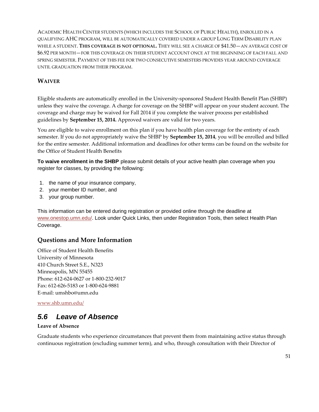ACADEMIC HEALTH CENTER STUDENTS (WHICH INCLUDES THE SCHOOL OF PUBLIC HEALTH), ENROLLED IN A QUALIFYING AHC PROGRAM, WILL BE AUTOMATICALLY COVERED UNDER A GROUP LONG TERM DISABILITY PLAN WHILE A STUDENT. **THIS COVERAGE IS NOT OPTIONAL.** THEY WILL SEE A CHARGE OF \$41.50—AN AVERAGE COST OF \$6.92 PER MONTH—FOR THIS COVERAGE ON THEIR STUDENT ACCOUNT ONCE AT THE BEGINNING OF EACH FALL AND SPRING SEMESTER. PAYMENT OF THIS FEE FOR TWO CONSECUTIVE SEMESTERS PROVIDES YEAR AROUND COVERAGE UNTIL GRADUATION FROM THEIR PROGRAM.

# **WAIVER**

Eligible students are automatically enrolled in the University‐sponsored Student Health Benefit Plan (SHBP) unless they waive the coverage. A charge for coverage on the SHBP will appear on your student account. The coverage and charge may be waived for Fall 2014 if you complete the waiver process per established guidelines by **September 15, 2014.** Approved waivers are valid for two years.

You are eligible to waive enrollment on this plan if you have health plan coverage for the entirety of each semester. If you do not appropriately waive the SHBP by **September 15, 2014**, you will be enrolled and billed for the entire semester. Additional information and deadlines for other terms can be found on the website for the Office of Student Health Benefits

**To waive enrollment in the SHBP** please submit details of your active health plan coverage when you register for classes, by providing the following:

- 1. the name of your insurance company,
- 2. your member ID number, and
- 3. your group number.

This information can be entered during registration or provided online through the deadline at www.onestop.umn.edu/. Look under Quick Links, then under Registration Tools, then select Health Plan Coverage.

# **Questions and More Information**

Office of Student Health Benefits University of Minnesota 410 Church Street S.E., N323 Minneapolis, MN 55455 Phone: 612‐624‐0627 or 1‐800‐232‐9017 Fax: 612‐626‐5183 or 1‐800‐624‐9881 E‐mail: umshbo@umn.edu

www.shb.umn.edu/

# *5.6 Leave of Absence*

#### **Leave of Absence**

Graduate students who experience circumstances that prevent them from maintaining active status through continuous registration (excluding summer term), and who, through consultation with their Director of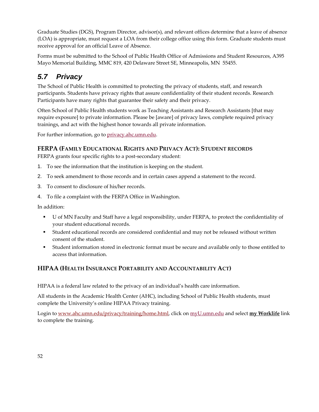Graduate Studies (DGS), Program Director, advisor(s), and relevant offices determine that a leave of absence (LOA) is appropriate, must request a LOA from their college office using this form. Graduate students must receive approval for an official Leave of Absence.

Forms must be submitted to the School of Public Health Office of Admissions and Student Resources, A395 Mayo Memorial Building, MMC 819, 420 Delaware Street SE, Minneapolis, MN 55455.

# *5.7 Privacy*

The School of Public Health is committed to protecting the privacy of students, staff, and research participants. Students have privacy rights that assure confidentiality of their student records. Research Participants have many rights that guarantee their safety and their privacy.

Often School of Public Health students work as Teaching Assistants and Research Assistants [that may require exposure] to private information. Please be [aware] of privacy laws, complete required privacy trainings, and act with the highest honor towards all private information.

For further information, go to privacy.ahc.umn.edu.

### **FERPA (FAMILY EDUCATIONAL RIGHTS AND PRIVACY ACT): STUDENT RECORDS**

FERPA grants four specific rights to a post-secondary student:

- 1. To see the information that the institution is keeping on the student.
- 2. To seek amendment to those records and in certain cases append a statement to the record.
- 3. To consent to disclosure of his/her records.
- 4. To file a complaint with the FERPA Office in Washington.

In addition:

- U of MN Faculty and Staff have a legal responsibility, under FERPA, to protect the confidentiality of your student educational records.
- Student educational records are considered confidential and may not be released without written consent of the student.
- Student information stored in electronic format must be secure and available only to those entitled to access that information.

## **HIPAA (HEALTH INSURANCE PORTABILITY AND ACCOUNTABILITY ACT)**

HIPAA is a federal law related to the privacy of an individual's health care information.

All students in the Academic Health Center (AHC), including School of Public Health students, must complete the University's online HIPAA Privacy training.

Login to www.ahc.umn.edu/privacy/training/home.html, click on myU.umn.edu and select **my Worklife** link to complete the training.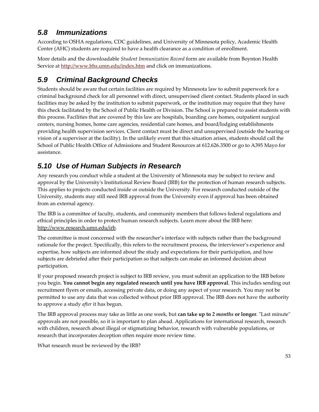# *5.8 Immunizations*

According to OSHA regulations, CDC guidelines, and University of Minnesota policy, Academic Health Center (AHC) students are required to have a health clearance as a condition of enrollment.

More details and the downloadable *Student Immunization Record* form are available from Boynton Health Service at http://www.bhs.umn.edu/index.htm and click on immunizations.

# *5.9 Criminal Background Checks*

Students should be aware that certain facilities are required by Minnesota law to submit paperwork for a criminal background check for all personnel with direct, unsupervised client contact. Students placed in such facilities may be asked by the institution to submit paperwork, or the institution may require that they have this check facilitated by the School of Public Health or Division. The School is prepared to assist students with this process. Facilities that are covered by this law are hospitals, boarding care homes, outpatient surgical centers, nursing homes, home care agencies, residential care homes, and board/lodging establishments providing health supervision services. Client contact must be direct and unsupervised (outside the hearing or vision of a supervisor at the facility). In the unlikely event that this situation arises, students should call the School of Public Health Office of Admissions and Student Resources at 612.626.3500 or go to A395 Mayo for assistance.

# *5.10 Use of Human Subjects in Research*

Any research you conduct while a student at the University of Minnesota may be subject to review and approval by the Universityʹs Institutional Review Board (IRB) for the protection of human research subjects. This applies to projects conducted inside or outside the University. For research conducted outside of the University, students may still need IRB approval from the University even if approval has been obtained from an external agency.

The IRB is a committee of faculty, students, and community members that follows federal regulations and ethical principles in order to protect human research subjects. Learn more about the IRB here: http://www.research.umn.edu/irb.

The committee is most concerned with the researcher's interface with subjects rather than the background rationale for the project. Specifically, this refers to the recruitment process, the interviewer's experience and expertise, how subjects are informed about the study and expectations for their participation, and how subjects are debriefed after their participation so that subjects can make an informed decision about participation.

If your proposed research project is subject to IRB review, you must submit an application to the IRB before you begin. **You cannot begin any regulated research until you have IRB approval**. This includes sending out recruitment flyers or emails, accessing private data, or doing any aspect of your research. You may not be permitted to use any data that was collected without prior IRB approval. The IRB does not have the authority to approve a study *after* it has begun.

The IRB approval process may take as little as one week, but **can take up to** *2 months* **or longer**. ʺLast minuteʺ approvals are not possible, so it is important to plan ahead. Applications for international research, research with children, research about illegal or stigmatizing behavior, research with vulnerable populations, or research that incorporates deception often require more review time.

What research must be reviewed by the IRB?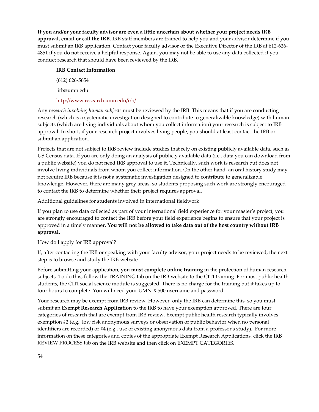**If you and/or your faculty advisor are even a little uncertain about whether your project needs IRB approval, email or call the IRB**. IRB staff members are trained to help you and your advisor determine if you must submit an IRB application. Contact your faculty advisor or the Executive Director of the IRB at 612‐626‐ 4851 if you do not receive a helpful response. Again, you may not be able to use any data collected if you conduct research that should have been reviewed by the IRB.

# **IRB Contact Information**

(612) 626‐5654

irb@umn.edu

http://www.research.umn.edu/irb/

Any *research involving human subjects* must be reviewed by the IRB. This means that if you are conducting research (which is a systematic investigation designed to contribute to generalizable knowledge) with human subjects (which are living individuals about whom you collect information) your research is subject to IRB approval. In short, if your research project involves living people, you should at least contact the IRB or submit an application.

Projects that are not subject to IRB review include studies that rely on existing publicly available data, such as US Census data. If you are only doing an analysis of publicly available data (i.e., data you can download from a public website) you do not need IRB approval to use it. Technically, such work is research but does not involve living individuals from whom you collect information. On the other hand, an oral history study may not require IRB because it is not a systematic investigation designed to contribute to generalizable knowledge. However, there are many grey areas, so students proposing such work are strongly encouraged to contact the IRB to determine whether their project requires approval.

Additional guidelines for students involved in international fieldwork

If you plan to use data collected as part of your international field experience for your master's project, you are strongly encouraged to contact the IRB before your field experience begins to ensure that your project is approved in a timely manner. **You will not be allowed to take data out of the host country without IRB approval.**

How do I apply for IRB approval?

If, after contacting the IRB or speaking with your faculty advisor, your project needs to be reviewed, the next step is to browse and study the IRB website.

Before submitting your application, **you must complete online training** in the protection of human research subjects. To do this, follow the TRAINING tab on the IRB website to the CITI training. For most public health students, the CITI social science module is suggested. There is no charge for the training but it takes up to four hours to complete. You will need your UMN X.500 username and password.

Your research may be exempt from IRB review. However, only the IRB can determine this, so you must submit an **Exempt Research Application** to the IRB to have your exemption approved. There are four categories of research that are exempt from IRB review. Exempt public health research typically involves exemption #2 (e.g., low risk anonymous surveys or observation of public behavior when no personal identifiers are recorded) or #4 (e.g., use of existing anonymous data from a professor's study). For more information on these categories and copies of the appropriate Exempt Research Applications, click the IRB REVIEW PROCESS tab on the IRB website and then click on EXEMPT CATEGORIES.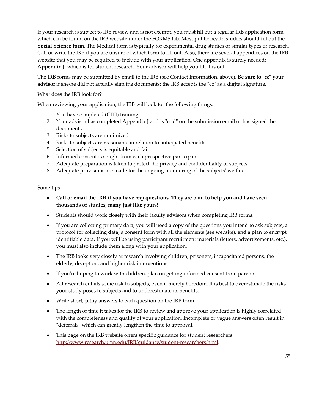If your research is subject to IRB review and is not exempt, you must fill out a regular IRB application form, which can be found on the IRB website under the FORMS tab. Most public health studies should fill out the **Social Science form**. The Medical form is typically for experimental drug studies or similar types of research. Call or write the IRB if you are unsure of which form to fill out. Also, there are several appendices on the IRB website that you may be required to include with your application. One appendix is surely needed: **Appendix J**, which is for student research. Your advisor will help you fill this out.

The IRB forms may be submitted by email to the IRB (see Contact Information, above). Be sure to "cc" your **advisor** if she/he did not actually sign the documents: the IRB accepts the "cc" as a digital signature.

#### What does the IRB look for?

When reviewing your application, the IRB will look for the following things:

- 1. You have completed (CITI) training
- 2. Your advisor has completed Appendix J and is "cc'd" on the submission email or has signed the documents
- 3. Risks to subjects are minimized
- 4. Risks to subjects are reasonable in relation to anticipated benefits
- 5. Selection of subjects is equitable and fair
- 6. Informed consent is sought from each prospective participant
- 7. Adequate preparation is taken to protect the privacy and confidentiality of subjects
- 8. Adequate provisions are made for the ongoing monitoring of the subjectsʹ welfare

#### Some tips

- **Call or email the IRB if you have** *any* **questions. They are paid to help you and have seen thousands of studies, many just like yours!**
- Students should work closely with their faculty advisors when completing IRB forms.
- If you are collecting primary data, you will need a copy of the questions you intend to ask subjects, a protocol for collecting data, a consent form with all the elements (see website), and a plan to encrypt identifiable data. If you will be using participant recruitment materials (letters, advertisements, etc.), you must also include them along with your application.
- The IRB looks very closely at research involving children, prisoners, incapacitated persons, the elderly, deception, and higher risk interventions.
- If you're hoping to work with children, plan on getting informed consent from parents.
- All research entails some risk to subjects, even if merely boredom. It is best to overestimate the risks your study poses to subjects and to underestimate its benefits.
- Write short, pithy answers to each question on the IRB form.
- The length of time it takes for the IRB to review and approve your application is highly correlated with the completeness and qualify of your application. Incomplete or vague answers often result in "deferrals" which can greatly lengthen the time to approval.
- This page on the IRB website offers specific guidance for student researchers: http://www.research.umn.edu/IRB/guidance/student‐researchers.html.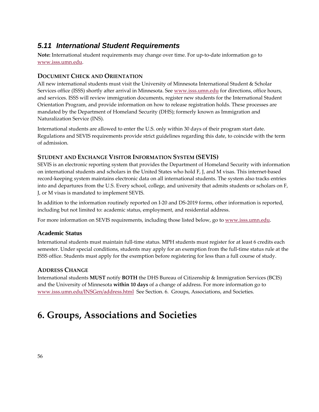# *5.11 International Student Requirements*

**Note:** International student requirements may change over time. For up‐to‐date information go to www.isss.umn.edu.

## **DOCUMENT CHECK AND ORIENTATION**

All new international students must visit the University of Minnesota International Student & Scholar Services office (ISSS) shortly after arrival in Minnesota. See www.isss.umn.edu for directions, office hours, and services. ISSS will review immigration documents, register new students for the International Student Orientation Program, and provide information on how to release registration holds. These processes are mandated by the Department of Homeland Security (DHS); formerly known as Immigration and Naturalization Service (INS).

International students are allowed to enter the U.S. only within 30 days of their program start date. Regulations and SEVIS requirements provide strict guidelines regarding this date, to coincide with the term of admission.

#### **STUDENT AND EXCHANGE VISITOR INFORMATION SYSTEM (SEVIS)**

SEVIS is an electronic reporting system that provides the Department of Homeland Security with information on international students and scholars in the United States who hold F, J, and M visas. This internet-based record‐keeping system maintains electronic data on all international students. The system also tracks entries into and departures from the U.S. Every school, college, and university that admits students or scholars on F, J, or M visas is mandated to implement SEVIS.

In addition to the information routinely reported on I-20 and DS-2019 forms, other information is reported, including but not limited to: academic status, employment, and residential address.

For more information on SEVIS requirements, including those listed below, go to www.isss.umn.edu.

#### **Academic Status**

International students must maintain full‐time status. MPH students must register for at least 6 credits each semester. Under special conditions, students may apply for an exemption from the full-time status rule at the ISSS office. Students must apply for the exemption before registering for less than a full course of study.

#### **ADDRESS CHANGE**

International students **MUST** notify **BOTH** the DHS Bureau of Citizenship & Immigration Services (BCIS) and the University of Minnesota **within 10 days** of a change of address. For more information go to www.isss.umn.edu/INSGen/address.html See Section. 6. Groups, Associations, and Societies.

# **6. Groups, Associations and Societies**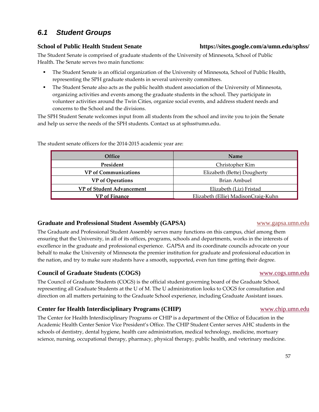# *6.1 Student Groups*

The Student Senate is comprised of graduate students of the University of Minnesota, School of Public Health. The Senate serves two main functions:

- The Student Senate is an official organization of the University of Minnesota, School of Public Health, representing the SPH graduate students in several university committees.
- The Student Senate also acts as the public health student association of the University of Minnesota, organizing activities and events among the graduate students in the school. They participate in volunteer activities around the Twin Cities, organize social events, and address student needs and concerns to the School and the divisions.

The SPH Student Senate welcomes input from all students from the school and invite you to join the Senate and help us serve the needs of the SPH students. Contact us at sphss@umn.edu.

| <b>Office</b>               | Name                                |
|-----------------------------|-------------------------------------|
| President                   | Christopher Kim                     |
| <b>VP</b> of Communications | Elizabeth (Bette) Dougherty         |
| <b>VP</b> of Operations     | Brian Ambuel                        |
| VP of Student Advancement   | Elizabeth (Liz) Fristad             |
| <b>VP</b> of Finance        | Elizabeth (Ellie) MadisonCraig-Kuhn |

The student senate officers for the 2014‐2015 academic year are:

#### **Graduate and Professional Student Assembly (GAPSA)** www.gapsa.umn.edu

The Graduate and Professional Student Assembly serves many functions on this campus, chief among them ensuring that the University, in all of its offices, programs, schools and departments, works in the interests of excellence in the graduate and professional experience. GAPSA and its coordinate councils advocate on your behalf to make the University of Minnesota the premier institution for graduate and professional education in the nation, and try to make sure students have a smooth, supported, even fun time getting their degree.

#### **Council of Graduate Students (COGS)** www.cogs.umn.edu

The Council of Graduate Students (COGS) is the official student governing board of the Graduate School, representing all Graduate Students at the U of M. The U administration looks to COGS for consultation and direction on all matters pertaining to the Graduate School experience, including Graduate Assistant issues.

## **Center for Health Interdisciplinary Programs (CHIP)** www.chip.umn.edu

The Center for Health Interdisciplinary Programs or CHIP is a department of the Office of Education in the Academic Health Center Senior Vice President's Office. The CHIP Student Center serves AHC students in the schools of dentistry, dental hygiene, health care administration, medical technology, medicine, mortuary science, nursing, occupational therapy, pharmacy, physical therapy, public health, and veterinary medicine.

# **School of Public Health Student Senate https://sites.google.com/a/umn.edu/sphss/**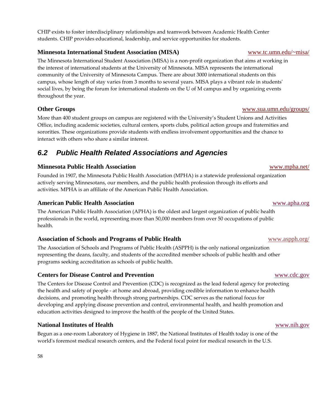CHIP exists to foster interdisciplinary relationships and teamwork between Academic Health Center students. CHIP provides educational, leadership, and service opportunities for students.

# **Minnesota International Student Association (MISA)** *www.tc.umn.edu/~misa/*

The Minnesota International Student Association (MISA) is a non‐profit organization that aims at working in the interest of international students at the University of Minnesota. MISA represents the international community of the University of Minnesota Campus. There are about 3000 international students on this campus, whose length of stay varies from 3 months to several years. MISA plays a vibrant role in studentsʹ social lives, by being the forum for international students on the U of M campus and by organizing events throughout the year.

**Other Groups www.sua.umn.edu/groups/** 

More than 400 student groups on campus are registered with the University's Student Unions and Activities Office, including academic societies, cultural centers, sports clubs, political action groups and fraternities and sororities. These organizations provide students with endless involvement opportunities and the chance to interact with others who share a similar interest.

# *6.2 Public Health Related Associations and Agencies*

# **Minnesota Public Health Association** www.mpha.net/

Founded in 1907, the Minnesota Public Health Association (MPHA) is a statewide professional organization actively serving Minnesotans, our members, and the public health profession through its efforts and activities. MPHA is an affiliate of the American Public Health Association.

# **American Public Health Association** www.apha.org

The American Public Health Association (APHA) is the oldest and largest organization of public health professionals in the world, representing more than 50,000 members from over 50 occupations of public health.

# **Association of Schools and Programs of Public Health**  www.aspph.org/

The Association of Schools and Programs of Public Health (ASPPH) is the only national organization representing the deans, faculty, and students of the accredited member schools of public health and other programs seeking accreditation as schools of public health.

# **Centers for Disease Control and Prevention** www.cdc.gov

The Centers for Disease Control and Prevention (CDC) is recognized as the lead federal agency for protecting the health and safety of people ‐ at home and abroad, providing credible information to enhance health decisions, and promoting health through strong partnerships. CDC serves as the national focus for developing and applying disease prevention and control, environmental health, and health promotion and education activities designed to improve the health of the people of the United States.

# **National Institutes of Health** www.nih.gov

Begun as a one‐room Laboratory of Hygiene in 1887, the National Institutes of Health today is one of the world's foremost medical research centers, and the Federal focal point for medical research in the U.S.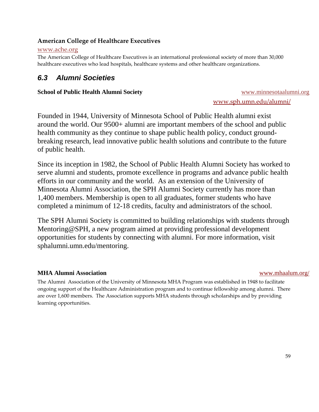# **American College of Healthcare Executives**

## www.ache.org

The American College of Healthcare Executives is an international professional society of more than 30,000 healthcare executives who lead hospitals, healthcare systems and other healthcare organizations.

# *6.3 Alumni Societies*

## **School of Public Health Alumni Society** www.minnesotaalumni.org

www.sph.umn.edu/alumni/

Founded in 1944, University of Minnesota School of Public Health alumni exist around the world. Our 9500+ alumni are important members of the school and public health community as they continue to shape public health policy, conduct groundbreaking research, lead innovative public health solutions and contribute to the future of public health.

Since its inception in 1982, the School of Public Health Alumni Society has worked to serve alumni and students, promote excellence in programs and advance public health efforts in our community and the world. As an extension of the University of Minnesota Alumni Association, the SPH Alumni Society currently has more than 1,400 members. Membership is open to all graduates, former students who have completed a minimum of 12-18 credits, faculty and administrators of the school.

The SPH Alumni Society is committed to building relationships with students through Mentoring@SPH, a new program aimed at providing professional development opportunities for students by connecting with alumni. For more information, visit sphalumni.umn.edu/mentoring.

## **MHA Alumni Association** www.mhaalum.org/

The Alumni Association of the University of Minnesota MHA Program was established in 1948 to facilitate ongoing support of the Healthcare Administration program and to continue fellowship among alumni. There are over 1,600 members. The Association supports MHA students through scholarships and by providing learning opportunities.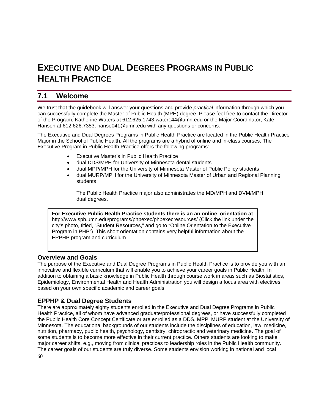# **EXECUTIVE AND DUAL DEGREES PROGRAMS IN PUBLIC HEALTH PRACTICE**

# **7.1 Welcome**

We trust that the guidebook will answer your questions and provide *practical* information through which you can successfully complete the Master of Public Health (MPH) degree. Please feel free to contact the Director of the Program, Katherine Waters at 612.625.1743 water144@umn.edu or the Major Coordinator, Kate Hanson at 612.626.7353, hanso041@umn.edu with any questions or concerns.

The Executive and Dual Degrees Programs in Public Health Practice are located in the Public Health Practice Major in the School of Public Health. All the programs are a hybrid of online and in-class courses. The Executive Program in Public Health Practice offers the following programs:

- Executive Master's in Public Health Practice
- dual DDS/MPH for University of Minnesota dental students
- dual MPP/MPH for the University of Minnesota Master of Public Policy students
- dual MURP/MPH for the University of Minnesota Master of Urban and Regional Planning students

The Public Health Practice major also administrates the MD/MPH and DVM/MPH dual degrees.

**For Executive Public Health Practice students there is an an online orientation at**  http://www.sph.umn.edu/programs/phpexec/phpexecresources/ (Click the link under the city's photo, titled, "Student Resources," and go to "Online Orientation to the Executive Program in PHP") This short orientation contains very helpful information about the EPPHP program and curriculum.

#### **Overview and Goals**

The purpose of the Executive and Dual Degree Programs in Public Health Practice is to provide you with an innovative and flexible curriculum that will enable you to achieve your career goals in Public Health. In addition to obtaining a basic knowledge in Public Health through course work in areas such as Biostatistics, Epidemiology, Environmental Health and Health Administration you will design a focus area with electives based on your own specific academic and career goals.

## **EPPHP & Dual Degree Students**

60 There are approximately eighty students enrolled in the Executive and Dual Degree Programs in Public Health Practice, all of whom have advanced graduate/professional degrees, or have successfully completed the Public Health Core Concept Certificate or are enrolled as a DDS, MPP, MURP student at the University of Minnesota. The educational backgrounds of our students include the disciplines of education, law, medicine, nutrition, pharmacy, public health, psychology, dentistry, chiropractic and veterinary medicine. The goal of some students is to become more effective in their current practice. Others students are looking to make major career shifts, e.g., moving from clinical practices to leadership roles in the Public Health community. The career goals of our students are truly diverse. Some students envision working in national and local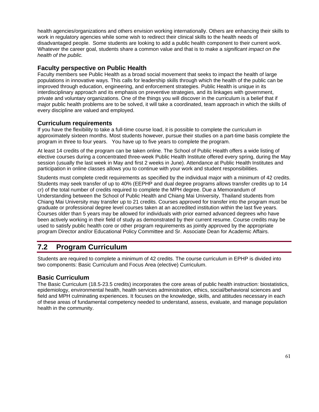health agencies/organizations and others envision working internationally. Others are enhancing their skills to work in regulatory agencies while some wish to redirect their clinical skills to the health needs of disadvantaged people. Some students are looking to add a public health component to their current work. Whatever the career goal, students share a common value and that is to make a *significant impact on the health of the public.*

#### **Faculty perspective on Public Health**

Faculty members see Public Health as a broad social movement that seeks to impact the health of large populations in innovative ways. This calls for leadership skills through which the health of the public can be improved through education, engineering, and enforcement strategies. Public Health is unique in its interdisciplinary approach and its emphasis on preventive strategies, and its linkages with government, private and voluntary organizations. One of the things you will discover in the curriculum is a belief that if major public health problems are to be solved, it will take a coordinated, team approach in which the skills of every discipline are valued and employed.

### **Curriculum requirements**

If you have the flexibility to take a full-time course load, it is possible to complete the curriculum in approximately sixteen months. Most students however, pursue their studies on a part-time basis complete the program in three to four years. You have up to five years to complete the program.

At least 14 credits of the program can be taken online. The School of Public Health offers a wide listing of elective courses during a concentrated three-week Public Health Institute offered every spring, during the May session (usually the last week in May and first 2 weeks in June). Attendance at Public Health Institutes and participation in online classes allows you to continue with your work and student responsibilities.

Students must complete credit requirements as specified by the individual major with a minimum of 42 credits. Students may seek transfer of up to 40% (EEPHP and dual degree programs allows transfer credits up to 14 cr) of the total number of credits required to complete the MPH degree. Due a Memorandum of Understanding between the School of Public Health and Chiang Mai University, Thailand students from Chiang Mai University may transfer up to 21 credits. Courses approved for transfer into the program must be graduate or professional degree level courses taken at an accredited institution within the last five years. Courses older than 5 years may be allowed for individuals with prior earned advanced degrees who have been actively working in their field of study as demonstrated by their current resume. Course credits may be used to satisfy public health core or other program requirements as jointly approved by the appropriate program Director and/or Educational Policy Committee and Sr. Associate Dean for Academic Affairs.

# **7.2 Program Curriculum**

Students are required to complete a minimum of 42 credits. The course curriculum in EPHP is divided into two components: Basic Curriculum and Focus Area (elective) Curriculum.

## **Basic Curriculum**

The Basic Curriculum (18.5-23.5 credits) incorporates the core areas of public health instruction: biostatistics, epidemiology, environmental health, health services administration, ethics, social/behavioral sciences and field and MPH culminating experiences. It focuses on the knowledge, skills, and attitudes necessary in each of these areas of fundamental competency needed to understand, assess, evaluate, and manage population health in the community.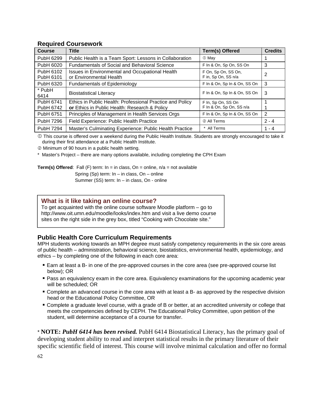#### **Required Coursework**

| <b>Course</b>          | Title                                                                                                      | Term(s) Offered                                | <b>Credits</b> |
|------------------------|------------------------------------------------------------------------------------------------------------|------------------------------------------------|----------------|
| PubH 6299              | Public Health is a Team Sport: Lessons in Collaboration                                                    | $\circled{0}$ May                              |                |
| PubH 6020              | Fundamentals of Social and Behavioral Science                                                              | F In & On, Sp On, SS On                        | 3              |
| PubH 6102<br>PubH 6101 | Issues in Environmental and Occupational Health<br>or Environmental Health                                 | F On, Sp On, SS On,<br>F in, Sp On, SS n/a     | 2              |
| PubH 6320              | Fundamentals of Epidemiology                                                                               | F In & On, Sp In & On, SS On                   | 3              |
| * PubH<br>6414         | <b>Biostatistical Literacy</b>                                                                             | F In & On, Sp In & On, SS On                   | 3              |
| PubH 6741<br>PubH 6742 | Ethics in Public Health: Professional Practice and Policy<br>or Ethics in Public Health: Research & Policy | F In, Sp On, SS On<br>F In & On, Sp On, SS n/a |                |
| PubH 6751              | Principles of Management in Health Services Orgs                                                           | F In & On, Sp In & On, SS On                   | 2              |
| PubH 7296              | Field Experience: Public Health Practice                                                                   | 2 All Terms                                    | $2 - 4$        |
| <b>PubH 7294</b>       | Master's Culminating Experience: Public Health Practice                                                    | All Terms                                      | $1 - 4$        |

 This course is offered over a weekend during the Public Health Institute. Students are strongly encouraged to take it during their first attendance at a Public Health Institute.

Minimum of 90 hours in a public health setting.

\* Master's Project – there are many options available, including completing the CPH Exam

**Term(s) Offered:** Fall (F) term:  $\ln$  = in class, On = online,  $n/a$  = not available

Spring (Sp) term:  $In - in class$ , On – online

Summer (SS) term: In – in class, On - online

### **What is it like taking an online course?**

To get acquainted with the online course software Moodle platform  $-$  go to http://www.oit.umn.edu/moodle/looks/index.htm and visit a live demo course sites on the right side in the grey box, titled "Cooking with Chocolate site."

## **Public Health Core Curriculum Requirements**

MPH students working towards an MPH degree must satisfy competency requirements in the six core areas of public health – administration, behavioral science, biostatistics, environmental health, epidemiology, and ethics – by completing one of the following in each core area:

- **Earn at least a B- in one of the pre-approved courses in the core area (see pre-approved course list** below); OR
- **Pass an equivalency exam in the core area. Equivalency examinations for the upcoming academic year** will be scheduled; OR
- **Complete an advanced course in the core area with at least a B- as approved by the respective division** head or the Educational Policy Committee, OR
- Complete a graduate level course, with a grade of B or better, at an accredited university or college that meets the competencies defined by CEPH. The Educational Policy Committee, upon petition of the student, will determine acceptance of a course for transfer.

\* **NOTE:** *PubH 6414 has been revised.* PubH 6414 Biostatistical Literacy, has the primary goal of developing student ability to read and interpret statistical results in the primary literature of their specific scientific field of interest. This course will involve minimal calculation and offer no formal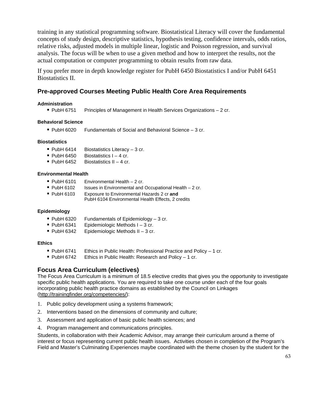training in any statistical programming software. Biostatistical Literacy will cover the fundamental concepts of study design, descriptive statistics, hypothesis testing, confidence intervals, odds ratios, relative risks, adjusted models in multiple linear, logistic and Poisson regression, and survival analysis. The focus will be when to use a given method and how to interpret the results, not the actual computation or computer programming to obtain results from raw data.

If you prefer more in depth knowledge register for PubH 6450 Biostatistics I and/or PubH 6451 Biostatistics II.

## **Pre-approved Courses Meeting Public Health Core Area Requirements**

#### **Administration**

**PubH 6751** Principles of Management in Health Services Organizations – 2 cr.

#### **Behavioral Science**

■ PubH 6020 Fundamentals of Social and Behavioral Science – 3 cr.

#### **Biostatistics**

- PubH 6414 Biostatistics Literacy 3 cr.
- $\blacksquare$  PubH 6450 Biostatistics I 4 cr.
- PubH  $6452$  Biostatistics II 4 cr.

#### **Environmental Health**

| $\blacksquare$ PubH 6101<br>Environmental Health $-2$ cr. |  |
|-----------------------------------------------------------|--|
|-----------------------------------------------------------|--|

- $\blacksquare$  PubH 6102 Issues in Environmental and Occupational Health 2 cr. ■ PubH 6103 Exposure to Environmental Hazards 2 cr and
- PubH 6104 Environmental Health Effects, 2 credits

#### **Epidemiology**

- $\blacksquare$  PubH 6320 Fundamentals of Epidemiology 3 cr.
- $\blacksquare$  PubH 6341 Epidemiologic Methods I 3 cr.
- $\blacksquare$  PubH 6342 Epidemiologic Methods II 3 cr.

#### **Ethics**

- PubH 6741 Ethics in Public Health: Professional Practice and Policy 1 cr.
- PubH 6742 Ethics in Public Health: Research and Policy 1 cr.

## **Focus Area Curriculum (electives)**

The Focus Area Curriculum is a minimum of 18.5 elective credits that gives you the opportunity to investigate specific public health applications. You are required to take one course under each of the four goals incorporating public health practice domains as established by the Council on Linkages (http://trainingfinder.org/competencies/):

- 1. Public policy development using a systems framework;
- 2. Interventions based on the dimensions of community and culture;
- 3. Assessment and application of basic public health sciences; and
- 4. Program management and communications principles.

Students, in collaboration with their Academic Advisor, may arrange their curriculum around a theme of interest or focus representing current public health issues. Activities chosen in completion of the Program's Field and Master's Culminating Experiences maybe coordinated with the theme chosen by the student for the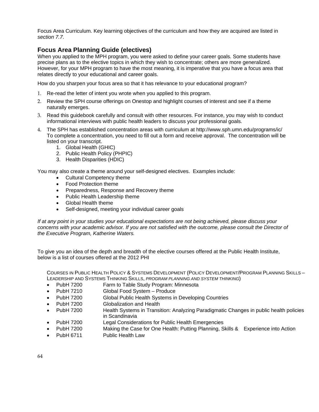Focus Area Curriculum. Key learning objectives of the curriculum and how they are acquired are listed in *section 7.7*.

### **Focus Area Planning Guide (electives)**

When you applied to the MPH program, you were asked to define your career goals. Some students have precise plans as to the elective topics in which they wish to concentrate; others are more generalized. However, for your MPH program to have the most meaning, it is imperative that you have a focus area that relates directly to your educational and career goals.

How do you sharpen your focus area so that it has relevance to your educational program?

- 1. Re-read the letter of intent you wrote when you applied to this program.
- 2. Review the SPH course offerings on Onestop and highlight courses of interest and see if a theme naturally emerges.
- 3. Read this guidebook carefully and consult with other resources. For instance, you may wish to conduct informational interviews with public health leaders to discuss your professional goals.
- 4. The SPH has established concentration areas with curriculum at http://www.sph.umn.edu/programs/ic/ To complete a concentration, you need to fill out a form and receive approval. The concentration will be listed on your transcript.
	- 1. Global Health (GHIC)
	- 2. Public Health Policy (PHPIC)
	- 3. Health Disparities (HDIC)

You may also create a theme around your self-designed electives. Examples include:

- Cultural Competency theme
- Food Protection theme
- Preparedness, Response and Recovery theme
- Public Health Leadership theme
- Global Health theme
- Self-designed, meeting your individual career goals

*If at any point in your studies your educational expectations are not being achieved, please discuss your concerns with your academic advisor. If you are not satisfied with the outcome, please consult the Director of the Executive Program, Katherine Waters.* 

To give you an idea of the depth and breadth of the elective courses offered at the Public Health Institute, below is a list of courses offered at the 2012 PHI

COURSES IN PUBLIC HEALTH POLICY & SYSTEMS DEVELOPMENT (POLICY DEVELOPMENT/PROGRAM PLANNING SKILLS – LEADERSHIP AND SYSTEMS THINKING SKILLS, *PROGRAM PLANNING AND SYSTEM THINKING*)

- PubH 7200 Farm to Table Study Program: Minnesota
- PubH 7210 Global Food System Produce
- PubH 7200 Global Public Health Systems in Developing Countries
- PubH 7200 Globalization and Health
- PubH 7200 Health Systems in Transition: Analyzing Paradigmatic Changes in public health policies in Scandinavia
- PubH 7200 Legal Considerations for Public Health Emergencies
- PubH 7200 Making the Case for One Health: Putting Planning, Skills & Experience into Action
- PubH 6711 Public Health Law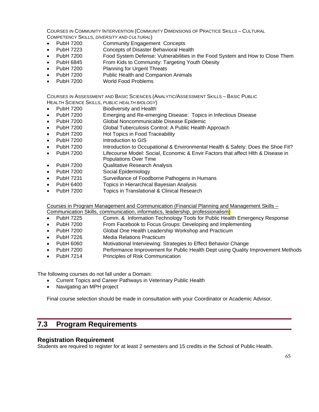COURSES IN COMMUNITY INTERVENTION (COMMUNITY DIMENSIONS OF PRACTICE SKILLS – CULTURAL COMPETENCY SKILLS, *DIVERSITY AND CULTURAL*)

- PubH 7200 Community Engagement Concepts
- PubH 7223 Concepts of Disaster Behavioral Health
- PubH 7200 Food System Defense: Vulnerabilities in the Food System and How to Close Them
- PubH 6845 From Kids to Community: Targeting Youth Obesity
- PubH 7200 Planning for Urgent Threats
- PubH 7200 Public Health and Companion Animals
- PubH 7200 World Food Problems

COURSES IN ASSESSMENT AND BASIC SCIENCES (ANALYTIC/ASSESSMENT SKILLS – BASIC PUBLIC HEALTH SCIENCE SKILLS, *PUBLIC HEALTH BIOLOGY*)

- PubH 7200 Biodiversity and Health
- PubH 7200 Emerging and Re-emerging Disease: Topics in Infectious Disease
- PubH 7200 Global Noncommunicable Disease Epidemic
- PubH 7200 Global Tuberculosis Control: A Public Health Approach
- PubH 7200 Hot Topics in Food Traceability
- PubH 7200 Introduction to GIS
- PubH 7200 Introduction to Occupational & Environmental Health & Safety: Does the Shoe Fit?
- PubH 7200 Lifecourse Model: Social, Economic & Envir Factors that affect Hlth & Disease in Populations Over Time
- PubH 7200 Qualitative Research Analysis
- PubH 7200 Social Epidemiology
- PubH 7231 Surveillance of Foodborne Pathogens in Humans
- PubH 6400 Topics in Hierarchical Bayesian Analysis
- PubH 7200 Topics in Translational & Clinical Research

Courses in Program Management and Communication (Financial Planning and Management Skills –

Communication Skills, communication, informatics, leadership, professionalism)

- PubH 7225 Comm. & Information Technology Tools for Public Health Emergency Response
- PubH 7200 From Facebook to Focus Groups: Developing and Implementing
- PubH 7200 Global One Health Leadership Workshop and Practicum
- PubH 7226 Media Relations Practicum
- PubH 6060 Motivational Interviewing: Strategies to Effect Behavior Change
- PubH 7200 Performance Improvement for Public Health Dept using Quality Improvement Methods
- PubH 7214 Principles of Risk Communication

The following courses do not fall under a Domain:

- Current Topics and Career Pathways in Veterinary Public Health
- Navigating an MPH project

Final course selection should be made in consultation with your Coordinator or Academic Advisor.

# **7.3 Program Requirements**

#### **Registration Requirement**

Students are required to register for at least 2 semesters and 15 credits in the School of Public Health.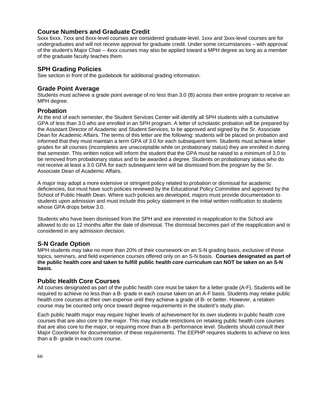### **Course Numbers and Graduate Credit**

5xxx 6xxx, 7xxx and 8xxx-level courses are considered graduate-level. 1xxx and 3xxx-level courses are for undergraduates and will not receive approval for graduate credit. Under some circumstances – with approval of the student's Major Chair – 4xxx courses may also be applied toward a MPH degree as long as a member of the graduate faculty teaches them.

#### **SPH Grading Policies**

See section in front of the guidebook for additional grading information.

#### **Grade Point Average**

Students must achieve a grade point average of no less than 3.0 (B) across their entire program to receive an MPH degree.

#### **Probation**

At the end of each semester, the Student Services Center will identify all SPH students with a cumulative GPA of less than 3.0 who are enrolled in an SPH program. A letter of scholastic probation will be prepared by the Assistant Director of Academic and Student Services, to be approved and signed by the Sr. Associate Dean for Academic Affairs. The terms of this letter are the following: students will be placed on probation and informed that they must maintain a term GPA of 3.0 for each subsequent term. Students must achieve letter grades for all courses (incompletes are unacceptable while on probationary status) they are enrolled in during that semester. This written notice will inform the student that the GPA must be raised to a minimum of 3.0 to be removed from probationary status and to be awarded a degree. Students on probationary status who do not receive at least a 3.0 GPA for each subsequent term will be dismissed from the program by the Sr. Associate Dean of Academic Affairs.

A major may adopt a more extensive or stringent policy related to probation or dismissal for academic deficiencies, but must have such policies reviewed by the Educational Policy Committee and approved by the School of Public Health Dean. Where such policies are developed, majors must provide documentation to students upon admission and must include this policy statement in the initial written notification to students whose GPA drops below 3.0.

Students who have been dismissed from the SPH and are interested in reapplication to the School are allowed to do so 12 months after the date of dismissal. The dismissal becomes part of the reapplication and is considered in any admission decision.

#### **S-N Grade Option**

MPH students may take no more than 20% of their coursework on an S-N grading basis, exclusive of those topics, seminars, and field experience courses offered only on an S-N basis. **Courses designated as part of the public health core and taken to fulfill public health core curriculum can NOT be taken on an S-N basis.** 

#### **Public Health Core Courses**

All courses designated as part of the public health core must be taken for a letter grade (A-F). Students will be required to achieve no less than a B- grade in each course taken on an A-F basis. Students may retake public health core courses at their own expense until they achieve a grade of B- or better. However, a retaken course may be counted only once toward degree requirements in the student's study plan.

Each public health major may require higher levels of achievement for its own students in public health core courses that are also core to the major. This may include restrictions on retaking public health core courses that are also core to the major, or requiring more than a B- performance level. Students should consult their Major Coordinator for documentation of these requirements. The EEPHP requires students to achieve no less than a B- grade in each core course.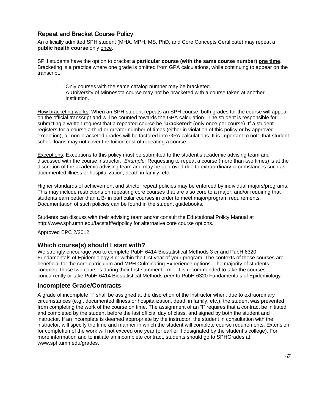# Repeat and Bracket Course Policy

An officially admitted SPH student (MHA, MPH, MS, PhD, and Core Concepts Certificate) may repeat a **public health course** only once.

SPH students have the option to bracket **a particular course (with the same course number) one time**. Bracketing is a practice where one grade is omitted from GPA calculations, while continuing to appear on the transcript.

- Only courses with the same catalog number may be bracketed.
- A University of Minnesota course may not be bracketed with a course taken at another institution.

How bracketing works: When an SPH student repeats an SPH course, both grades for the course will appear on the official transcript and will be counted towards the GPA calculation. The student is responsible for submitting a written request that a repeated course be "**bracketed**" (only once per course). If a student registers for a course a third or greater number of times (either in violation of this policy or by approved exception), all non-bracketed grades will be factored into GPA calculations. It is important to note that student school loans may not cover the tuition cost of repeating a course.

Exceptions: Exceptions to this policy must be submitted to the student's academic advising team and discussed with the course instructor. *Example:* Requesting to repeat a course (more than two times) is at the discretion of the academic advising team and may be approved due to extraordinary circumstances such as documented illness or hospitalization, death in family, etc..

Higher standards of achievement and stricter repeat policies may be enforced by individual majors/programs. This may include restrictions on repeating core courses that are also core to a major, and/or requiring that students earn better than a B- in particular courses in order to meet major/program requirements. Documentation of such policies can be found in the student guidebooks.

Students can discuss with their advising team and/or consult the Educational Policy Manual at http://www.sph.umn.edu/facstaff/edpolicy for alternative core course options.

Approved EPC 2/2012

#### **Which course(s) should I start with?**

We strongly encourage you to complete PubH 6414 Biostatistical Methods 3 cr and PubH 6320 Fundamentals of Epidemiology 3 cr within the first year of your program. The contexts of these courses are beneficial for the core curriculum and MPH Culminating Experience options. The majority of students complete those two courses during their first summer term. It is recommended to take the courses concurrently or take PubH 6414 Biostatistical Methods *prior* to PubH 6320 Fundamentals of Epidemiology.

#### **Incomplete Grade/Contracts**

A grade of incomplete "I" shall be assigned at the discretion of the instructor when, due to extraordinary circumstances (e.g., documented illness or hospitalization, death in family, etc.), the student was prevented from completing the work of the course on time. The assignment of an "I" requires that a contract be initiated and completed by the student before the last official day of class, and signed by both the student and instructor. If an incomplete is deemed appropriate by the instructor, the student in consultation with the instructor, will specify the time and manner in which the student will complete course requirements. Extension for completion of the work will not exceed one year (or earlier if designated by the student's college). For more information and to initiate an incomplete contract, students should go to SPHGrades at: www.sph.umn.edu/grades.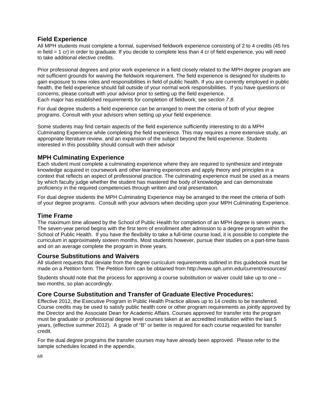## **Field Experience**

All MPH students must complete a formal, supervised fieldwork experience consisting of 2 to 4 credits (45 hrs in field = 1 cr) in order to graduate. If you decide to complete less than 4 cr of field experience, you will need to take additional elective credits.

Prior professional degrees and prior work experience in a field closely related to the MPH degree program are not sufficient grounds for waiving the fieldwork requirement. The field experience is designed for students to gain exposure to new roles and responsibilities in field of public health. If you are currently employed in public health, the field experience should fall outside of your normal work responsibilities. If you have questions or concerns, please consult with your advisor prior to setting up the field experience. Each major has established requirements for completion of fieldwork; see *section 7.8*.

For dual degree students a field experience can be arranged to meet the criteria of both of your degree programs. Consult with your advisors when setting up your field experience.

Some students may find certain aspects of the field experience sufficiently interesting to do a MPH Culminating Experience while completing the field experience. This may requires a more extensive study, an appropriate literature review, and an expansion of the subject beyond the field experience. Students interested in this possibility should consult with their advisor

#### **MPH Culminating Experience**

Each student must complete a culminating experience where they are required to synthesize and integrate knowledge acquired in coursework and other learning experiences and apply theory and principles in a context that reflects an aspect of professional practice. The culminating experience must be used as a means by which faculty judge whether the student has mastered the body of knowledge and can demonstrate proficiency in the required competencies through written and oral presentation.

For dual degree students the MPH Culminating Experience may be arranged to the meet the criteria of both of your degree programs. Consult with your advisors when deciding upon your MPH Culminating Experience.

#### **Time Frame**

The maximum time allowed by the School of Public Health for completion of an MPH degree is seven years. The seven-year period begins with the first term of enrollment after admission to a degree program within the School of Public Health. If you have the flexibility to take a full-time course load, it is possible to complete the curriculum in approximately sixteen months. Most students however, pursue their studies on a part-time basis and on an average complete the program in three years.

#### **Course Substitutions and Waivers**

All student requests that deviate from the degree curriculum requirements outlined in this guidebook must be made on a *Petition* form. The *Petition* form can be obtained from http://www.sph.umn.edu/current/resources/

Students should note that the process for approving a course substitution or waiver could take up to one – two months, so plan accordingly.

#### **Core Course Substitution and Transfer of Graduate Elective Procedures:**

Effective 2012, the Executive Program in Public Health Practice allows up to 14 credits to be transferred. Course credits may be used to satisfy public health core or other program requirements as jointly approved by the Director and the Associate Dean for Academic Affairs. Courses approved for transfer into the program must be graduate or professional degree level courses taken at an accredited institution within the last 5 years, (effective summer 2012). A grade of "B" or better is required for each course requested for transfer credit.

For the dual degree programs the transfer courses may have already been approved. Please refer to the sample schedules located in the appendix.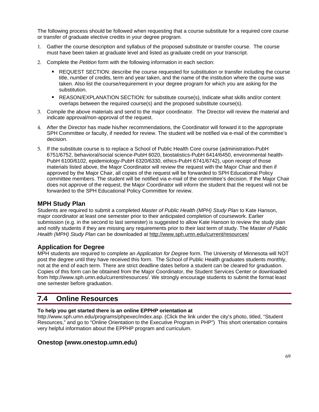The following process should be followed when requesting that a course substitute for a required core course or transfer of graduate elective credits in your degree program.

- 1. Gather the course description and syllabus of the proposed substitute or transfer course. The course must have been taken at graduate level and listed as graduate credit on your transcript.
- 2. Complete the *Petition* form with the following information in each section:
	- REQUEST SECTION: describe the course requested for substitution or transfer including the course title, number of credits, term and year taken, and the name of the institution where the course was taken. Also list the course/requirement in your degree program for which you are asking for the substitution.
	- **REASON/EXPLANATION SECTION: for substitute course(s), Indicate what skills and/or content** overlaps between the required course(s) and the proposed substitute course(s).
- 3. Compile the above materials and send to the major coordinator. The Director will review the material and indicate approval/non-approval of the request.
- 4. After the Director has made his/her recommendations, the Coordinator will forward it to the appropriate SPH Committee or faculty, if needed for review. The student will be notified via e-mail of the committee's decision.
- 5. If the substitute course is to replace a School of Public Health Core course (administration-PubH 6751/6752, behavioral/social science-PubH 6020, biostatistics-PubH 6414/6450, environmental health-PubH 6100/6102, epidemiology-PubH 6320/6330, ethics-PubH 6741/6742), upon receipt of those materials listed above, the Major Coordinator will review the request with the Major Chair and then if approved by the Major Chair, all copies of the request will be forwarded to SPH Educational Policy committee members. The student will be notified via e-mail of the committee's decision. If the Major Chair does not approve of the request, the Major Coordinator will inform the student that the request will not be forwarded to the SPH Educational Policy Committee for review.

### **MPH Study Plan**

Students are required to submit a completed *Master of Public Health (MPH) Study Plan* to Kate Hanson, major coordinator at least one semester prior to their anticipated completion of coursework. Earlier submission (e.g. in the second to last semester) is suggested to allow Kate Hanson to review the study plan and notify students if they are missing any requirements prior to their last term of study. The *Master of Public Health (MPH) Study Plan* can be downloaded at http://www.sph.umn.edu/current/resources/

#### **Application for Degree**

MPH students are required to complete an *Application for Degree* form. The University of Minnesota will NOT post the degree until they have received this form. The School of Public Health graduates students monthly, not at the end of each term. There are strict deadline dates before a student can be cleared for graduation. Copies of this form can be obtained from the Major Coordinator, the Student Services Center or downloaded from http://www.sph.umn.edu/current/resources/. We strongly encourage students to submit the format least one semester before graduation.

# **7.4 Online Resources**

#### **To help you get started there is an online EPPHP orientation at**

http://www.sph.umn.edu/programs/phpexec/index.asp. (Click the link under the city's photo, titled, "Student Resources," and go to "Online Orientation to the Executive Program in PHP") This short orientation contains very helpful information about the EPPHP program and curriculum.

#### **Onestop (www.onestop.umn.edu)**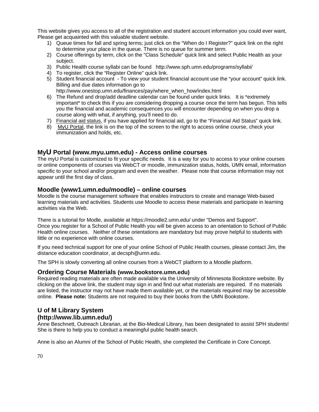This website gives you access to all of the registration and student account information you could ever want, Please get acquainted with this valuable student website.

- 1) Queue times for fall and spring terms; just click on the "When do I Register?" quick link on the right to determine your place in the queue. There is no queue for summer term.
- 2) Course offerings by term, click on the "Class Schedule" quick link and select Public Health as your subject.
- 3) Public Health course syllabi can be found http://www.sph.umn.edu/programs/syllabi/
- 4) To register, click the "Register Online" quick link.
- 5) Student financial account To view your student financial account use the "your account" quick link. Billing and due dates information go to

http://www.onestop.umn.edu/finances/pay/where\_when\_how/index.html

- 6) The Refund and drop/add deadline calendar can be found under quick links. It is \*extremely important\* to check this if you are considering dropping a course once the term has begun. This tells you the financial and academic consequences you will encounter depending on when you drop a course along with what, if anything, you'll need to do.
- 7) Financial aid status, if you have applied for financial aid, go to the "Financial Aid Status" quick link.
- 8) MyU Portal, the link is on the top of the screen to the right to access online course, check your immunization and holds, etc.

#### **MyU Portal (www.myu.umn.edu) - Access online courses**

The myU Portal is customized to fit your specific needs. It is a way for you to access to your online courses or online components of courses via WebCT or moodle, immunization status, holds, UMN email, information specific to your school and/or program and even the weather. Please note that course information may not appear until the first day of class.

#### **Moodle (www1.umn.edu/moodle) – online courses**

Moodle is the course management software that enables instructors to create and manage Web-based learning materials and activities. Students use Moodle to access these materials and participate in learning activities via the Web.

There is a tutorial for Modle, available at https://moodle2.umn.edu/ under "Demos and Support". Once you register for a School of Public Health you will be given access to an orientation to School of Public Health online courses. Neither of these orientations are mandatory but may prove helpful to students with little or no experience with online courses.

If you need technical support for one of your online School of Public Health courses, please contact Jim, the distance education coordinator, at decsph@umn.edu.

The SPH is slowly converting all online courses from a WebCT platform to a Moodle platform.

#### **Ordering Course Materials (www.bookstore.umn.edu)**

Required reading materials are often made available via the University of Minnesota Bookstore website. By clicking on the above link, the student may sign in and find out what materials are required. If no materials are listed, the instructor may not have made them available yet, or the materials required may be accessible online. **Please note:** Students are not required to buy their books from the UMN Bookstore.

#### **U of M Library System (http://www.lib.umn.edu/)**

Anne Beschnett, Outreach Librarian, at the Bio-Medical Library, has been designated to assist SPH students! She is there to help you to conduct a meaningful public health search.

Anne is also an Alumni of the School of Public Health, she completed the Certificate in Core Concept.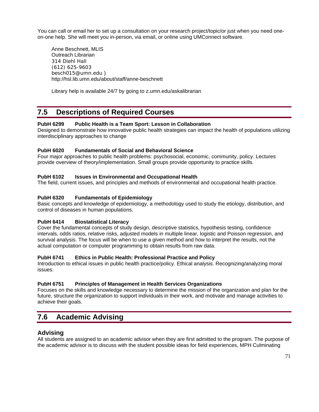You can call or email her to set up a consultation on your research project/topic/or just when you need oneon-one help. She will meet you in-person, via email, or online using UMConnect software.

Anne Beschnett, MLIS Outreach Librarian 314 Diehl Hall (612) 625-9603 besch015@umn.edu ) http://hsl.lib.umn.edu/about/staff/anne-beschnett

Library help is available 24/7 by going to z.umn.edu/askalibrarian

# **7.5 Descriptions of Required Courses**

#### **PubH 6299 Public Health is a Team Sport: Lesson in Collaboration**

Designed to demonstrate how innovative public health strategies can impact the health of populations utilizing interdisciplinary approaches to change

#### **PubH 6020 Fundamentals of Social and Behavioral Science**

Four major approaches to public health problems: psychosocial, economic, community, policy. Lectures provide overview of theory/implementation. Small groups provide opportunity to practice skills.

#### **PubH 6102 Issues in Environmental and Occupational Health**

The field, current issues, and principles and methods of environmental and occupational health practice.

#### **PubH 6320 Fundamentals of Epidemiology**

Basic concepts and knowledge of epidemiology, a methodology used to study the etiology, distribution, and control of diseases in human populations.

#### **PubH 6414 Biostatistical Literacy**

Cover the fundamental concepts of study design, descriptive statistics, hypothesis testing, confidence intervals, odds ratios, relative risks, adjusted models in multiple linear, logistic and Poisson regression, and survival analysis. The focus will be when to use a given method and how to interpret the results, not the actual computation or computer programming to obtain results from raw data.

#### **PubH 6741 Ethics in Public Health: Professional Practice and Policy**

Introduction to ethical issues in public health practice/policy. Ethical analysis. Recognizing/analyzing moral issues.

#### **PubH 6751 Principles of Management in Health Services Organizations**

Focuses on the skills and knowledge necessary to determine the mission of the organization and plan for the future, structure the organization to support individuals in their work, and motivate and manage activities to achieve their goals.

# **7.6 Academic Advising**

#### **Advising**

All students are assigned to an academic advisor when they are first admitted to the program. The purpose of the academic advisor is to discuss with the student possible ideas for field experiences, MPH Culminating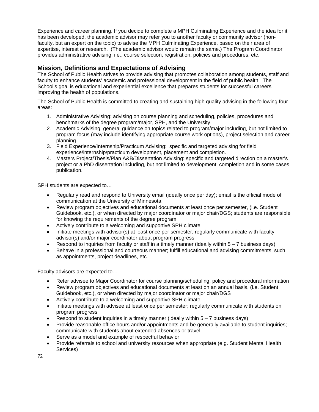Experience and career planning. If you decide to complete a MPH Culminating Experience and the idea for it has been developed, the academic advisor may refer you to another faculty or community advisor (nonfaculty, but an expert on the topic) to advise the MPH Culminating Experience, based on their area of expertise, interest or research. (The academic advisor would remain the same.) The Program Coordinator provides administrative advising, i.e., course selection, registration, policies and procedures, etc.

### **Mission, Definitions and Expectations of Advising**

The School of Public Health strives to provide advising that promotes collaboration among students, staff and faculty to enhance students' academic and professional development in the field of public health. The School's goal is educational and experiential excellence that prepares students for successful careers improving the health of populations.

The School of Public Health is committed to creating and sustaining high quality advising in the following four areas:

- 1. Administrative Advising: advising on course planning and scheduling, policies, procedures and benchmarks of the degree program/major, SPH, and the University.
- 2. Academic Advising: general guidance on topics related to program/major including, but not limited to program focus (may include identifying appropriate course work options), project selection and career planning.
- 3. Field Experience/Internship/Practicum Advising: specific and targeted advising for field experience/internship/practicum development, placement and completion.
- 4. Masters Project/Thesis/Plan A&B/Dissertation Advising: specific and targeted direction on a master's project or a PhD dissertation including, but not limited to development, completion and in some cases publication.

SPH students are expected to…

- Regularly read and respond to University email (ideally once per day); email is the official mode of communication at the University of Minnesota
- Review program objectives and educational documents at least once per semester, (i.e. Student Guidebook, etc.), or when directed by major coordinator or major chair/DGS; students are responsible for knowing the requirements of the degree program
- Actively contribute to a welcoming and supportive SPH climate
- Initiate meetings with advisor(s) at least once per semester; regularly communicate with faculty advisor(s) and/or major coordinator about program progress
- Respond to inquiries from faculty or staff in a timely manner (ideally within  $5 7$  business days)
- Behave in a professional and courteous manner; fulfill educational and advising commitments, such as appointments, project deadlines, etc.

Faculty advisors are expected to…

- Refer advisee to Major Coordinator for course planning/scheduling, policy and procedural information
- Review program objectives and educational documents at least on an annual basis, (i.e. Student Guidebook, etc.), or when directed by major coordinator or major chair/DGS
- Actively contribute to a welcoming and supportive SPH climate
- Initiate meetings with advisee at least once per semester; regularly communicate with students on program progress
- **•** Respond to student inquiries in a timely manner (ideally within  $5 7$  business days)
- Provide reasonable office hours and/or appointments and be generally available to student inquiries; communicate with students about extended absences or travel
- Serve as a model and example of respectful behavior
- Provide referrals to school and university resources when appropriate (e.g. Student Mental Health Services)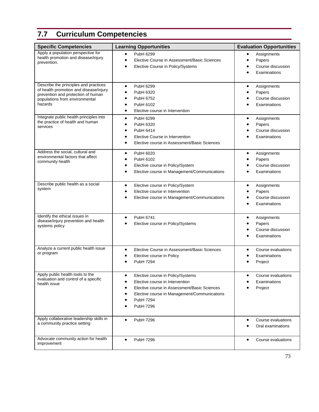# **7.7 Curriculum Competencies**

| <b>Specific Competencies</b>                                                                                                                                       | <b>Learning Opportunities</b>                                                                                                                                                                         | <b>Evaluation Opportunities</b>                                         |
|--------------------------------------------------------------------------------------------------------------------------------------------------------------------|-------------------------------------------------------------------------------------------------------------------------------------------------------------------------------------------------------|-------------------------------------------------------------------------|
| Apply a population perspective for<br>health promotion and disease/injury<br>prevention.                                                                           | PubH 6299<br>Elective Course in Assessment/Basic Sciences<br>Elective Course in Policy/Systems                                                                                                        | Assignments<br>Papers<br>Course discussion<br>Examinations              |
| Describe the principles and practices<br>of health promotion and disease/injury<br>prevention and protection of human<br>populations from environmental<br>hazards | PubH 6299<br>PubH 6320<br>PubH 6752<br>PubH 6102<br>Elective course in Intervention                                                                                                                   | Assignments<br>$\bullet$<br>Papers<br>Course discussion<br>Examinations |
| Integrate public health principles into<br>the practice of health and human<br>services                                                                            | PubH 6299<br>$\bullet$<br>PubH 6320<br>PubH 6414<br>Elective Course in Intervention<br>Elective course in Assessment/Basic Sciences                                                                   | $\bullet$<br>Assignments<br>Papers<br>Course discussion<br>Examinations |
| Address the social, cultural and<br>environmental factors that affect<br>community health                                                                          | PubH 6020<br>$\bullet$<br>PubH 6102<br>Elective course in Policy/System<br>Elective course in Management/Communications                                                                               | Assignments<br>٠<br>Papers<br>Course discussion<br>Examinations         |
| Describe public health as a social<br>system                                                                                                                       | Elective course in Policy/System<br>$\bullet$<br>Elective course in Intervention<br>Elective course in Management/Communications                                                                      | Assignments<br>٠<br>Papers<br>Course discussion<br>Examinations         |
| Identify the ethical issues in<br>disease/injury prevention and health<br>systems policy                                                                           | PubH 6741<br>Elective course in Policy/Systems                                                                                                                                                        | Assignments<br>٠<br>Papers<br>Course discussion<br>Examinations         |
| Analyze a current public health issue<br>or program                                                                                                                | Elective Course in Assessment/Basic Sciences<br>$\bullet$<br>Elective course in Policy<br>PubH 7294                                                                                                   | Course evaluations<br>$\bullet$<br>Examinations<br>Project              |
| Apply public health tools to the<br>evaluation and control of a specific<br>health issue                                                                           | Elective course in Policy/Systems<br>Elective course in Intervention<br>Elective course in Assessment/Basic Sciences<br>Elective course in Management/Communications<br>PubH 7294<br><b>PubH 7296</b> | Course evaluations<br>Examinations<br>Project                           |
| Apply collaborative leadership skills in<br>a community practice setting                                                                                           | PubH 7296                                                                                                                                                                                             | Course evaluations<br>٠<br>Oral examinations                            |
| Advocate community action for health<br>improvement                                                                                                                | PubH 7296<br>$\bullet$                                                                                                                                                                                | $\bullet$<br>Course evaluations                                         |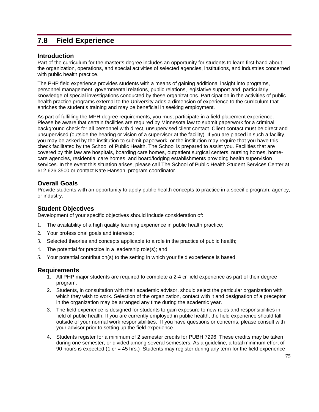## **7.8 Field Experience**

## **Introduction**

Part of the curriculum for the master's degree includes an opportunity for students to learn first-hand about the organization, operations, and special activities of selected agencies, institutions, and industries concerned with public health practice.

The PHP field experience provides students with a means of gaining additional insight into programs, personnel management, governmental relations, public relations, legislative support and, particularly, knowledge of special investigations conducted by these organizations. Participation in the activities of public health practice programs external to the University adds a dimension of experience to the curriculum that enriches the student's training and may be beneficial in seeking employment.

As part of fulfilling the MPH degree requirements, you must participate in a field placement experience. Please be aware that certain facilities are required by Minnesota law to submit paperwork for a criminal background check for all personnel with direct, unsupervised client contact. Client contact must be direct and unsupervised (outside the hearing or vision of a supervisor at the facility). If you are placed in such a facility, you may be asked by the institution to submit paperwork, or the institution may require that you have this check facilitated by the School of Public Health. The School is prepared to assist you. Facilities that are covered by this law are hospitals, boarding care homes, outpatient surgical centers, nursing homes, homecare agencies, residential care homes, and board/lodging establishments providing health supervision services. In the event this situation arises, please call The School of Public Health Student Services Center at 612.626.3500 or contact Kate Hanson, program coordinator.

## **Overall Goals**

Provide students with an opportunity to apply public health concepts to practice in a specific program, agency, or industry.

## **Student Objectives**

Development of your specific objectives should include consideration of:

- 1. The availability of a high quality learning experience in public health practice;
- 2. Your professional goals and interests;
- 3. Selected theories and concepts applicable to a role in the practice of public health;
- 4. The potential for practice in a leadership role(s); and
- 5. Your potential contribution(s) to the setting in which your field experience is based.

## **Requirements**

- 1. All PHP major students are required to complete a 2-4 cr field experience as part of their degree program.
- 2. Students, in consultation with their academic advisor, should select the particular organization with which they wish to work. Selection of the organization, contact with it and designation of a preceptor in the organization may be arranged any time during the academic year.
- 3. The field experience is designed for students to gain exposure to new roles and responsibilities in field of public health. If you are currently employed in public health, the field experience should fall outside of your normal work responsibilities. If you have questions or concerns, please consult with your advisor prior to setting up the field experience.
- 4. Students register for a minimum of 2 semester credits for PUBH 7296. These credits may be taken during one semester, or divided among several semesters. As a guideline, a total minimum effort of 90 hours is expected (1 cr = 45 hrs.) Students may register during any term for the field experience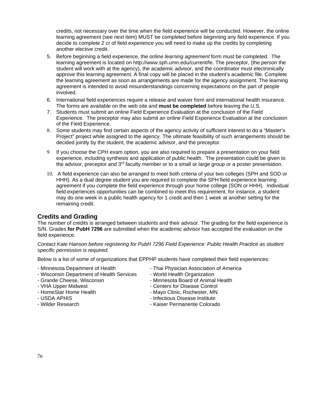credits, not necessary over the time when the field experience will be conducted. However, the online learning agreement (see next item) MUST be completed before beginning any field experience. If you decide to complete 2 cr of field experience you will need to make up the credits by completing another elective credit.

- 5. Before beginning a field experience, the onlin*e learning agreement* form must be completed. The learning agreement is located on http://www.sph.umn.edu/current/fe. The preceptor, (the person the student will work with at the agency), the academic advisor, and the coordinator must electronically approve this learning agreement. A final copy will be placed in the student's academic file. Complete the learning agreement as soon as arrangements are made for the agency assignment. The learning agreement is intended to avoid misunderstandings concerning expectations on the part of people involved.
- 6. International field experiences require a release and waiver form and international health insurance. The forms are available on the web site and **must be completed** before leaving the U.S.
- 7. Students must submit an online Field Experience Evaluation at the conclusion of the Field Experience. The preceptor may also submit an online Field Experience Evaluation at the conclusion of the Field Experience.
- 8. Some students may find certain aspects of the agency activity of sufficient interest to do a "Master's Project" project while assigned to the agency. The ultimate feasibility of such arrangements should be decided jointly by the student, the academic advisor, and the preceptor.
- 9. If you choose the CPH exam option, you are also required to prepare a presentation on your field experience, including synthesis and application of public health. The presentation could be given to the advisor, preceptor and 3<sup>rd</sup> faculty member or to a small or large group or a poster presentation.
- 10. A field experience can also be arranged to meet both criteria of your two colleges (SPH and SOD or HHH). As a dual degree student you are required to complete the SPH field experience learning agreement if you complete the field experience through your home college (SON or HHH). Individual field experiences opportunities can be combined to meet this requirement, for instance, a student may do one week in a public health agency for 1 credit and then 1 week at another setting for the remaining credit.

## **Credits and Grading**

The number of credits is arranged between students and their advisor. The grading for the field experience is S/N. Grades **for PubH 7296** are submitted when the academic advisor has accepted the evaluation on the field experience.

*Contact Kate Hanson before registering for PubH 7296 Field Experience: Public Health Practice as student specific permission is required.*

Below is a list of some of organizations that EPPHP students have completed their field experiences:

- 
- Minnesota Department of Health Thai Physician Association of America<br>- Wisconsin Department of Health Services World Health Organization - Wisconsin Department of Health Services
	-
- 
- 
- 
- 
- 
- 
- Grande Cheese, Wisconsin  **Minnesota Board of Animal Health**<br>- VHA Upper Midwest  **Minnesota Board Control** Centers for Disease Control
- VHA Upper Midwest  **Centers for Disease Control**<br>- HomeStar Home Health Cantal Mayo Clinic. Rochester, MN
	- Mayo Clinic, Rochester, MN
- USDA APHIS<br>- Wilder Research Infectious Disease Institute<br>- Wilder Research In Faiser Permanente Colorad
	- Kaiser Permanente Colorado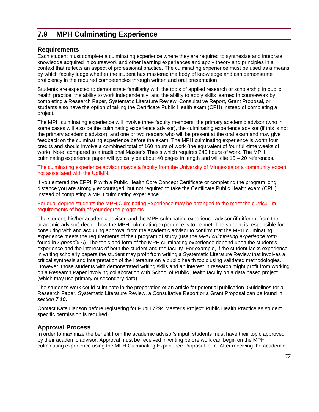## **7.9 MPH Culminating Experience**

## **Requirements**

Each student must complete a culminating experience where they are required to synthesize and integrate knowledge acquired in coursework and other learning experiences and apply theory and principles in a context that reflects an aspect of professional practice. The culminating experience must be used as a means by which faculty judge whether the student has mastered the body of knowledge and can demonstrate proficiency in the required competencies through written and oral presentation

Students are expected to demonstrate familiarity with the tools of applied research or scholarship in public health practice, the ability to work independently, and the ability to apply skills learned in coursework by completing a Research Paper, Systematic Literature Review, Consultative Report, Grant Proposal, or students also have the option of taking the Certificate Public Health exam (CPH) instead of completing a project.

The MPH culminating experience will involve three faculty members: the primary academic advisor (who in some cases will also be the culminating experience advisor), the culminating experience advisor (if this is not the primary academic advisor), and one or two readers who will be present at the oral exam and may give feedback on the culminating experience before the exam. The MPH culminating experience is worth four credits and should involve a combined total of 160 hours of work (the equivalent of four full-time weeks of work). Note: compared to a traditional Master's Thesis which requires 240 hours of work. The MPH culminating experience paper will typically be about 40 pages in length and will cite  $15 - 20$  references.

#### The culminating experience advisor maybe a faculty from the University of Minnesota or a community expert, not associated with the UofMN.

If you entered the EPPHP with a Public Health Core Concept Certificate or completing the program long distance you are strongly encouraged, but not required to take the Certificate Public Health exam (CPH) instead of completing a MPH culminating experience.

#### For dual degree students the MPH Culminating Experience may be arranged to the meet the curriculum requirements of both of your degree programs.

The student, his/her academic advisor, and the MPH culminating experience advisor (if different from the academic advisor) decide how the MPH culminating experience is to be met. The student is responsible for consulting with and acquiring approval from the academic advisor to confirm that the MPH culminating experience meets the requirements of their program of study (use the *MPH culminating experience form* found in *Appendix A*). The topic and form of the MPH culminating experience depend upon the student's experience and the interests of both the student and the faculty. For example, if the student lacks experience in writing scholarly papers the student may profit from writing a Systematic Literature Review that involves a critical synthesis and interpretation of the literature on a public health topic using validated methodologies. However, those students with demonstrated writing skills and an interest in research might profit from working on a Research Paper involving collaboration with School of Public Health faculty on a data based project (which may use primary or secondary data).

The student's work could culminate in the preparation of an article for potential publication. Guidelines for a Research Paper, Systematic Literature Review, a Consultative Report or a Grant Proposal can be found in *section 7.10*.

Contact Kate Hanson before registering for PubH 7294 Master's Project: Public Health Practice as student specific permission is required.

## **Approval Process**

In order to maximize the benefit from the academic advisor's input, students must have their topic approved by their academic advisor. Approval must be received in writing before work can begin on the MPH culminating experience using the MPH Culminating Experience Proposal form. After receiving the academic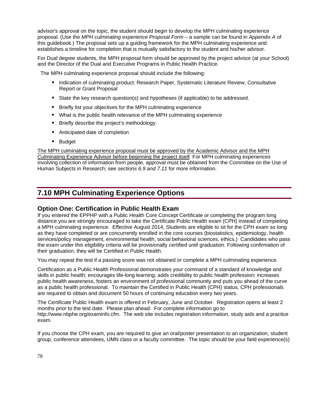advisor's approval on the topic, the student should begin to develop the MPH culminating experience proposal. (Use the *MPH culminating experience Proposal Form* – a sample can be found in *Appendix A* of this guidebook.) The proposal sets up a guiding framework for the MPH culminating experience and establishes a timeline for completion that is mutually satisfactory to the student and his/her advisor.

For Dual degree students, the MPH proposal form should be approved by the project advisor (at your School) and the Director of the Dual and Executive Programs in Public Health Practice.

The MPH culminating experience proposal should include the following:

- **Indication of culminating product: Research Paper, Systematic Literature Review, Consultative** Report or Grant Proposal
- **State the key research question(s) and hypotheses (if applicable) to be addressed.**
- **Briefly list your objectives for the MPH culminating experience**
- What is the public health relevance of the MPH culminating experience
- **Briefly describe the project's methodology.**
- Anticipated date of completion
- **Budget**

The MPH culminating experience proposal must be approved by the Academic Advisor and the MPH Culminating Experience Advisor before beginning the project itself. For MPH culminating experiences involving collection of information from people, approval must be obtained from the Committee on the Use of Human Subjects in Research; see *sections 6.9 and 7.11* for more information.

## **7.10 MPH Culminating Experience Options**

## **Option One: Certification in Public Health Exam**

If you entered the EPPHP with a Public Health Core Concept Certificate or completing the program long distance you are strongly encouraged to take the Certificate Public Health exam (CPH) instead of completing a MPH culminating experience. Effective August 2014, Students are eligible to sit for the CPH exam so long as they have completed or are concurrently enrolled in the core courses (biostatistics, epidemiology, health services/policy management, environmental health, social behavioral sciences, ethics.) Candidates who pass the exam under this eligibility criteria will be provisionally certified until graduation. Following confirmation of their graduation, they will be Certified in Public Health.

You may repeat the test if a passing score was not obtained or complete a MPH culminating experience.

Certification as a Public Health Professional demonstrates your command of a standard of knowledge and skills in public health; encourages life-long learning; adds credibility to public health profession; increases public health awareness, fosters an environment of professional community and puts you ahead of the curve as a public health professional. To maintain the Certified in Public Health (CPH) status, CPH professionals are required to obtain and document 50 hours of continuing education every two years.

The Certificate Public Health exam is offered in February, June and October. Registration opens at least 2 months prior to the test date. Please plan ahead. For complete information go to http://www.nbphe.org/examinfo.cfm. The web site includes registration information, study aids and a practice exam.

If you choose the CPH exam, you are required to give an oral/poster presentation to an organization, student group, conference attendees, UMN class or a faculty committee. The topic should be your field experience(s)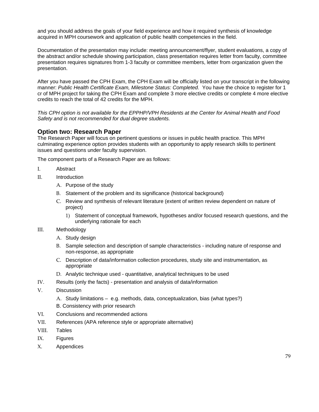and you should address the goals of your field experience and how it required synthesis of knowledge acquired in MPH coursework and application of public health competencies in the field.

Documentation of the presentation may include: meeting announcement/flyer, student evaluations, a copy of the abstract and/or schedule showing participation, class presentation requires letter from faculty, committee presentation requires signatures from 1-3 faculty or committee members, letter from organization given the presentation.

After you have passed the CPH Exam, the CPH Exam will be officially listed on your transcript in the following manner: *Public Health Certificate Exam, Milestone Status: Completed.* You have the choice to register for 1 cr of MPH project for taking the CPH Exam and complete 3 more elective credits or complete 4 more elective credits to reach the total of 42 credits for the MPH.

*This CPH option is not available for the EPPHP/VPH Residents at the Center for Animal Health and Food Safety and is not recommended for dual degree students.* 

## **Option two: Research Paper**

The Research Paper will focus on pertinent questions or issues in public health practice. This MPH culminating experience option provides students with an opportunity to apply research skills to pertinent issues and questions under faculty supervision.

The component parts of a Research Paper are as follows:

- I. Abstract
- II. Introduction
	- A. Purpose of the study
	- B. Statement of the problem and its significance (historical background)
	- C. Review and synthesis of relevant literature (extent of written review dependent on nature of project)
		- 1) Statement of conceptual framework, hypotheses and/or focused research questions, and the underlying rationale for each

#### III. Methodology

- A. Study design
- B. Sample selection and description of sample characteristics including nature of response and non-response, as appropriate
- C. Description of data/information collection procedures, study site and instrumentation, as appropriate
- D. Analytic technique used quantitative, analytical techniques to be used
- IV. Results (only the facts) presentation and analysis of data/information
- V. Discussion
	- A. Study limitations e.g. methods, data, conceptualization, bias (what types?)
	- B. Consistency with prior research
- VI. Conclusions and recommended actions
- VII. References (APA reference style or appropriate alternative)
- VIII. Tables
- IX. Figures
- X. Appendices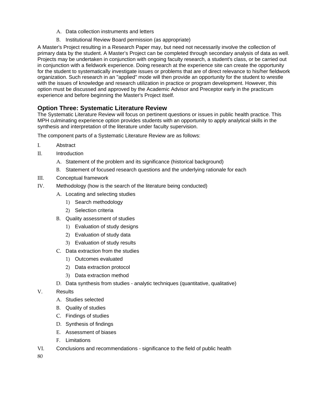- A. Data collection instruments and letters
- B. Institutional Review Board permission (as appropriate)

A Master's Project resulting in a Research Paper may, but need not necessarily involve the collection of primary data by the student. A Master's Project can be completed through secondary analysis of data as well. Projects may be undertaken in conjunction with ongoing faculty research, a student's class, or be carried out in conjunction with a fieldwork experience. Doing research at the experience site can create the opportunity for the student to systematically investigate issues or problems that are of direct relevance to his/her fieldwork organization. Such research in an "applied" mode will then provide an opportunity for the student to wrestle with the issues of knowledge and research utilization in practice or program development. However, this option must be discussed and approved by the Academic Advisor and Preceptor early in the practicum experience and before beginning the Master's Project itself.

## **Option Three: Systematic Literature Review**

The Systematic Literature Review will focus on pertinent questions or issues in public health practice. This MPH culminating experience option provides students with an opportunity to apply analytical skills in the synthesis and interpretation of the literature under faculty supervision.

The component parts of a Systematic Literature Review are as follows:

- I. Abstract
- II. Introduction
	- A. Statement of the problem and its significance (historical background)
	- B. Statement of focused research questions and the underlying rationale for each
- III. Conceptual framework
- IV. Methodology (how is the search of the literature being conducted)
	- A. Locating and selecting studies
		- 1) Search methodology
		- 2) Selection criteria
	- B. Quality assessment of studies
		- 1) Evaluation of study designs
		- 2) Evaluation of study data
		- 3) Evaluation of study results
	- C. Data extraction from the studies
		- 1) Outcomes evaluated
		- 2) Data extraction protocol
		- 3) Data extraction method
	- D. Data synthesis from studies analytic techniques (quantitative, qualitative)
- V. Results
	- A. Studies selected
	- B. Quality of studies
	- C. Findings of studies
	- D. Synthesis of findings
	- E. Assessment of biases
	- F. Limitations
- VI. Conclusions and recommendations significance to the field of public health

80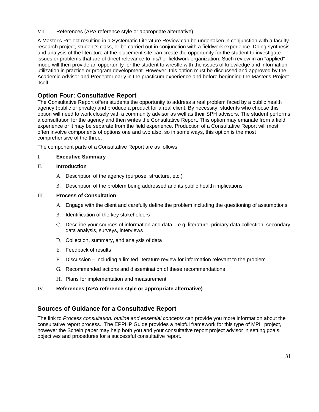VII. References (APA reference style or appropriate alternative)

A Master's Project resulting in a Systematic Literature Review can be undertaken in conjunction with a faculty research project, student's class, or be carried out in conjunction with a fieldwork experience. Doing synthesis and analysis of the literature at the placement site can create the opportunity for the student to investigate issues or problems that are of direct relevance to his/her fieldwork organization. Such review in an "applied" mode will then provide an opportunity for the student to wrestle with the issues of knowledge and information utilization in practice or program development. However, this option must be discussed and approved by the Academic Advisor and Preceptor early in the practicum experience and before beginning the Master's Project itself.

## **Option Four: Consultative Report**

The Consultative Report offers students the opportunity to address a real problem faced by a public health agency (public or private) and produce a product for a real client. By necessity, students who choose this option will need to work closely with a community advisor as well as their SPH advisors. The student performs a consultation for the agency and then writes the Consultative Report. This option may emanate from a field experience or it may be separate from the field experience. Production of a Consultative Report will most often involve components of options one and two also, so in some ways, this option is the most comprehensive of the three.

The component parts of a Consultative Report are as follows:

#### I. **Executive Summary**

#### II. **Introduction**

- A. Description of the agency (purpose, structure, etc.)
- B. Description of the problem being addressed and its public health implications

#### III. **Process of Consultation**

- A. Engage with the client and carefully define the problem including the questioning of assumptions
- B. Identification of the key stakeholders
- C. Describe your sources of information and data e.g. literature, primary data collection, secondary data analysis, surveys, interviews
- D. Collection, summary, and analysis of data
- E. Feedback of results
- F. Discussion including a limited literature review for information relevant to the problem
- G. Recommended actions and dissemination of these recommendations
- H. Plans for implementation and measurement

#### IV. **References (APA reference style or appropriate alternative)**

## **Sources of Guidance for a Consultative Report**

The link to *Process consultation: outline and essential concepts* can provide you more information about the consultative report process. The EPPHP Guide provides a helpful framework for this type of MPH project, however the Schein paper may help both you and your consultative report project advisor in setting goals, objectives and procedures for a successful consultative report.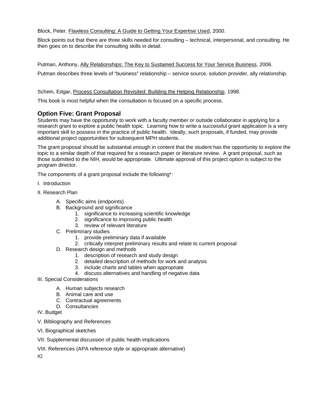Block, Peter. Flawless Consulting: A Guide to Getting Your Expertise Used, 2000.

Block points out that there are three skills needed for consulting – technical, interpersonal, and consulting. He then goes on to describe the consulting skills in detail.

Putman, Anthony, Ally Relationships: The Key to Sustained Success for Your Service Business, 2006.

Putman describes three levels of "business" relationship – service source, solution provider, ally relationship.

Schein, Edgar, Process Consultation Revisited: Building the Helping Relationship, 1998.

This book is most helpful when the consultation is focused on a specific process.

## **Option Five: Grant Proposal**

Students may have the opportunity to work with a faculty member or outside collaborator in applying for a research grant to explore a public health topic. Learning how to write a successful grant application is a very important skill to possess in the practice of public health. Ideally, such proposals, if funded, may provide additional project opportunities for subsequent MPH students.

The grant proposal should be substantial enough in content that the student has the opportunity to explore the topic to a similar depth of that required for a research paper or literature review. A grant proposal, such as those submitted to the NIH, would be appropriate. Ultimate approval of this project option is subject to the program director.

The components of a grant proposal include the following\*:

- I. Introduction
- II. Research Plan
	- A. Specific aims (endpoints)
	- B. Background and significance
		- 1. significance to increasing scientific knowledge
		- 2. significance to improving public health
		- 3. review of relevant literature
	- C. Preliminary studies
		- 1. provide preliminary data if available
		- 2. critically interpret preliminary results and relate to current proposal
	- D. Research design and methods
		- 1. description of research and study design
		- 2. detailed description of methods for work and analysis
		- 3. include charts and tables when appropriate
		- 4. discuss alternatives and handling of negative data
- III. Special Considerations
	- A. Human subjects research
	- B. Animal care and use
	- C. Contractual agreements
	- D. Consultancies
- IV. Budget
- V. Bibliography and References
- VI. Biographical sketches
- VII. Supplemental discussion of public health implications
- VIII. References (APA reference style or appropriate alternative)

82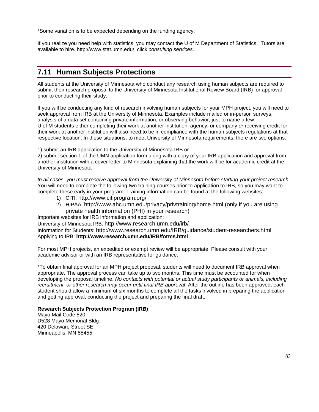\*Some variation is to be expected depending on the funding agency.

If you realize you need help with statistics, you may contact the U of M Department of Statistics. Tutors are available to hire. http://www.stat.umn.edu/, click *consulting services*.

## **7.11 Human Subjects Protections**

All students at the University of Minnesota who conduct any research using human subjects are required to submit their research proposal to the University of Minnesota Institutional Review Board (IRB) for approval prior to conducting their study.

If you will be conducting any kind of research involving human subjects for your MPH project, you will need to seek approval from IRB at the University of Minnesota. Examples include mailed or in-person surveys, analysis of a data set containing private information, or observing behavior, just to name a few. U of M students either completing their work at another institution, agency, or company *or* receiving credit for their work at another institution will also need to be in compliance with the human subjects regulations at that respective location. In these situations, to meet University of Minnesota requirements, there are two options:

1) submit an IRB application to the University of Minnesota IRB or

2) submit section 1 of the UMN application form along with a copy of your IRB application and approval from another institution with a cover letter to Minnesota explaining that the work will be for academic credit at the University of Minnesota

*In all cases, you must receive approval from the University of Minnesota before starting your project research.*  You will need to complete the following two training courses prior to application to IRB, so you may want to complete these early in your program. Training information can be found at the following websites:

- 1) CITI: http://www.citiprogram.org/
- 2) HIPAA: http://www.ahc.umn.edu/privacy/privtraining/home.html (only if you are using private health information (PHI) in your research)

Important websites for IRB information and application:

University of Minnesota IRB: http://www.research.umn.edu/irb/

Information for Students: http://www.research.umn.edu/IRB/guidance/student-researchers.html Applying to IRB: **http://www.research.umn.edu/IRB/forms.html**

For most MPH projects, an expedited or exempt review will be appropriate. Please consult with your academic advisor or with an IRB representative for guidance.

\*To obtain final approval for an MPH project proposal, students will need to document IRB approval when appropriate. The approval process can take up to two months. This time must be accounted for when developing the proposal timeline. *No contacts with potential or actual study participants or animals, including recruitment, or other research may occur until final IRB approval*. After the outline has been approved, each student should allow a minimum of six months to complete all the tasks involved in preparing the application and getting approval, conducting the project and preparing the final draft.

### **Research Subjects Protection Program (IRB)**

Mayo Mail Code 820 D528 Mayo Memorial Bldg 420 Delaware Street SE Minneapolis, MN 55455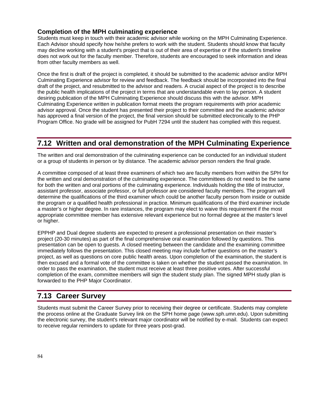## **Completion of the MPH culminating experience**

Students must keep in touch with their academic advisor while working on the MPH Culminating Experience. Each Advisor should specify how he/she prefers to work with the student. Students should know that faculty may decline working with a student's project that is out of their area of expertise or if the student's timeline does not work out for the faculty member. Therefore, students are encouraged to seek information and ideas from other faculty members as well.

Once the first is draft of the project is completed, it should be submitted to the academic advisor and/or MPH Culminating Experience advisor for review and feedback. The feedback should be incorporated into the final draft of the project, and resubmitted to the advisor and readers. A crucial aspect of the project is to describe the public health implications of the project in terms that are understandable even to lay person. A student desiring publication of the MPH Culminating Experience should discuss this with the advisor. MPH Culminating Experience written in publication format meets the program requirements with prior academic advisor approval. Once the student has presented their project to their committee and the academic advisor has approved a final version of the project, the final version should be submitted electronically to the PHP Program Office. No grade will be assigned for PubH 7294 until the student has complied with this request.

## **7.12 Written and oral demonstration of the MPH Culminating Experience**

The written and oral demonstration of the culminating experience can be conducted for an individual student or a group of students in person or by distance. The academic advisor person renders the final grade.

A committee composed of at least three examiners of which two are faculty members from within the SPH for the written and oral demonstration of the culminating experience. The committees do not need to be the same for both the written and oral portions of the culminating experience. Individuals holding the title of instructor, assistant professor, associate professor, or full professor are considered faculty members. The program will determine the qualifications of the third examiner which could be another faculty person from inside or outside the program or a qualified health professional in practice. Minimum qualifications of the third examiner include a master's or higher degree. In rare instances, the program may elect to waive this requirement if the most appropriate committee member has extensive relevant experience but no formal degree at the master's level or higher.

EPPHP and Dual degree students are expected to present a professional presentation on their master's project (20-30 minutes) as part of the final comprehensive oral examination followed by questions. This presentation can be open to guests. A closed meeting between the candidate and the examining committee immediately follows the presentation. This closed meeting may include further questions on the master's project, as well as questions on core public health areas. Upon completion of the examination, the student is then excused and a formal vote of the committee is taken on whether the student passed the examination. In order to pass the examination, the student must receive at least three positive votes. After successful completion of the exam, committee members will sign the student study plan. The signed MPH study plan is forwarded to the PHP Major Coordinator.

## **7.13 Career Survey**

Students must submit the Career Survey prior to receiving their degree or certificate. Students may complete the process online at the Graduate Survey link on the SPH home page (www.sph.umn.edu). Upon submitting the electronic survey, the student's relevant major coordinator will be notified by e-mail. Students can expect to receive regular reminders to update for three years post-grad.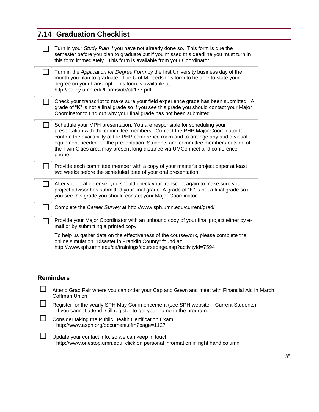# **7.14 Graduation Checklist**

| Turn in your Study Plan if you have not already done so. This form is due the<br>semester before you plan to graduate but if you missed this deadline you must turn in<br>this form immediately. This form is available from your Coordinator.                                                                                                                                                                               |
|------------------------------------------------------------------------------------------------------------------------------------------------------------------------------------------------------------------------------------------------------------------------------------------------------------------------------------------------------------------------------------------------------------------------------|
| Turn in the Application for Degree Form by the first University business day of the<br>month you plan to graduate. The U of M needs this form to be able to state your<br>degree on your transcript. This form is available at<br>http://policy.umn.edu/Forms/otr/otr177.pdf                                                                                                                                                 |
| Check your transcript to make sure your field experience grade has been submitted. A<br>grade of "K" is not a final grade so if you see this grade you should contact your Major<br>Coordinator to find out why your final grade has not been submitted                                                                                                                                                                      |
| Schedule your MPH presentation. You are responsible for scheduling your<br>presentation with the committee members. Contact the PHP Major Coordinator to<br>confirm the availability of the PHP conference room and to arrange any audio-visual<br>equipment needed for the presentation. Students and committee members outside of<br>the Twin Cities area may present long-distance via UMConnect and conference<br>phone. |
| Provide each committee member with a copy of your master's project paper at least<br>two weeks before the scheduled date of your oral presentation.                                                                                                                                                                                                                                                                          |
| After your oral defense, you should check your transcript again to make sure your<br>project advisor has submitted your final grade. A grade of "K" is not a final grade so if<br>you see this grade you should contact your Major Coordinator.                                                                                                                                                                              |
| Complete the Career Survey at http://www.sph.umn.edu/current/grad/                                                                                                                                                                                                                                                                                                                                                           |
| Provide your Major Coordinator with an unbound copy of your final project either by e-<br>mail or by submitting a printed copy.                                                                                                                                                                                                                                                                                              |
| To help us gather data on the effectiveness of the coursework, please complete the<br>online simulation "Disaster in Franklin County" found at:<br>http://www.sph.umn.edu/ce/trainings/coursepage.asp?activityId=7594                                                                                                                                                                                                        |

## **Reminders**

| Attend Grad Fair where you can order your Cap and Gown and meet with Financial Aid in March,<br>Coffman Union                                              |
|------------------------------------------------------------------------------------------------------------------------------------------------------------|
| Register for the yearly SPH May Commencement (see SPH website – Current Students)<br>If you cannot attend, still register to get your name in the program. |
| Consider taking the Public Health Certification Exam<br>http://www.asph.org/document.cfm?page=1127                                                         |
| Update your contact info. so we can keep in touch<br>http://www.onestop.umn.edu, click on personal information in right hand column                        |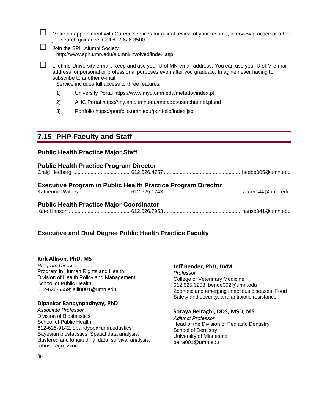$\Box$  Make an appointment with Career Services for a final review of your resume, interview practice or other job search guidance, Call 612-626-3500.

- $\Box$  Join the SPH Alumni Society http://www.sph.umn.edu/alumni/involved/index.asp
- Lifetime University e-mail. Keep and use your U of MN email address. You can use your U of M e-mail address for personal or professional purposes even after you graduate. Imagine never having to subscribe to another e-mail

Service includes full access to three features:

- 1) University Portal https://www.myu.umn.edu/metadot/index.pl
- 2) AHC Portal https://my.ahc.umn.edu/metadot/userchannel.pland
- 3) Portfolio https://portfolio.umn.edu/portfolio/index.jsp

## **7.15 PHP Faculty and Staff**

### **Public Health Practice Major Staff**

### **Public Health Practice Program Director**

|--|--|--|

### **Executive Program in Public Health Practice Program Director**

|--|--|--|

### **Public Health Practice Major Coordinator**

Kate Hanson ........................................... 612.626.7953 ...................................................... hanso041@umn.edu

## **Executive and Dual Degree Public Health Practice Faculty**

#### **Kirk Allison, PhD, MS**

*Program Director*  Program in Human Rights and Health Division of Health Policy and Management School of Public Health 612-626-6559; alli0001@umn.edu

#### **Dipankar Bandyopadhyay, PhD**

*Associate Professor*  Division of Biostatistics School of Public Health 612-625-9142; dbandyop@umn.edustics Bayesian biostatistics, Spatial data analysis, clustered and longitudinal data, survival analysis, robust regression

#### **Jeff Bender, PhD, DVM**

*Professor*  College of Veterinary Medicine 612.625.6203; bende002@umn.edu Zoonotic and emerging infectious diseases, Food Safety and security, and antibiotic resistance

#### **Soraya Beiraghi, DDS, MSD, MS**

*Adjunct Professor*  Head of the Division of Pediatric Dentistry School of Dentistry University of Minnesota beira001@umn.edu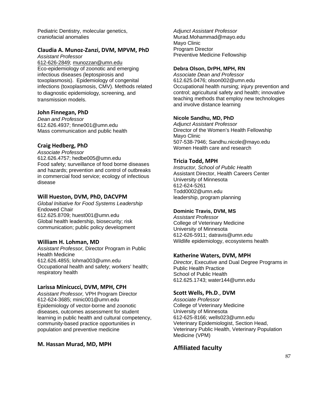Pediatric Dentistry, molecular genetics, craniofacial anomalies

## **Claudia A. Munoz‐Zanzi, DVM, MPVM, PhD**

*Assistant Professor*  612-626-2849; munozzan@umn.edu Eco-epidemiology of zoonotic and emerging infectious diseases (leptospirosis and toxoplasmosis). Epidemiology of congenital infections (toxoplasmosis, CMV). Methods related to diagnostic epidemiology, screening, and transmission models.

### **John Finnegan, PhD**

*Dean and Professor*  612.626.4937; finne001@umn.edu Mass communication and public health

### **Craig Hedberg, PhD**

*Associate Professor*  612.626.4757; hedbe005@umn.edu Food safety; surveillance of food borne diseases and hazards; prevention and control of outbreaks in commercial food service; ecology of infectious disease

### **Will Hueston, DVM, PhD, DACVPM**

*Global Initiative for Food Systems Leadership* Endowed Chair 612.625.8709; huest001@umn.edu Global health leadership, biosecurity; risk communication; public policy development

### **William H. Lohman, MD**

*Assistant Professor,* Director Program in Public Health Medicine 612.626.4855; lohma003@umn.edu Occupational health and safety; workers' health; respiratory health

### **Larissa Minicucci, DVM, MPH, CPH**

*Assistant Professor,* VPH Program Director 612-624-3685; minic001@umn.edu Epidemiology of vector-borne and zoonotic diseases, outcomes assessment for student learning in public health and cultural competency, community-based practice opportunities in population and preventive medicine

**M. Hassan Murad, MD, MPH**

*Adjunct Assistant Professor*  Murad.Mohammad@mayo.edu Mayo Clinic Program Director Preventive Medicine Fellowship

### **Debra Olson, DrPH, MPH, RN**

*Associate Dean and Professor* 612.625.0476; olson002@umn.edu Occupational health nursing; injury prevention and control; agricultural safety and health; innovative teaching methods that employ new technologies and involve distance learning

### **Nicole Sandhu, MD, PhD**

*Adjunct Assistant Professor*  Director of the Women's Health Fellowship Mayo Clinic 507-538-7946; Sandhu.nicole@mayo.edu Women Health care and research

## **Tricia Todd, MPH**

*Instructor, School of Public Health*  Assistant Director, Health Careers Center University of Minnesota 612-624-5261 Todd0002@umn.edu leadership, program planning

### **Dominic Travis, DVM, MS**

*Assistant Professor*  College of Veterinary Medicine University of Minnesota 612-626-5911; datravis@umn.edu Wildlife epidemiology, ecosystems health

### **Katherine Waters, DVM, MPH**

*Director*, Executive and Dual Degree Programs in Public Health Practice School of Public Health 612.625.1743; water144@umn.edu

### **Scott Wells, Ph.D**., **DVM**

*Associate Professor*  College of Veterinary Medicine University of Minnesota 612-625-8166; wells023@umn.edu Veterinary Epidemiologist, Section Head, Veterinary Public Health, Veterinary Population Medicine (VPM)

## **Affiliated faculty**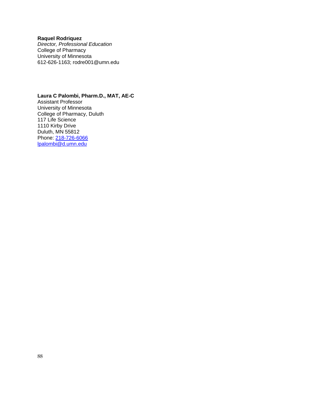#### **Raquel Rodriquez**

*Director, Professional Education*  College of Pharmacy University of Minnesota 612-626-1163; rodre001@umn.edu

**Laura C Palombi, Pharm.D., MAT, AE-C**  Assistant Professor University of Minnesota College of Pharmacy, Duluth 117 Life Science 1110 Kirby Drive Duluth, MN 55812 Phone: 218-726-6066 lpalombi@d.umn.edu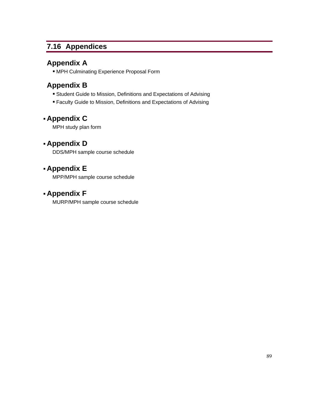## **7.16 Appendices**

## **Appendix A**

MPH Culminating Experience Proposal Form

## **Appendix B**

- Student Guide to Mission, Definitions and Expectations of Advising
- Faculty Guide to Mission, Definitions and Expectations of Advising

## **Appendix C**

MPH study plan form

## **Appendix D**

DDS/MPH sample course schedule

## **Appendix E**

MPP/MPH sample course schedule

## **Appendix F**

MURP/MPH sample course schedule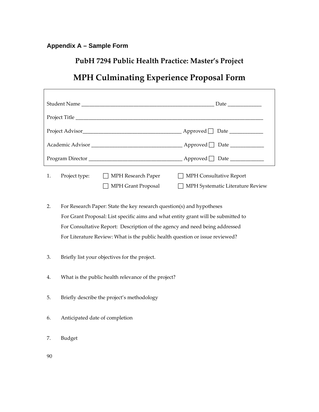## **Appendix A – Sample Form**

## **PubH 7294 Public Health Practice: Master's Project**

# **MPH Culminating Experience Proposal Form**

 $\overline{\phantom{a}}$ 

| Student Name       |                                                                    |
|--------------------|--------------------------------------------------------------------|
|                    |                                                                    |
|                    |                                                                    |
|                    |                                                                    |
|                    |                                                                    |
| MPH Research Paper | MPH Consultative Report<br>$\Box$ MPH Systematic Literature Review |
|                    | MPH Grant Proposal                                                 |

- 2. For Research Paper: State the key research question(s) and hypotheses For Grant Proposal: List specific aims and what entity grant will be submitted to For Consultative Report: Description of the agency and need being addressed For Literature Review: What is the public health question or issue reviewed?
- 3. Briefly list your objectives for the project.
- 4. What is the public health relevance of the project?
- 5. Briefly describe the project's methodology
- 6. Anticipated date of completion
- 7. Budget

90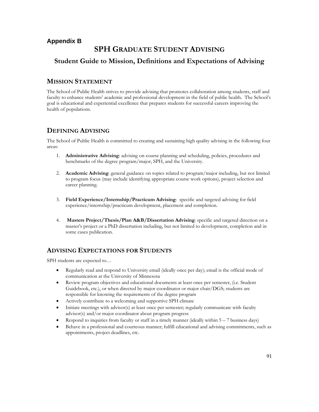## **Appendix B**

# **SPH GRADUATE STUDENT ADVISING Student Guide to Mission, Definitions and Expectations of Advising**

## **MISSION STATEMENT**

The School of Public Health strives to provide advising that promotes collaboration among students, staff and faculty to enhance students' academic and professional development in the field of public health. The School's goal is educational and experiential excellence that prepares students for successful careers improving the health of populations.

## **DEFINING ADVISING**

The School of Public Health is committed to creating and sustaining high quality advising in the following four areas:

- 1. **Administrative Advising**: advising on course planning and scheduling, policies, procedures and benchmarks of the degree program/major, SPH, and the University.
- 2. **Academic Advising**: general guidance on topics related to program/major including, but not limited to program focus (may include identifying appropriate course work options), project selection and career planning.
- 3. **Field Experience/Internship/Practicum Advising**: specific and targeted advising for field experience/internship/practicum development, placement and completion.
- 4. **Masters Project/Thesis/Plan A&B/Dissertation Advising**: specific and targeted direction on a master's project or a PhD dissertation including, but not limited to development, completion and in some cases publication.

## **ADVISING EXPECTATIONS FOR STUDENTS**

SPH students are expected to…

- Regularly read and respond to University email (ideally once per day); email is the official mode of communication at the University of Minnesota
- Review program objectives and educational documents at least once per semester, (i.e. Student Guidebook, etc.), or when directed by major coordinator or major chair/DGS; students are responsible for knowing the requirements of the degree program
- Actively contribute to a welcoming and supportive SPH climate
- Initiate meetings with advisor(s) at least once per semester; regularly communicate with faculty advisor(s) and/or major coordinator about program progress
- Exercise Respond to inquiries from faculty or staff in a timely manner (ideally within  $5 7$  business days)
- Behave in a professional and courteous manner; fulfill educational and advising commitments, such as appointments, project deadlines, etc.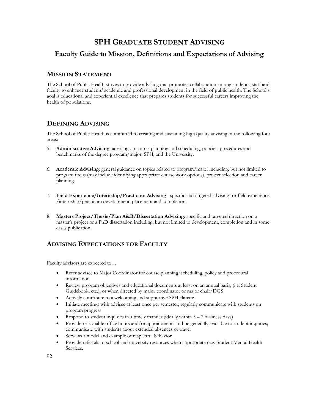## **SPH GRADUATE STUDENT ADVISING**

## **Faculty Guide to Mission, Definitions and Expectations of Advising**

## **MISSION STATEMENT**

The School of Public Health strives to provide advising that promotes collaboration among students, staff and faculty to enhance students' academic and professional development in the field of public health. The School's goal is educational and experiential excellence that prepares students for successful careers improving the health of populations.

## **DEFINING ADVISING**

The School of Public Health is committed to creating and sustaining high quality advising in the following four areas:

- 5. **Administrative Advising**: advising on course planning and scheduling, policies, procedures and benchmarks of the degree program/major, SPH, and the University.
- 6. **Academic Advising**: general guidance on topics related to program/major including, but not limited to program focus (may include identifying appropriate course work options), project selection and career planning.
- 7. **Field Experience/Internship/Practicum Advising**: specific and targeted advising for field experience /internship/practicum development, placement and completion.
- 8. **Masters Project/Thesis/Plan A&B/Dissertation Advising**: specific and targeted direction on a master's project or a PhD dissertation including, but not limited to development, completion and in some cases publication.

## **ADVISING EXPECTATIONS FOR FACULTY**

Faculty advisors are expected to…

- Refer advisee to Major Coordinator for course planning/scheduling, policy and procedural information
- Review program objectives and educational documents at least on an annual basis, (i.e. Student Guidebook, etc.), or when directed by major coordinator or major chair/DGS
- Actively contribute to a welcoming and supportive SPH climate
- Initiate meetings with advisee at least once per semester; regularly communicate with students on program progress
- Respond to student inquiries in a timely manner (ideally within  $5 7$  business days)
- Provide reasonable office hours and/or appointments and be generally available to student inquiries; communicate with students about extended absences or travel
- Serve as a model and example of respectful behavior
- Provide referrals to school and university resources when appropriate (e.g. Student Mental Health Services.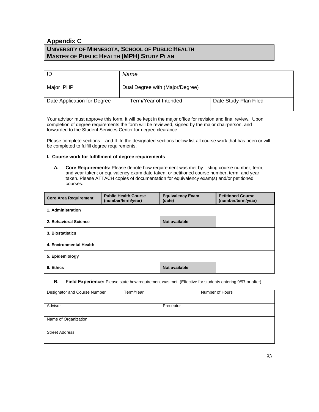## **Appendix C**

## **UNIVERSITY OF MINNESOTA, SCHOOL OF PUBLIC HEALTH MASTER OF PUBLIC HEALTH (MPH) STUDY PLAN**

| ID                          | Name                            |                       |
|-----------------------------|---------------------------------|-----------------------|
| Major PHP                   | Dual Degree with (Major/Degree) |                       |
| Date Application for Degree | Term/Year of Intended           | Date Study Plan Filed |

Your advisor must approve this form. It will be kept in the major office for revision and final review. Upon completion of degree requirements the form will be reviewed, signed by the major chairperson, and forwarded to the Student Services Center for degree clearance.

Please complete sections I. and II. In the designated sections below list all course work that has been or will be completed to fulfill degree requirements.

#### **I. Course work for fulfillment of degree requirements**

**A. Core Requirements:** Please denote how requirement was met by: listing course number, term, and year taken; or equivalency exam date taken; or petitioned course number, term, and year taken. Please ATTACH copies of documentation for equivalency exam(s) and/or petitioned courses.

| <b>Core Area Requirement</b> | <b>Public Health Course</b><br>(number/term/year) | <b>Equivalency Exam</b><br>(date) | <b>Petitioned Course</b><br>(number/term/year) |
|------------------------------|---------------------------------------------------|-----------------------------------|------------------------------------------------|
| 1. Administration            |                                                   |                                   |                                                |
| 2. Behavioral Science        |                                                   | Not available                     |                                                |
| 3. Biostatistics             |                                                   |                                   |                                                |
| 4. Environmental Health      |                                                   |                                   |                                                |
| 5. Epidemiology              |                                                   |                                   |                                                |
| 6. Ethics                    |                                                   | Not available                     |                                                |

#### **B. Field Experience:** Please state how requirement was met. (Effective for students entering 9/97 or after).

| Designator and Course Number | Term/Year |           | Number of Hours |
|------------------------------|-----------|-----------|-----------------|
| Advisor                      |           | Preceptor |                 |
| Name of Organization         |           |           |                 |
| <b>Street Address</b>        |           |           |                 |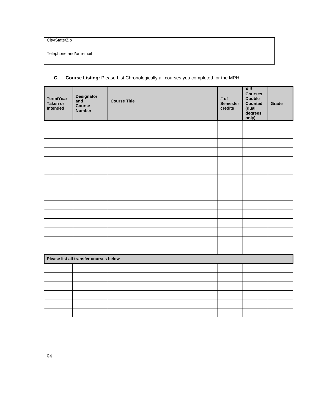City/State/Zip

Telephone and/or e-mail

**C. Course Listing:** Please List Chronologically all courses you completed for the MPH.

| Term/Year<br>Taken or<br>Intended      | Designator<br>and<br>Course<br><b>Number</b> | <b>Course Title</b> | # of<br><b>Semester</b><br>credits | $X$ if<br><b>Courses</b><br><b>Double</b><br>Counted<br>(dual<br>degrees<br>only) | Grade |
|----------------------------------------|----------------------------------------------|---------------------|------------------------------------|-----------------------------------------------------------------------------------|-------|
|                                        |                                              |                     |                                    |                                                                                   |       |
|                                        |                                              |                     |                                    |                                                                                   |       |
|                                        |                                              |                     |                                    |                                                                                   |       |
|                                        |                                              |                     |                                    |                                                                                   |       |
|                                        |                                              |                     |                                    |                                                                                   |       |
|                                        |                                              |                     |                                    |                                                                                   |       |
|                                        |                                              |                     |                                    |                                                                                   |       |
|                                        |                                              |                     |                                    |                                                                                   |       |
|                                        |                                              |                     |                                    |                                                                                   |       |
|                                        |                                              |                     |                                    |                                                                                   |       |
|                                        |                                              |                     |                                    |                                                                                   |       |
|                                        |                                              |                     |                                    |                                                                                   |       |
|                                        |                                              |                     |                                    |                                                                                   |       |
|                                        |                                              |                     |                                    |                                                                                   |       |
|                                        |                                              |                     |                                    |                                                                                   |       |
| Please list all transfer courses below |                                              |                     |                                    |                                                                                   |       |
|                                        |                                              |                     |                                    |                                                                                   |       |
|                                        |                                              |                     |                                    |                                                                                   |       |
|                                        |                                              |                     |                                    |                                                                                   |       |
|                                        |                                              |                     |                                    |                                                                                   |       |
|                                        |                                              |                     |                                    |                                                                                   |       |
|                                        |                                              |                     |                                    |                                                                                   |       |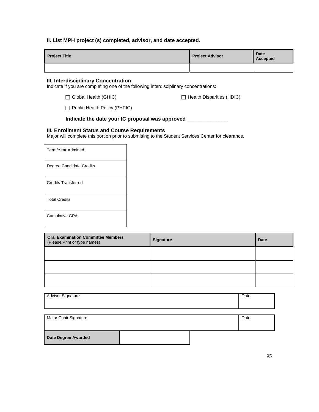### **II. List MPH project (s) completed, advisor, and date accepted.**

| <b>Project Title</b> | <b>Project Advisor</b> | <b>Date</b><br>Accepted |
|----------------------|------------------------|-------------------------|
|                      |                        |                         |

#### **III. Interdisciplinary Concentration**

Indicate if you are completing one of the following interdisciplinary concentrations:

□ Global Health (GHIC) Health Disparities (HDIC)

□ Public Health Policy (PHPIC)

### **Indicate the date your IC proposal was approved \_\_\_\_\_\_\_\_\_\_\_\_\_\_**

#### **III. Enrollment Status and Course Requirements**

Major will complete this portion prior to submitting to the Student Services Center for clearance.

| Term/Year Admitted         |
|----------------------------|
| Degree Candidate Credits   |
| <b>Credits Transferred</b> |
| <b>Total Credits</b>       |
| <b>Cumulative GPA</b>      |

| <b>Oral Examination Committee Members</b><br>(Please Print or type names) | <b>Signature</b> | <b>Date</b> |
|---------------------------------------------------------------------------|------------------|-------------|
|                                                                           |                  |             |
|                                                                           |                  |             |
|                                                                           |                  |             |

| <b>Advisor Signature</b>   |  | Date |
|----------------------------|--|------|
| Major Chair Signature      |  | Date |
| <b>Date Degree Awarded</b> |  |      |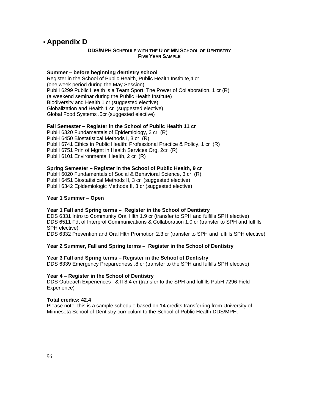## **Appendix D**

#### **DDS/MPH SCHEDULE WITH THE U OF MN SCHOOL OF DENTISTRY FIVE YEAR SAMPLE**

#### **Summer – before beginning dentistry school**

Register in the School of Public Health, Public Health Institute,4 cr (one week period during the May Session) PubH 6299 Public Health is a Team Sport: The Power of Collaboration, 1 cr (R) (a weekend seminar during the Public Health Institute) Biodiversity and Health 1 cr (suggested elective) Globalization and Health 1 cr (suggested elective) Global Food Systems .5cr (suggested elective)

### **Fall Semester – Register in the School of Public Health 11 cr**

PubH 6320 Fundamentals of Epidemiology, 3 cr (R) PubH 6450 Biostatistical Methods I, 3 cr (R) PubH 6741 Ethics in Public Health: Professional Practice & Policy, 1 cr (R) PubH 6751 Prin of Mgmt in Health Services Org, 2cr (R) PubH 6101 Environmental Health, 2 cr (R)

### **Spring Semester – Register in the School of Public Health, 9 cr**

PubH 6020 Fundamentals of Social & Behavioral Science, 3 cr (R) PubH 6451 Biostatistical Methods II, 3 cr (suggested elective) PubH 6342 Epidemiologic Methods II, 3 cr (suggested elective)

### **Year 1 Summer – Open**

#### **Year 1 Fall and Spring terms – Register in the School of Dentistry**

DDS 6331 Intro to Community Oral Hlth 1.9 cr (transfer to SPH and fulfills SPH elective) DDS 6511 Fdt of Interprof Communications & Collaboration 1.0 cr (transfer to SPH and fulfills SPH elective)

DDS 6332 Prevention and Oral Hlth Promotion 2.3 cr (transfer to SPH and fulfills SPH elective)

#### **Year 2 Summer, Fall and Spring terms – Register in the School of Dentistry**

#### **Year 3 Fall and Spring terms – Register in the School of Dentistry**

DDS 6339 Emergency Preparedness .8 cr (transfer to the SPH and fulfills SPH elective)

#### **Year 4 – Register in the School of Dentistry**

DDS Outreach Experiences I & II 8.4 cr (transfer to the SPH and fulfills PubH 7296 Field Experience)

#### **Total credits: 42.4**

Please note: this is a sample schedule based on 14 credits transferring from University of Minnesota School of Dentistry curriculum to the School of Public Health DDS/MPH.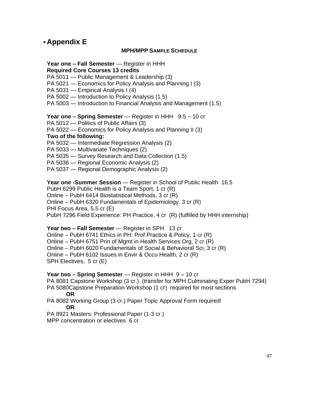## **Appendix E**

### **MPH/MPP SAMPLE SCHEDULE**

**Year one – Fall Semester** — Register in HHH

### **Required Core Courses 13 credits**

PA 5011 — Public Management & Leadership (3)

PA 5021 — Economics for Policy Analysis and Planning I (3)

PA 5031 — Empirical Analysis I (4)

PA 5002 — Introduction to Policy Analysis (1.5)

PA 5003 — Introduction to Financial Analysis and Management (1.5)

### **Year one – Spring Semester** — Register in HHH 9.5 – 10 cr

PA 5012 – Politics of Public Affairs (3)

PA 5022 — Economics for Policy Analysis and Planning II (3)

**Two of the following:**

PA 5032 — Intermediate Regression Analysis (2)

PA 5033 — Multivariate Techniques (2)

PA 5035 — Survey Research and Data Collection (1.5)

PA 5036 — Regional Economic Analysis (2)

PA 5037 — Regional Demographic Analysis (2)

**Year one -Summer Session** — Register in School of Public Health 16.5

PubH 6299 Public Health is a Team Sport, 1 cr (R)

Online – PubH 6414 Biostatistical Methods, 3 cr (R)

Online – PubH 6320 Fundamentals of Epidemiology, 3 cr (R)

PHI Focus Area, 5.5 cr (E)

PubH 7296 Field Experience: PH Practice, 4 cr (R) (fulfilled by HHH internship)

### Year two - Fall Semester - Register in SPH 13 cr

Online – PubH 6741 Ethics in PH: Prof Practice & Policy, 1 cr (R) Online – PubH 6751 Prin of Mgmt in Health Services Org, 2 cr (R) Online – PubH 6020 Fundamentals of Social & Behavioral Sci, 3 cr (R) Online – PubH 6102 Issues in Envir & Occu Health, 2 cr (R) SPH Electives, 5 cr (E)

**Year two – Spring Semester** — Register in HHH 9 – 10 cr

PA 8081 Capstone Workshop (3 cr.) (transfer for MPH Culminating Exper PubH 7294) PA 5080Capstone Preparation Workshop (1 cr) required for most sections  **OR**

PA 8082 Working Group (3 cr.) Paper Topic Approval Form required!  **OR**

PA 8921 Masters: Professional Paper (1-3 cr.)

MPP concentration or electives 6 cr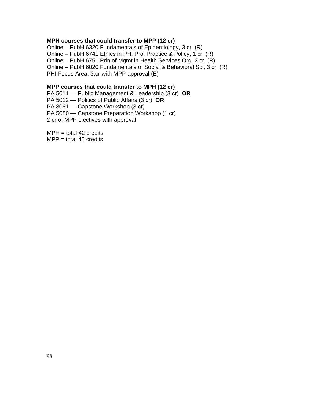### **MPH courses that could transfer to MPP (12 cr)**

Online – PubH 6320 Fundamentals of Epidemiology, 3 cr (R) Online – PubH 6741 Ethics in PH: Prof Practice & Policy, 1 cr (R) Online – PubH 6751 Prin of Mgmt in Health Services Org, 2 cr (R) Online – PubH 6020 Fundamentals of Social & Behavioral Sci, 3 cr (R) PHI Focus Area, 3.cr with MPP approval (E)

## **MPP courses that could transfer to MPH (12 cr)**

PA 5011 — Public Management & Leadership (3 cr) **OR** PA 5012 — Politics of Public Affairs (3 cr) **OR** PA 8081 — Capstone Workshop (3 cr) PA 5080 – Capstone Preparation Workshop (1 cr) 2 cr of MPP electives with approval

 $MPH = total 42$  credits  $MPP = total 45$  credits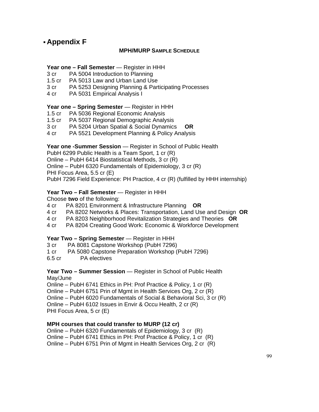## **Appendix F**

## **MPH/MURP SAMPLE SCHEDULE**

### **Year one – Fall Semester** — Register in HHH

- 3 cr PA 5004 Introduction to Planning
- 1.5 cr PA 5013 Law and Urban Land Use
- 3 cr PA 5253 Designing Planning & Participating Processes
- 4 cr PA 5031 Empirical Analysis I

### **Year one – Spring Semester** — Register in HHH

- 1.5 cr PA 5036 Regional Economic Analysis
- 1.5 cr PA 5037 Regional Demographic Analysis
- 3 cr PA 5204 Urban Spatial & Social Dynamics **OR**
- 4 cr PA 5521 Development Planning & Policy Analysis

### **Year one -Summer Session** — Register in School of Public Health

PubH 6299 Public Health is a Team Sport, 1 cr (R)

Online – PubH 6414 Biostatistical Methods, 3 cr (R)

Online – PubH 6320 Fundamentals of Epidemiology, 3 cr (R)

PHI Focus Area, 5.5 cr (E)

PubH 7296 Field Experience: PH Practice, 4 cr (R) (fulfilled by HHH internship)

### **Year Two – Fall Semester** — Register in HHH

Choose **two** of the following:

- 4 cr PA 8201 Environment & Infrastructure Planning **OR**
- 4 cr PA 8202 Networks & Places: Transportation, Land Use and Design **OR**
- 4 cr PA 8203 Neighborhood Revitalization Strategies and Theories **OR**
- 4 cr PA 8204 Creating Good Work: Economic & Workforce Development

#### **Year Two – Spring Semester** — Register in HHH

- 3 cr PA 8081 Capstone Workshop (PubH 7296)
- 1 cr PA 5080 Capstone Preparation Workshop (PubH 7296)
- 6.5 cr PA electives

### **Year Two – Summer Session** — Register in School of Public Health May/June

Online – PubH 6741 Ethics in PH: Prof Practice & Policy, 1 cr (R)

Online – PubH 6751 Prin of Mgmt in Health Services Org, 2 cr (R)

Online – PubH 6020 Fundamentals of Social & Behavioral Sci, 3 cr (R)

Online – PubH 6102 Issues in Envir & Occu Health, 2 cr (R)

PHI Focus Area, 5 cr (E)

### **MPH courses that could transfer to MURP (12 cr)**

Online – PubH 6320 Fundamentals of Epidemiology, 3 cr (R)

Online – PubH 6741 Ethics in PH: Prof Practice & Policy, 1 cr (R)

Online – PubH 6751 Prin of Mgmt in Health Services Org, 2 cr (R)